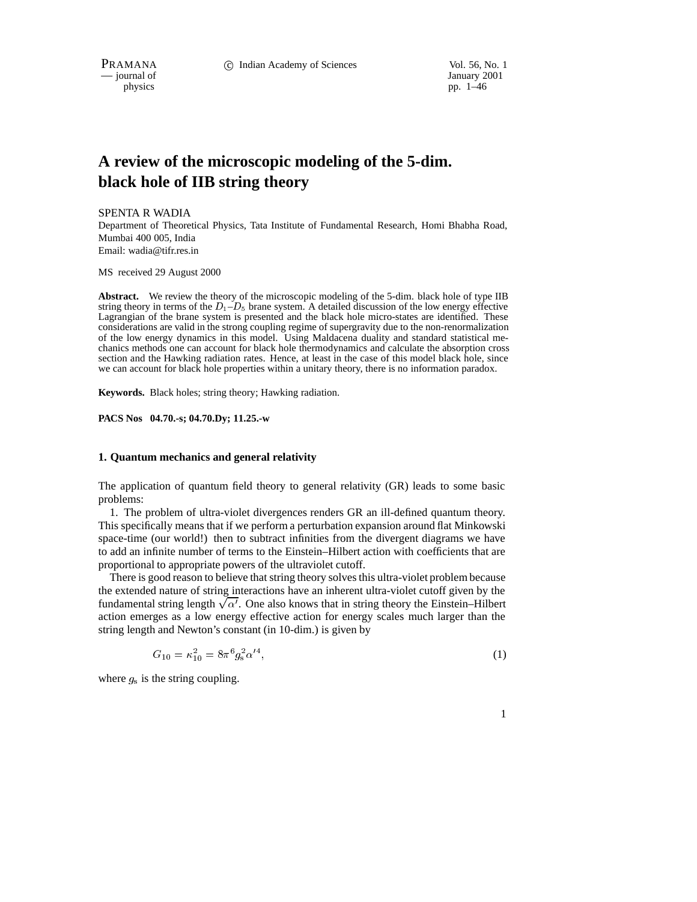— journal of physics pp. 1–46

# **A review of the microscopic modeling of the 5-dim. black hole of IIB string theory**

#### SPENTA R WADIA

Department of Theoretical Physics, Tata Institute of Fundamental Research, Homi Bhabha Road, Mumbai 400 005, India Email: wadia@tifr.res.in

MS received 29 August 2000

Abstract. We review the theory of the microscopic modeling of the 5-dim. black hole of type IIB string theory in terms of the  $D_1 - D_5$  brane system. A detailed discussion of the low energy effective Lagrangian of the brane system is presented and the black hole micro-states are identified. These considerations are valid in the strong coupling regime of supergravity due to the non-renormalization of the low energy dynamics in this model. Using Maldacena duality and standard statistical mechanics methods one can account for black hole thermodynamics and calculate the absorption cross section and the Hawking radiation rates. Hence, at least in the case of this model black hole, since we can account for black hole properties within a unitary theory, there is no information paradox.

**Keywords.** Black holes; string theory; Hawking radiation.

**PACS Nos 04.70.-s; 04.70.Dy; 11.25.-w**

## **1. Quantum mechanics and general relativity**

The application of quantum field theory to general relativity (GR) leads to some basic problems:

1. The problem of ultra-violet divergences renders GR an ill-defined quantum theory. This specifically means that if we perform a perturbation expansion around flat Minkowski space-time (our world!) then to subtract infinities from the divergent diagrams we have to add an infinite number of terms to the Einstein–Hilbert action with coefficients that are proportional to appropriate powers of the ultraviolet cutoff.

There is good reason to believe that string theory solves this ultra-violet problem because the extended nature of string interactions have an inherent ultra-violet cutoff given by the fundamental string length  $\sqrt{\alpha'}$ . One also knows that in string theory the Einstein–Hilbert action emerges as a low energy effective action for energy scales much larger than the string length and Newton's constant (in 10-dim.) is given by

$$
G_{10} = \kappa_{10}^2 = 8\pi^6 g_s^2 \alpha'^4,\tag{1}
$$

where  $g_s$  is the string coupling.

1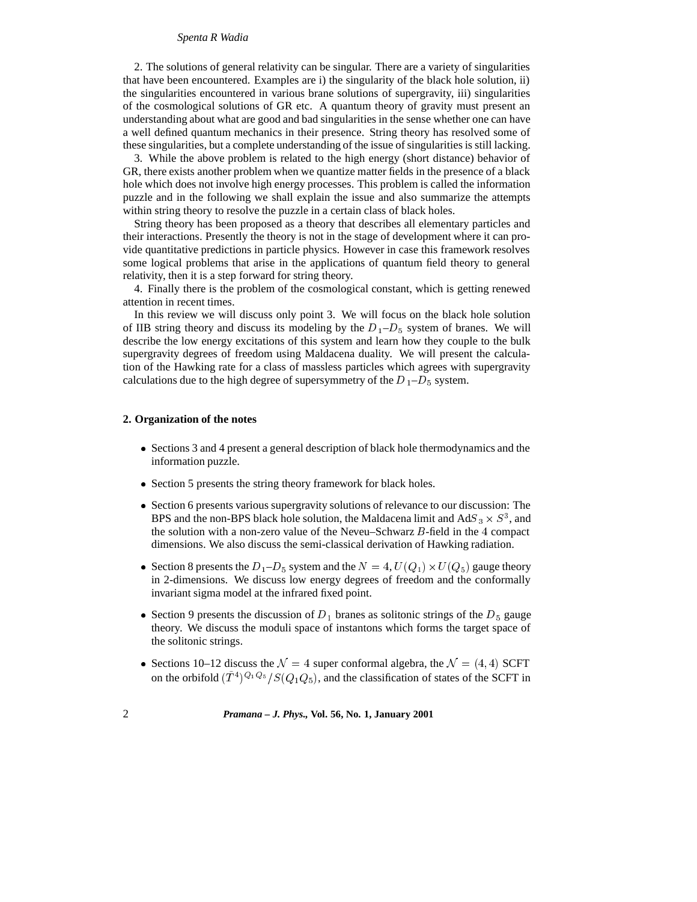2. The solutions of general relativity can be singular. There are a variety of singularities that have been encountered. Examples are i) the singularity of the black hole solution, ii) the singularities encountered in various brane solutions of supergravity, iii) singularities of the cosmological solutions of GR etc. A quantum theory of gravity must present an understanding about what are good and bad singularities in the sense whether one can have a well defined quantum mechanics in their presence. String theory has resolved some of these singularities, but a complete understanding of the issue of singularities is still lacking.

3. While the above problem is related to the high energy (short distance) behavior of GR, there exists another problem when we quantize matter fields in the presence of a black hole which does not involve high energy processes. This problem is called the information puzzle and in the following we shall explain the issue and also summarize the attempts within string theory to resolve the puzzle in a certain class of black holes.

String theory has been proposed as a theory that describes all elementary particles and their interactions. Presently the theory is not in the stage of development where it can provide quantitative predictions in particle physics. However in case this framework resolves some logical problems that arise in the applications of quantum field theory to general relativity, then it is a step forward for string theory.

4. Finally there is the problem of the cosmological constant, which is getting renewed attention in recent times.

In this review we will discuss only point 3. We will focus on the black hole solution of IIB string theory and discuss its modeling by the  $D_1-D_5$  system of branes. We will describe the low energy excitations of this system and learn how they couple to the bulk supergravity degrees of freedom using Maldacena duality. We will present the calculation of the Hawking rate for a class of massless particles which agrees with supergravity calculations due to the high degree of supersymmetry of the  $D_1 - D_5$  system.

## **2. Organization of the notes**

- Sections 3 and 4 present a general description of black hole thermodynamics and the information puzzle.
- Section 5 presents the string theory framework for black holes.
- Section 6 presents various supergravity solutions of relevance to our discussion: The BPS and the non-BPS black hole solution, the Maldacena limit and  $AdS_3 \times S^3$ , and the solution with a non-zero value of the Neveu–Schwarz  $B$ -field in the 4 compact dimensions. We also discuss the semi-classical derivation of Hawking radiation.
- Section 8 presents the  $D_1 D_5$  system and the  $N = 4$ ,  $U(Q_1) \times U(Q_5)$  gauge theory in 2-dimensions. We discuss low energy degrees of freedom and the conformally invariant sigma model at the infrared fixed point.
- Section 9 presents the discussion of  $D_1$  branes as solitonic strings of the  $D_5$  gauge theory. We discuss the moduli space of instantons which forms the target space of the solitonic strings.
- Sections 10–12 discuss the  $\mathcal{N} = 4$  super conformal algebra, the  $\mathcal{N} = (4, 4)$  SCFT on the orbifold  $(T^4)^{Q_1 Q_5}/S(Q_1 Q_5)$ , and the classification of states of the SCFT in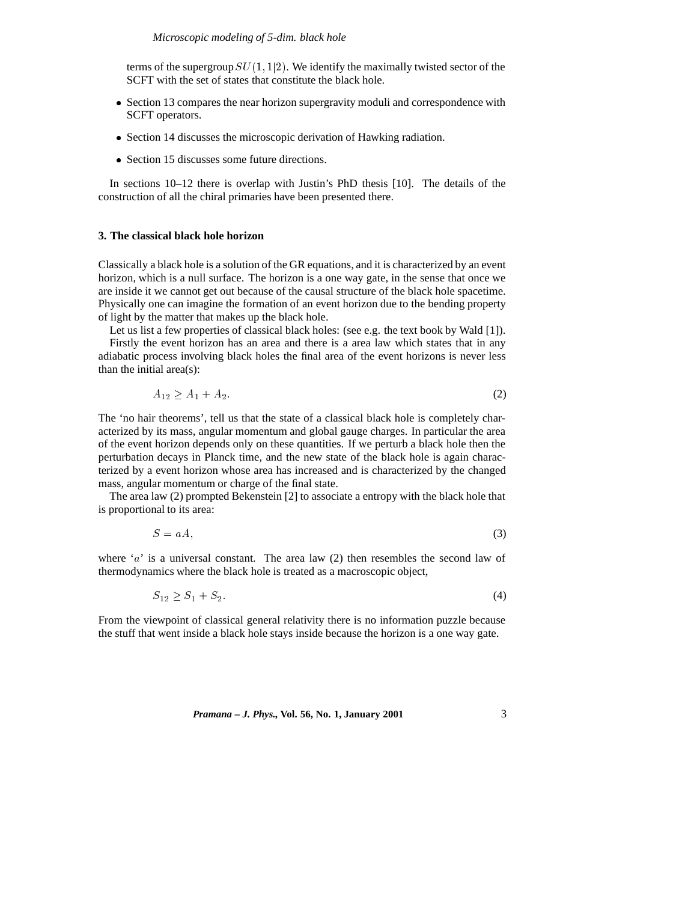terms of the supergroup  $SU(1, 1|2)$ . We identify the maximally twisted sector of the SCFT with the set of states that constitute the black hole.

- Section 13 compares the near horizon supergravity moduli and correspondence with SCFT operators.
- Section 14 discusses the microscopic derivation of Hawking radiation.
- Section 15 discusses some future directions.

In sections 10–12 there is overlap with Justin's PhD thesis [10]. The details of the construction of all the chiral primaries have been presented there.

## **3. The classical black hole horizon**

Classically a black hole is a solution of the GR equations, and it is characterized by an event horizon, which is a null surface. The horizon is a one way gate, in the sense that once we are inside it we cannot get out because of the causal structure of the black hole spacetime. Physically one can imagine the formation of an event horizon due to the bending property of light by the matter that makes up the black hole.

Let us list a few properties of classical black holes: (see e.g. the text book by Wald [1]). Firstly the event horizon has an area and there is a area law which states that in any adiabatic process involving black holes the final area of the event horizons is never less than the initial area(s):

$$
A_{12} \ge A_1 + A_2. \tag{2}
$$

The 'no hair theorems', tell us that the state of a classical black hole is completely characterized by its mass, angular momentum and global gauge charges. In particular the area of the event horizon depends only on these quantities. If we perturb a black hole then the perturbation decays in Planck time, and the new state of the black hole is again characterized by a event horizon whose area has increased and is characterized by the changed mass, angular momentum or charge of the final state.

The area law (2) prompted Bekenstein [2] to associate a entropy with the black hole that is proportional to its area:

$$
S = aA,\tag{3}
$$

where ' $a$ ' is a universal constant. The area law (2) then resembles the second law of thermodynamics where the black hole is treated as a macroscopic object,

$$
S_{12} \ge S_1 + S_2. \tag{4}
$$

From the viewpoint of classical general relativity there is no information puzzle because the stuff that went inside a black hole stays inside because the horizon is a one way gate.

*Pramana – J. Phys.,* **Vol. 56, No. 1, January 2001** 3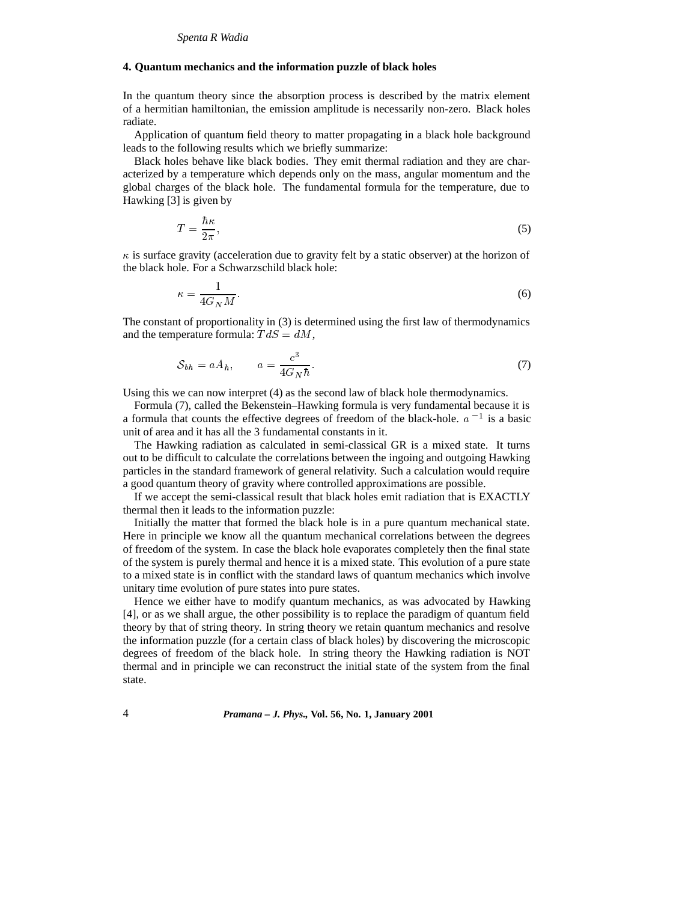## **4. Quantum mechanics and the information puzzle of black holes**

In the quantum theory since the absorption process is described by the matrix element of a hermitian hamiltonian, the emission amplitude is necessarily non-zero. Black holes radiate.

Application of quantum field theory to matter propagating in a black hole background leads to the following results which we briefly summarize:

Black holes behave like black bodies. They emit thermal radiation and they are characterized by a temperature which depends only on the mass, angular momentum and the global charges of the black hole. The fundamental formula for the temperature, due to Hawking [3] is given by

$$
T = \frac{\hbar \kappa}{2\pi},\tag{5}
$$

 $\kappa$  is surface gravity (acceleration due to gravity felt by a static observer) at the horizon of the black hole. For a Schwarzschild black hole:

$$
\kappa = \frac{1}{4G_N M}.\tag{6}
$$

The constant of proportionality in (3) is determined using the first law of thermodynamics and the temperature formula:  $TdS = dM$ ,

$$
S_{bh} = aA_h, \qquad a = \frac{c^3}{4G_N\hbar}.\tag{7}
$$

Using this we can now interpret (4) as the second law of black hole thermodynamics.

Formula (7), called the Bekenstein–Hawking formula is very fundamental because it is a formula that counts the effective degrees of freedom of the black-hole.  $a^{-1}$  is a basic unit of area and it has all the 3 fundamental constants in it.

The Hawking radiation as calculated in semi-classical GR is a mixed state. It turns out to be difficult to calculate the correlations between the ingoing and outgoing Hawking particles in the standard framework of general relativity. Such a calculation would require a good quantum theory of gravity where controlled approximations are possible.

If we accept the semi-classical result that black holes emit radiation that is EXACTLY thermal then it leads to the information puzzle:

Initially the matter that formed the black hole is in a pure quantum mechanical state. Here in principle we know all the quantum mechanical correlations between the degrees of freedom of the system. In case the black hole evaporates completely then the final state of the system is purely thermal and hence it is a mixed state. This evolution of a pure state to a mixed state is in conflict with the standard laws of quantum mechanics which involve unitary time evolution of pure states into pure states.

Hence we either have to modify quantum mechanics, as was advocated by Hawking [4], or as we shall argue, the other possibility is to replace the paradigm of quantum field theory by that of string theory. In string theory we retain quantum mechanics and resolve the information puzzle (for a certain class of black holes) by discovering the microscopic degrees of freedom of the black hole. In string theory the Hawking radiation is NOT thermal and in principle we can reconstruct the initial state of the system from the final state.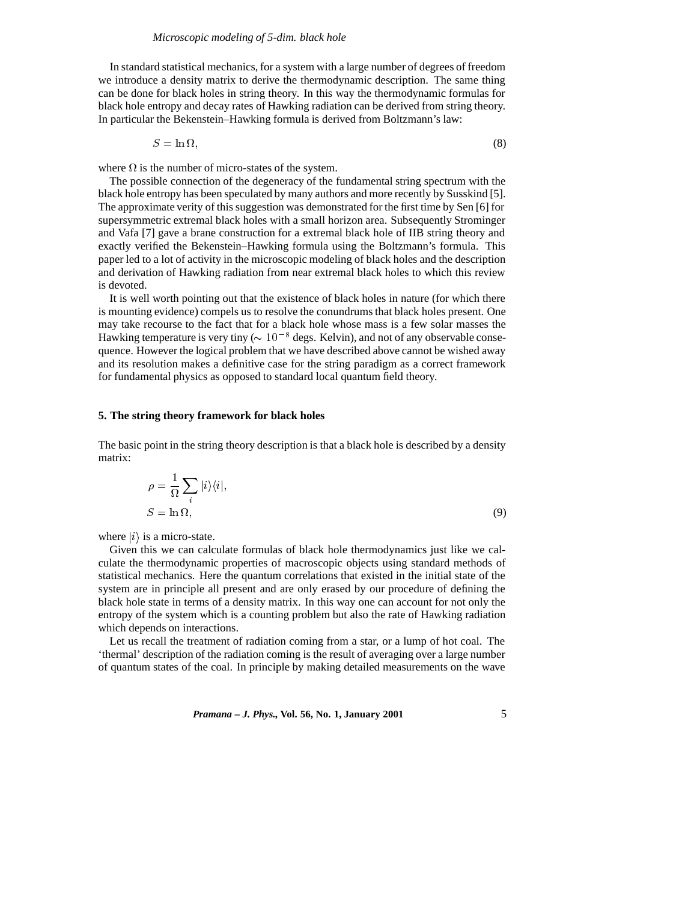In standard statistical mechanics, for a system with a large number of degrees of freedom we introduce a density matrix to derive the thermodynamic description. The same thing can be done for black holes in string theory. In this way the thermodynamic formulas for black hole entropy and decay rates of Hawking radiation can be derived from string theory. In particular the Bekenstein–Hawking formula is derived from Boltzmann's law:

$$
S = \ln \Omega,\tag{8}
$$

where  $\Omega$  is the number of micro-states of the system.

The possible connection of the degeneracy of the fundamental string spectrum with the black hole entropy has been speculated by many authors and more recently by Susskind [5]. The approximate verity of this suggestion was demonstrated for the first time by Sen [6] for supersymmetric extremal black holes with a small horizon area. Subsequently Strominger and Vafa [7] gave a brane construction for a extremal black hole of IIB string theory and exactly verified the Bekenstein–Hawking formula using the Boltzmann's formula. This paper led to a lot of activity in the microscopic modeling of black holes and the description and derivation of Hawking radiation from near extremal black holes to which this review is devoted.

It is well worth pointing out that the existence of black holes in nature (for which there is mounting evidence) compels us to resolve the conundrums that black holes present. One may take recourse to the fact that for a black hole whose mass is a few solar masses the Hawking temperature is very tiny ( $\sim 10^{-8}$  degs. Kelvin), and not of any observable consequence. However the logical problem that we have described above cannot be wished away and its resolution makes a definitive case for the string paradigm as a correct framework for fundamental physics as opposed to standard local quantum field theory.

## **5. The string theory framework for black holes**

The basic point in the string theory description is that a black hole is described by a density matrix:

$$
\rho = \frac{1}{\Omega} \sum_{i} |i\rangle\langle i|,
$$
  
\n
$$
S = \ln \Omega,
$$
\n(9)

where  $|i\rangle$  is a micro-state.

Given this we can calculate formulas of black hole thermodynamics just like we calculate the thermodynamic properties of macroscopic objects using standard methods of statistical mechanics. Here the quantum correlations that existed in the initial state of the system are in principle all present and are only erased by our procedure of defining the black hole state in terms of a density matrix. In this way one can account for not only the entropy of the system which is a counting problem but also the rate of Hawking radiation which depends on interactions.

Let us recall the treatment of radiation coming from a star, or a lump of hot coal. The 'thermal' description of the radiation coming is the result of averaging over a large number of quantum states of the coal. In principle by making detailed measurements on the wave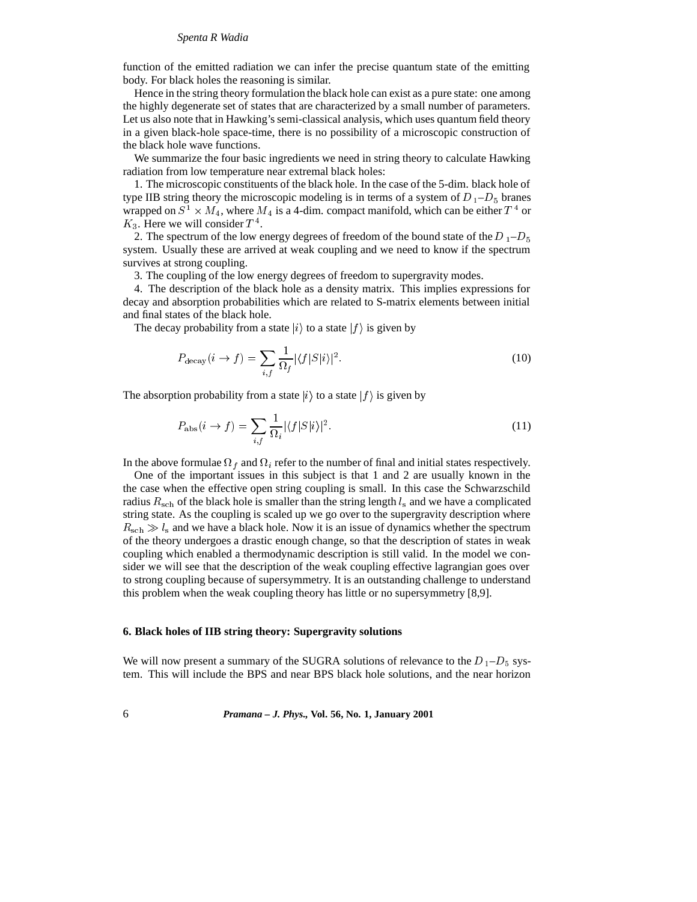function of the emitted radiation we can infer the precise quantum state of the emitting body. For black holes the reasoning is similar.

Hence in the string theory formulation the black hole can exist as a pure state: one among the highly degenerate set of states that are characterized by a small number of parameters. Let us also note that in Hawking's semi-classical analysis, which uses quantum field theory in a given black-hole space-time, there is no possibility of a microscopic construction of the black hole wave functions.

We summarize the four basic ingredients we need in string theory to calculate Hawking radiation from low temperature near extremal black holes:

1. The microscopic constituents of the black hole. In the case of the 5-dim. black hole of type IIB string theory the microscopic modeling is in terms of a system of  $D_1$ – $D_5$  branes wrapped on  $S^1 \times M_4$ , where  $M_4$  is a 4-dim. compact manifold, which can be either  $T^4$  or  $K_3$ . Here we will consider  $T^4$ .

2. The spectrum of the low energy degrees of freedom of the bound state of the  $D_1-D_5$ system. Usually these are arrived at weak coupling and we need to know if the spectrum survives at strong coupling.

3. The coupling of the low energy degrees of freedom to supergravity modes.

4. The description of the black hole as a density matrix. This implies expressions for decay and absorption probabilities which are related to S-matrix elements between initial and final states of the black hole.

The decay probability from a state  $|i\rangle$  to a state  $|f\rangle$  is given by

$$
P_{\text{decay}}(i \to f) = \sum_{i,f} \frac{1}{\Omega_f} |\langle f|S|i\rangle|^2. \tag{10}
$$

The absorption probability from a state  $|i\rangle$  to a state  $|f\rangle$  is given by

$$
P_{\text{abs}}(i \to f) = \sum_{i,f} \frac{1}{\Omega_i} |\langle f|S|i\rangle|^2. \tag{11}
$$

In the above formulae  $\Omega_f$  and  $\Omega_i$  refer to the number of final and initial states respectively.

One of the important issues in this subject is that 1 and 2 are usually known in the the case when the effective open string coupling is small. In this case the Schwarzschild radius  $R_{\rm sch}$  of the black hole is smaller than the string length  $l_s$  and we have a complicated string state. As the coupling is scaled up we go over to the supergravity description where  $R_{\rm sch} \gg l_{\rm s}$  and we have a black hole. Now it is an issue of dynamics whether the spectrum of the theory undergoes a drastic enough change, so that the description of states in weak coupling which enabled a thermodynamic description is still valid. In the model we consider we will see that the description of the weak coupling effective lagrangian goes over to strong coupling because of supersymmetry. It is an outstanding challenge to understand this problem when the weak coupling theory has little or no supersymmetry [8,9].

#### **6. Black holes of IIB string theory: Supergravity solutions**

We will now present a summary of the SUGRA solutions of relevance to the  $D_1-D_5$  system. This will include the BPS and near BPS black hole solutions, and the near horizon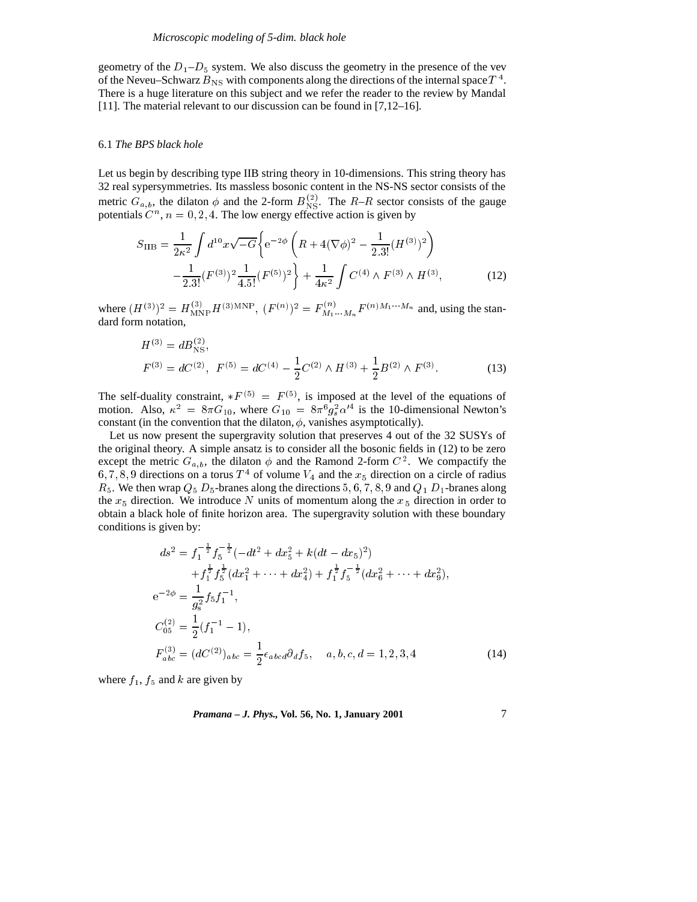geometry of the  $D_1$ – $D_5$  system. We also discuss the geometry in the presence of the vev of the Neveu–Schwarz  $B_{\text{NS}}$  with components along the directions of the internal space  $T^4$ . There is a huge literature on this subject and we refer the reader to the review by Mandal [11]. The material relevant to our discussion can be found in [7,12–16].

## 6.1 *The BPS black hole*

Let us begin by describing type IIB string theory in 10-dimensions. This string theory has 32 real sypersymmetries. Its massless bosonic content in the NS-NS sector consists of the metric  $G_{a,b}$ , the dilaton  $\phi$  and the 2-form  $B_{NS}^{(2)}$ . The  $R-R$  sector consists of the gauge potentials  $C^n$ ,  $n = 0, 2, 4$ . The low energy effective action is given by

$$
S_{\rm IIB} = \frac{1}{2\kappa^2} \int d^{10}x \sqrt{-G} \left\{ e^{-2\phi} \left( R + 4(\nabla\phi)^2 - \frac{1}{2.3!} (H^{(3)})^2 \right) - \frac{1}{2.3!} (F^{(3)})^2 \frac{1}{4.5!} (F^{(5)})^2 \right\} + \frac{1}{4\kappa^2} \int C^{(4)} \wedge F^{(3)} \wedge H^{(3)}, \tag{12}
$$

where  $(H^{(3)})^2 = H_{\text{MNP}}^{(3)} H^{(3) \text{MNP}}$ ,  $(F^{(n)})^2 = F_{M_1 \cdots M_n}^{(n)} F^{(n) M_1 \cdots M_n}$  and, using the standard form notation,

$$
H^{(3)} = dB_{NS}^{(2)},
$$
  
\n
$$
F^{(3)} = dC^{(2)},
$$
  
\n
$$
F^{(5)} = dC^{(4)} - \frac{1}{2}C^{(2)} \wedge H^{(3)} + \frac{1}{2}B^{(2)} \wedge F^{(3)}.
$$
\n(13)

The self-duality constraint,  $*F^{(5)} = F^{(5)}$ , is imposed at the level of the equations of motion. Also,  $\kappa^2 = 8\pi G_{10}$ , where  $G_{10} = 8\pi^6 g_s^2 \alpha'^4$  is the 10-dimensional Newton's constant (in the convention that the dilaton,  $\phi$ , vanishes asymptotically).

Let us now present the supergravity solution that preserves 4 out of the 32 SUSYs of the original theory. A simple ansatz is to consider all the bosonic fields in (12) to be zero except the metric  $G_{a,b}$ , the dilaton  $\phi$  and the Ramond 2-form  $C^2$ . We compactify the 6, 7, 8, 9 directions on a torus  $T^4$  of volume  $V_4$  and the  $x_5$  direction on a circle of radius  $R_5$ . We then wrap  $Q_5$   $D_5$ -branes along the directions 5, 6, 7, 8, 9 and  $Q_1$   $D_1$ -branes along the  $x_5$  direction. We introduce N units of momentum along the  $x_5$  direction in order to obtain a black hole of finite horizon area. The supergravity solution with these boundary conditions is given by:

$$
ds^{2} = f_{1}^{-\frac{1}{2}} f_{5}^{-\frac{1}{2}} (-dt^{2} + dx_{5}^{2} + k(dt - dx_{5})^{2})
$$
  
\n
$$
+ f_{1}^{\frac{1}{2}} f_{5}^{\frac{1}{2}} (dx_{1}^{2} + \dots + dx_{4}^{2}) + f_{1}^{\frac{1}{2}} f_{5}^{-\frac{1}{2}} (dx_{6}^{2} + \dots + dx_{9}^{2}),
$$
  
\n
$$
e^{-2\phi} = \frac{1}{g_{s}^{2}} f_{5} f_{1}^{-1},
$$
  
\n
$$
C_{05}^{(2)} = \frac{1}{2} (f_{1}^{-1} - 1),
$$
  
\n
$$
F_{abc}^{(3)} = (dC^{(2)})_{abc} = \frac{1}{2} \epsilon_{abcd} \partial_{d} f_{5}, \quad a, b, c, d = 1, 2, 3, 4
$$
 (14)

where  $f_1$ ,  $f_5$  and k are given by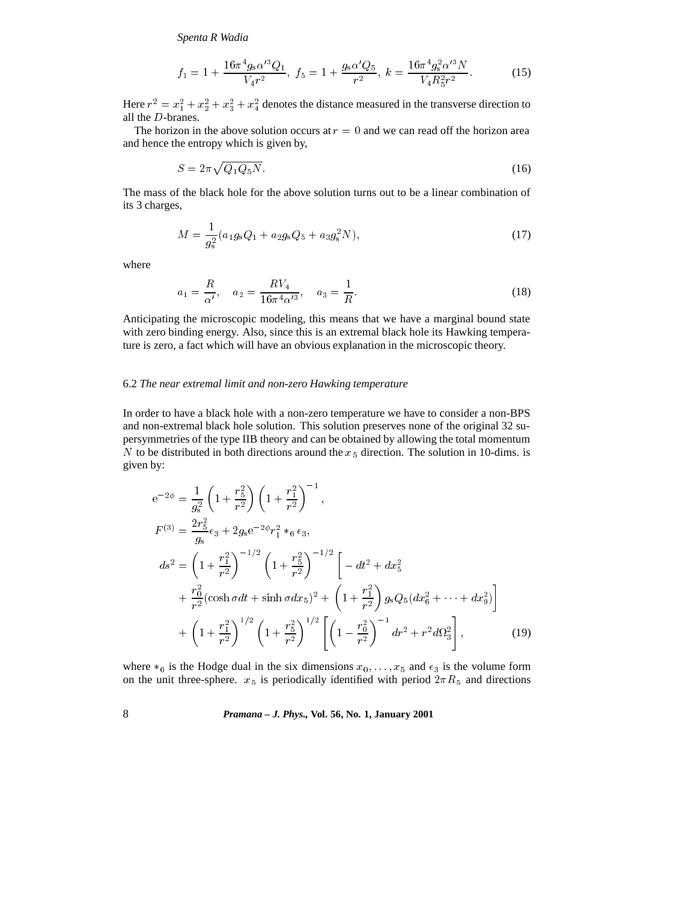$$
f_1 = 1 + \frac{16\pi^4 g_s \alpha'^3 Q_1}{V_4 r^2}, \ f_5 = 1 + \frac{g_s \alpha' Q_5}{r^2}, \ k = \frac{16\pi^4 g_s^2 \alpha'^3 N}{V_4 R_5^2 r^2}.
$$
 (15)

Here  $r^2 = x_1^2 + x_2^2 + x_3^2 + x_4^2$  denotes the distance measured in the transverse direction to all the D-branes.

The horizon in the above solution occurs at  $r = 0$  and we can read off the horizon area and hence the entropy which is given by,

$$
S = 2\pi \sqrt{Q_1 Q_5 N}.\tag{16}
$$

The mass of the black hole for the above solution turns out to be a linear combination of its 3 charges,

$$
M = \frac{1}{g_s^2} (a_1 g_s Q_1 + a_2 g_s Q_5 + a_3 g_s^2 N), \qquad (17)
$$

where

$$
a_1 = \frac{R}{\alpha'}, \quad a_2 = \frac{RV_4}{16\pi^4 \alpha'^3}, \quad a_3 = \frac{1}{R}.
$$
 (18)

Anticipating the microscopic modeling, this means that we have a marginal bound state with zero binding energy. Also, since this is an extremal black hole its Hawking temperature is zero, a fact which will have an obvious explanation in the microscopic theory.

#### 6.2 *The near extremal limit and non-zero Hawking temperature*

In order to have a black hole with a non-zero temperature we have to consider a non-BPS and non-extremal black hole solution. This solution preserves none of the original 32 supersymmetries of the type IIB theory and can be obtained by allowing the total momentum N to be distributed in both directions around the  $x_5$  direction. The solution in 10-dims. is given by:

$$
e^{-2\phi} = \frac{1}{g_s^2} \left( 1 + \frac{r_5^2}{r^2} \right) \left( 1 + \frac{r_1^2}{r^2} \right)^{-1},
$$
  
\n
$$
F^{(3)} = \frac{2r_5^2}{g_s} \epsilon_3 + 2g_s e^{-2\phi} r_1^2 *_{6} \epsilon_3,
$$
  
\n
$$
ds^2 = \left( 1 + \frac{r_1^2}{r^2} \right)^{-1/2} \left( 1 + \frac{r_5^2}{r^2} \right)^{-1/2} \left[ -dt^2 + dx_5^2 + \frac{r_0^2}{r^2} (\cosh \sigma dt + \sinh \sigma dx_5)^2 + \left( 1 + \frac{r_1^2}{r^2} \right) g_s Q_5 (dx_6^2 + \dots + dx_9^2) \right]
$$
  
\n
$$
+ \left( 1 + \frac{r_1^2}{r^2} \right)^{1/2} \left( 1 + \frac{r_5^2}{r^2} \right)^{1/2} \left[ \left( 1 - \frac{r_0^2}{r^2} \right)^{-1} dr^2 + r^2 d\Omega_3^2 \right],
$$
\n(19)

where  $*_6$  is the Hodge dual in the six dimensions  $x_0$ , ...,  $x_5$  and  $\epsilon_3$  is the volume form on the unit three-sphere.  $x_5$  is periodically identified with period  $2\pi R_5$  and directions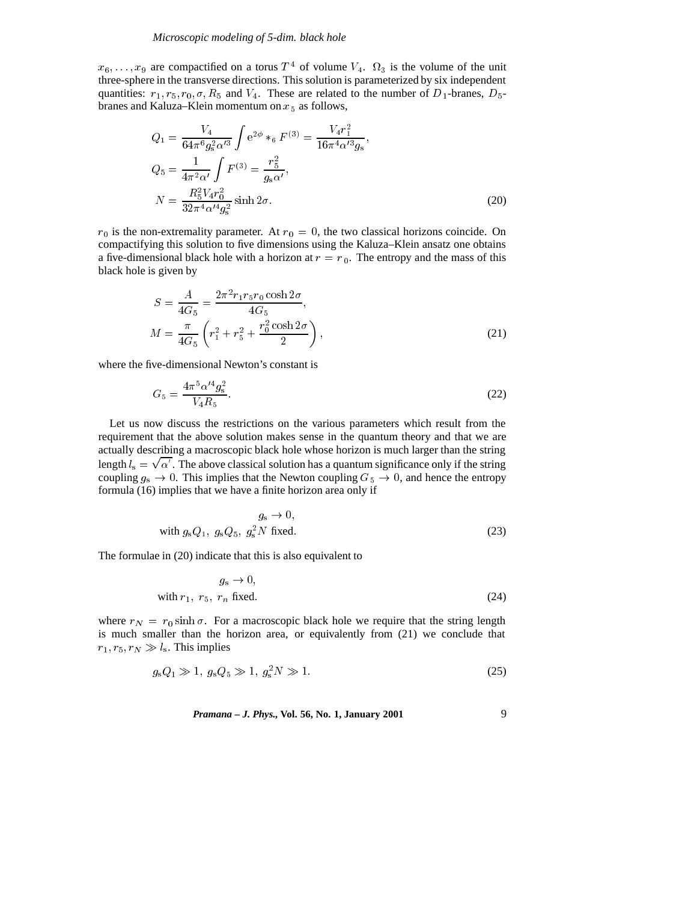$x_6, \ldots, x_9$  are compactified on a torus  $T^4$  of volume  $V_4$ .  $\Omega_3$  is the volume of the unit three-sphere in the transverse directions. This solution is parameterized by six independent quantities:  $r_1, r_5, r_0, \sigma, R_5$  and  $V_4$ . These are related to the number of  $D_1$ -branes,  $D_5$ branes and Kaluza–Klein momentum on  $x_5$  as follows,

$$
Q_1 = \frac{V_4}{64\pi^6 g_s^2 \alpha'^3} \int e^{2\phi} *_6 F^{(3)} = \frac{V_4 r_1^2}{16\pi^4 \alpha'^3 g_s},
$$
  
\n
$$
Q_5 = \frac{1}{4\pi^2 \alpha'} \int F^{(3)} = \frac{r_5^2}{g_s \alpha'},
$$
  
\n
$$
N = \frac{R_5^2 V_4 r_0^2}{32\pi^4 \alpha'^4 g_s^2} \sinh 2\sigma.
$$
\n(20)

 $r_0$  is the non-extremality parameter. At  $r_0 = 0$ , the two classical horizons coincide. On compactifying this solution to five dimensions using the Kaluza–Klein ansatz one obtains a five-dimensional black hole with a horizon at  $r = r_0$ . The entropy and the mass of this black hole is given by

$$
S = \frac{A}{4G_5} = \frac{2\pi^2 r_1 r_5 r_0 \cosh 2\sigma}{4G_5},
$$
  

$$
M = \frac{\pi}{4G_5} \left( r_1^2 + r_5^2 + \frac{r_0^2 \cosh 2\sigma}{2} \right),
$$
 (21)

where the five-dimensional Newton's constant is

$$
G_5 = \frac{4\pi^5 \alpha'^4 g_s^2}{V_4 R_5}.
$$
\n(22)

Let us now discuss the restrictions on the various parameters which result from the requirement that the above solution makes sense in the quantum theory and that we are actually describing a macroscopic black hole whose horizon is much larger than the string length  $l_s = \sqrt{\alpha'}$ . The above classical solution has a quantum significance only if the string coupling  $g_s \to 0$ . This implies that the Newton coupling  $G_5 \to 0$ , and hence the entropy formula (16) implies that we have a finite horizon area only if

$$
g_s \to 0,
$$
  
with  $g_s Q_1$ ,  $g_s Q_5$ ,  $g_s^2 N$  fixed. (23)

The formulae in (20) indicate that this is also equivalent to

$$
g_s \to 0,
$$
  
with  $r_1$ ,  $r_5$ ,  $r_n$  fixed. (24)

where  $r_N = r_0 \sinh \sigma$ . For a macroscopic black hole we require that the string length is much smaller than the horizon area, or equivalently from (21) we conclude that  $r_1, r_5, r_N \gg l_s$ . This implies

$$
g_s Q_1 \gg 1, \ g_s Q_5 \gg 1, \ g_s^2 N \gg 1. \tag{25}
$$

*Pramana – J. Phys.,* **Vol. 56, No. 1, January 2001** 9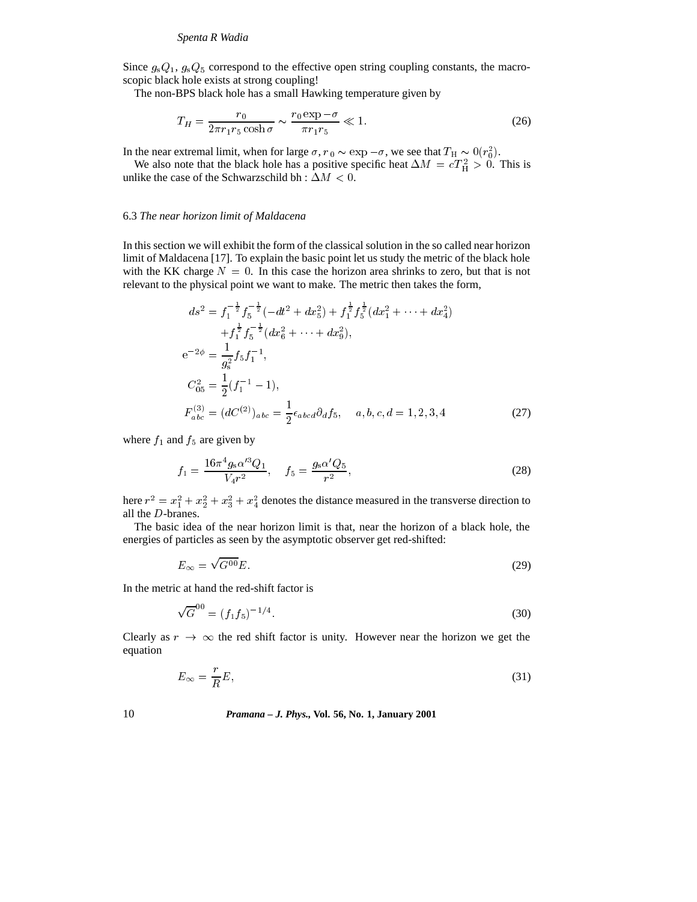Since  $g_sQ_1$ ,  $g_sQ_5$  correspond to the effective open string coupling constants, the macroscopic black hole exists at strong coupling!

The non-BPS black hole has a small Hawking temperature given by

$$
T_H = \frac{r_0}{2\pi r_1 r_5 \cosh \sigma} \sim \frac{r_0 \exp - \sigma}{\pi r_1 r_5} \ll 1. \tag{26}
$$

In the near extremal limit, when for large  $\sigma$ ,  $r_0 \sim \exp(-\sigma)$ , we see that  $T_H \sim 0(r_0^2)$ .

We also note that the black hole has a positive specific heat  $\Delta M = cT_H^2 > 0$ . This is unlike the case of the Schwarzschild bh :  $\Delta M < 0$ .

## 6.3 *The near horizon limit of Maldacena*

In this section we will exhibit the form of the classical solution in the so called near horizon limit of Maldacena [17]. To explain the basic point let us study the metric of the black hole with the KK charge  $N = 0$ . In this case the horizon area shrinks to zero, but that is not relevant to the physical point we want to make. The metric then takes the form,

$$
ds^{2} = f_{1}^{-\frac{1}{2}} f_{5}^{-\frac{1}{2}} (-dt^{2} + dx_{5}^{2}) + f_{1}^{\frac{1}{2}} f_{5}^{\frac{1}{2}} (dx_{1}^{2} + \dots + dx_{4}^{2})
$$
  
+  $f_{1}^{\frac{1}{2}} f_{5}^{-\frac{1}{2}} (dx_{6}^{2} + \dots + dx_{9}^{2}),$   
e<sup>-2 $\phi$</sup>  =  $\frac{1}{g_{s}^{2}} f_{5} f_{1}^{-1},$   

$$
C_{05}^{2} = \frac{1}{2} (f_{1}^{-1} - 1),
$$
  

$$
F_{abc}^{(3)} = (dC^{(2)})_{abc} = \frac{1}{2} \epsilon_{abcd} \partial_{d} f_{5}, \quad a, b, c, d = 1, 2, 3, 4
$$
 (27)

where  $f_1$  and  $f_5$  are given by

$$
f_1 = \frac{16\pi^4 g_s \alpha'^3 Q_1}{V_4 r^2}, \quad f_5 = \frac{g_s \alpha' Q_5}{r^2}, \tag{28}
$$

here  $r^2 = x_1^2 + x_2^2 + x_3^2 + x_4^2$  denotes the distance measured in the transverse direction to all the D-branes.

The basic idea of the near horizon limit is that, near the horizon of a black hole, the energies of particles as seen by the asymptotic observer get red-shifted:

$$
E_{\infty} = \sqrt{G^{00}} E. \tag{29}
$$

In the metric at hand the red-shift factor is

$$
\sqrt{G}^{00} = (f_1 f_5)^{-1/4}.
$$
\n(30)

Clearly as  $r \to \infty$  the red shift factor is unity. However near the horizon we get the equation

$$
E_{\infty} = \frac{r}{R}E,\tag{31}
$$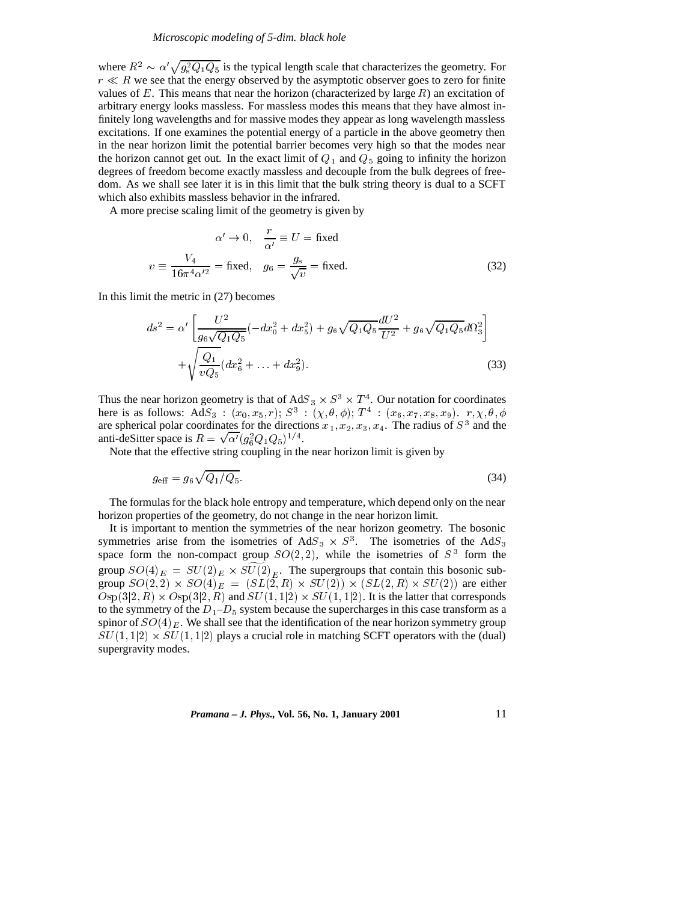where  $R^2 \sim \alpha' \sqrt{g_s^2 Q_1 Q_5}$  is the typical length scale that characterizes the geometry. For  $r \ll R$  we see that the energy observed by the asymptotic observer goes to zero for finite values of E. This means that near the horizon (characterized by large  $R$ ) an excitation of arbitrary energy looks massless. For massless modes this means that they have almost infinitely long wavelengths and for massive modes they appear as long wavelength massless excitations. If one examines the potential energy of a particle in the above geometry then in the near horizon limit the potential barrier becomes very high so that the modes near the horizon cannot get out. In the exact limit of  $Q_1$  and  $Q_5$  going to infinity the horizon degrees of freedom become exactly massless and decouple from the bulk degrees of freedom. As we shall see later it is in this limit that the bulk string theory is dual to a SCFT which also exhibits massless behavior in the infrared.

A more precise scaling limit of the geometry is given by

$$
\alpha' \to 0, \quad \frac{r}{\alpha'} \equiv U = \text{fixed}
$$

$$
v \equiv \frac{V_4}{16\pi^4 \alpha'^2} = \text{fixed}, \quad g_6 = \frac{g_s}{\sqrt{v}} = \text{fixed}.
$$
(32)

In this limit the metric in (27) becomes

$$
ds^{2} = \alpha' \left[ \frac{U^{2}}{g_{6}\sqrt{Q_{1}Q_{5}}}(-dx_{0}^{2} + dx_{5}^{2}) + g_{6}\sqrt{Q_{1}Q_{5}}\frac{dU^{2}}{U^{2}} + g_{6}\sqrt{Q_{1}Q_{5}}d\Omega_{3}^{2} \right] + \sqrt{\frac{Q_{1}}{vQ_{5}}}(dx_{6}^{2} + \ldots + dx_{9}^{2}).
$$
\n(33)

Thus the near horizon geometry is that of AdS<sub>3</sub>  $\times$  S<sup>3</sup>  $\times$  T<sup>4</sup>. Our notation for coordinates here is as follows:  $AdS_3$ :  $(x_0, x_5, r)$ ;  $S^3$ :  $(\chi, \theta, \phi)$ ;  $T^4$ :  $(x_6, x_7, x_8, x_9)$ .  $r, \chi, \theta, \phi$ are spherical polar coordinates for the directions  $x_1, x_2, x_3, x_4$ . The radius of  $S^3$  and the anti-deSitter space is  $R = \sqrt{\alpha'} (g_6^2 Q_1 Q_5)^{1/4}$ .

Note that the effective string coupling in the near horizon limit is given by

$$
g_{\text{eff}} = g_6 \sqrt{Q_1 / Q_5}.\tag{34}
$$

The formulas for the black hole entropy and temperature, which depend only on the near horizon properties of the geometry, do not change in the near horizon limit.

It is important to mention the symmetries of the near horizon geometry. The bosonic symmetries arise from the isometries of  $AdS_3 \times S^3$ . The isometries of the  $AdS_3$ space form the non-compact group  $SO(2,2)$ , while the isometries of  $S<sup>3</sup>$  form the group  $SO(4)_E = SU(2)_E \times SU(2)_E$ . The supergroups that contain this bosonic subgroup  $SO(2,2) \times SO(4)_E = (SL(2,R) \times SU(2)) \times (SL(2,R) \times SU(2))$  are either  $Osp(3|2, R) \times Osp(3|2, R)$  and  $SU(1, 1|2) \times SU(1, 1|2)$ . It is the latter that corresponds to the symmetry of the  $D_1$ – $D_5$  system because the supercharges in this case transform as a spinor of  $SO(4)_E$ . We shall see that the identification of the near horizon symmetry group  $SU(1,1|2) \times SU(1,1|2)$  plays a crucial role in matching SCFT operators with the (dual) supergravity modes.

*Pramana – J. Phys.,* **Vol. 56, No. 1, January 2001** 11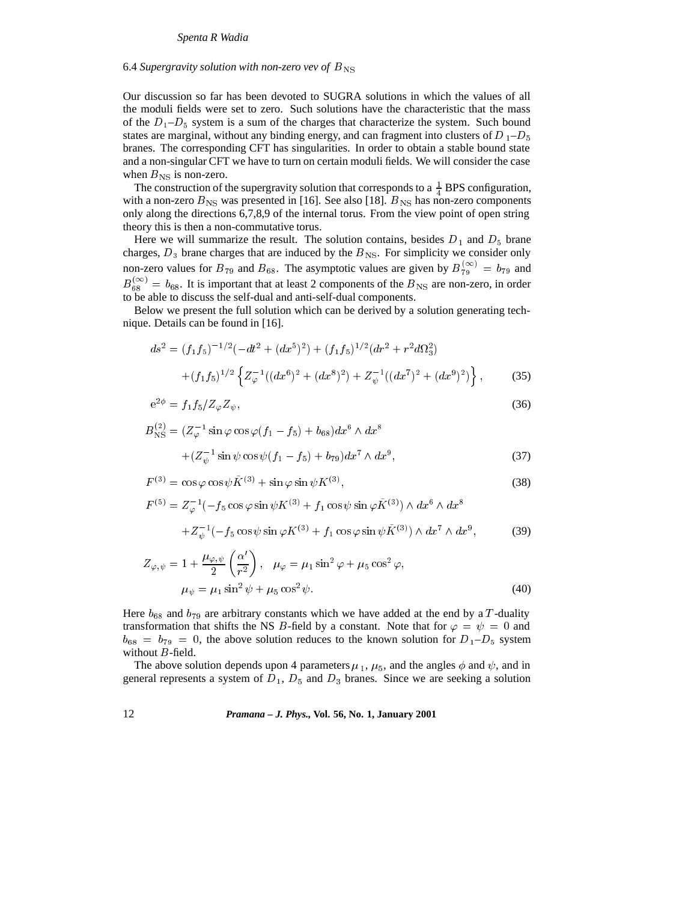## 6.4 *Supergravity solution with non-zero vev of*  $B_{\text{NS}}$

Our discussion so far has been devoted to SUGRA solutions in which the values of all the moduli fields were set to zero. Such solutions have the characteristic that the mass of the  $D_1$ – $D_5$  system is a sum of the charges that characterize the system. Such bound states are marginal, without any binding energy, and can fragment into clusters of  $D_1$ - $D_5$ branes. The corresponding CFT has singularities. In order to obtain a stable bound state and a non-singular CFT we have to turn on certain moduli fields. We will consider the case when  $B_{\text{NS}}$  is non-zero.

The construction of the supergravity solution that corresponds to a  $\frac{1}{4}$  BPS configuration, with a non-zero  $B_{\text{NS}}$  was presented in [16]. See also [18].  $B_{\text{NS}}$  has non-zero components only along the directions 6,7,8,9 of the internal torus. From the view point of open string theory this is then a non-commutative torus.

Here we will summarize the result. The solution contains, besides  $D_1$  and  $D_5$  brane charges,  $D_3$  brane charges that are induced by the  $B_{\text{NS}}$ . For simplicity we consider only non-zero values for  $B_{79}$  and  $B_{68}$ . The asymptotic values are given by  $B_{79}^{(\infty)} = b_{79}$  and  $B_{68}^{(\infty)} = b_{68}$ . It is important that at least 2 components of the  $B_{NS}$  are non-zero, in order to be able to discuss the self-dual and anti-self-dual components.

Below we present the full solution which can be derived by a solution generating technique. Details can be found in [16].

$$
ds^{2} = (f_{1}f_{5})^{-1/2}(-dt^{2} + (dx^{5})^{2}) + (f_{1}f_{5})^{1/2}(dr^{2} + r^{2}d\Omega_{3}^{2})
$$

$$
+ (f_{1}f_{5})^{1/2} \left\{ Z_{\varphi}^{-1}((dx^{6})^{2} + (dx^{8})^{2}) + Z_{\psi}^{-1}((dx^{7})^{2} + (dx^{9})^{2}) \right\},
$$
(35)

$$
e^{2\phi} = f_1 f_5 / Z_{\varphi} Z_{\psi},\tag{36}
$$

$$
B_{\text{NS}}^{(2)} = (Z_{\varphi}^{-1} \sin \varphi \cos \varphi (f_1 - f_5) + b_{68}) dx^6 \wedge dx^8 + (Z_{\psi}^{-1} \sin \psi \cos \psi (f_1 - f_5) + b_{79}) dx^7 \wedge dx^9,
$$
 (37)

$$
F^{(3)} = \cos\varphi\cos\psi\tilde{K}^{(3)} + \sin\varphi\sin\psi K^{(3)},\tag{38}
$$

$$
F^{(5)} = Z_{\varphi}^{-1}(-f_5 \cos \varphi \sin \psi K^{(3)} + f_1 \cos \psi \sin \varphi \tilde{K}^{(3)}) \wedge dx^6 \wedge dx^8
$$
  
+ 
$$
Z_{\psi}^{-1}(-f_5 \cos \psi \sin \varphi K^{(3)} + f_1 \cos \varphi \sin \psi \tilde{K}^{(3)}) \wedge dx^7 \wedge dx^9, \tag{39}
$$

$$
Z_{\varphi,\psi} = 1 + \frac{\mu_{\varphi,\psi}}{2} \left(\frac{\alpha'}{r^2}\right), \quad \mu_{\varphi} = \mu_1 \sin^2 \varphi + \mu_5 \cos^2 \varphi,
$$

$$
\mu_{\psi} = \mu_1 \sin^2 \psi + \mu_5 \cos^2 \psi.
$$
(40)

Here  $b_{68}$  and  $b_{79}$  are arbitrary constants which we have added at the end by a T-duality transformation that shifts the NS B-field by a constant. Note that for  $\varphi = \psi = 0$  and  $b_{68} = b_{79} = 0$ , the above solution reduces to the known solution for  $D_1 - D_5$  system without B-field.

The above solution depends upon 4 parameters  $\mu_1$ ,  $\mu_5$ , and the angles  $\phi$  and  $\psi$ , and in general represents a system of  $D_1$ ,  $D_5$  and  $D_3$  branes. Since we are seeking a solution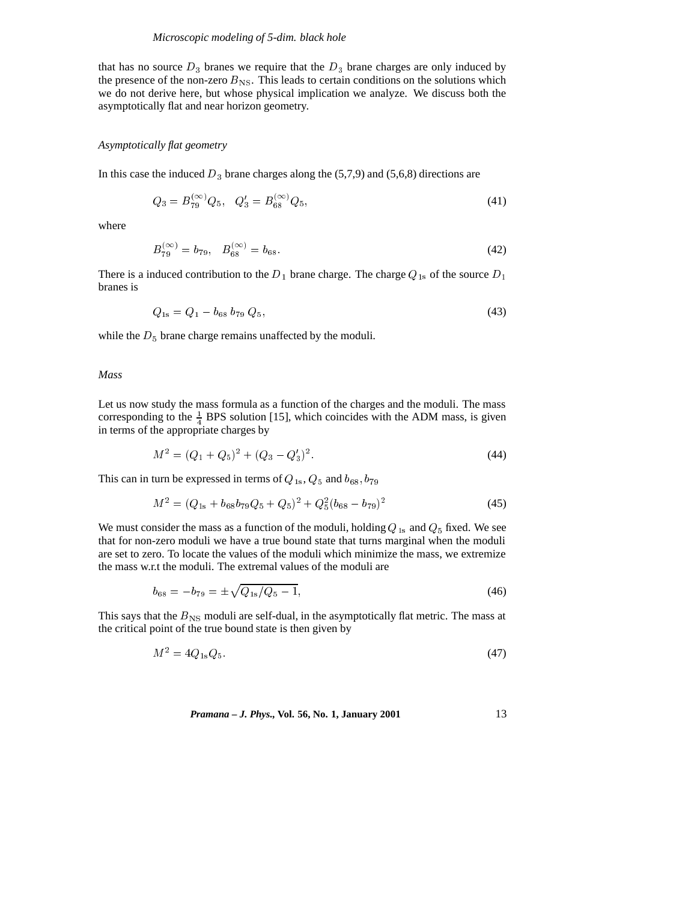that has no source  $D_3$  branes we require that the  $D_3$  brane charges are only induced by the presence of the non-zero  $B_{\text{NS}}$ . This leads to certain conditions on the solutions which we do not derive here, but whose physical implication we analyze. We discuss both the asymptotically flat and near horizon geometry.

## *Asymptotically flat geometry*

In this case the induced  $D_3$  brane charges along the (5,7,9) and (5,6,8) directions are

$$
Q_3 = B_{79}^{(\infty)} Q_5, \quad Q_3' = B_{68}^{(\infty)} Q_5,\tag{41}
$$

where

$$
B_{79}^{(\infty)} = b_{79}, \quad B_{68}^{(\infty)} = b_{68}.\tag{42}
$$

There is a induced contribution to the  $D_1$  brane charge. The charge  $Q_{1s}$  of the source  $D_1$ branes is

$$
Q_{1s} = Q_1 - b_{68} b_{79} Q_5, \tag{43}
$$

while the  $D_5$  brane charge remains unaffected by the moduli.

## *Mass*

Let us now study the mass formula as a function of the charges and the moduli. The mass corresponding to the  $\frac{1}{4}$  BPS solution [15], which coincides with the ADM mass, is given in terms of the appropriate charges by

$$
M^2 = (Q_1 + Q_5)^2 + (Q_3 - Q_3')^2.
$$
\n(44)

This can in turn be expressed in terms of  $Q_{1s}$ ,  $Q_5$  and  $b_{68}$ ,  $b_{79}$ 

$$
M^2 = (Q_{1s} + b_{68}b_{79}Q_5 + Q_5)^2 + Q_5^2(b_{68} - b_{79})^2
$$
\n(45)

We must consider the mass as a function of the moduli, holding  $Q_{1s}$  and  $Q_5$  fixed. We see that for non-zero moduli we have a true bound state that turns marginal when the moduli are set to zero. To locate the values of the moduli which minimize the mass, we extremize the mass w.r.t the moduli. The extremal values of the moduli are

$$
b_{68} = -b_{79} = \pm \sqrt{Q_{1s}/Q_5 - 1},\tag{46}
$$

This says that the  $B_{\text{NS}}$  moduli are self-dual, in the asymptotically flat metric. The mass at the critical point of the true bound state is then given by

$$
M^2 = 4Q_{1s}Q_5. \t\t(47)
$$

*Pramana – J. Phys.,* **Vol. 56, No. 1, January 2001** 13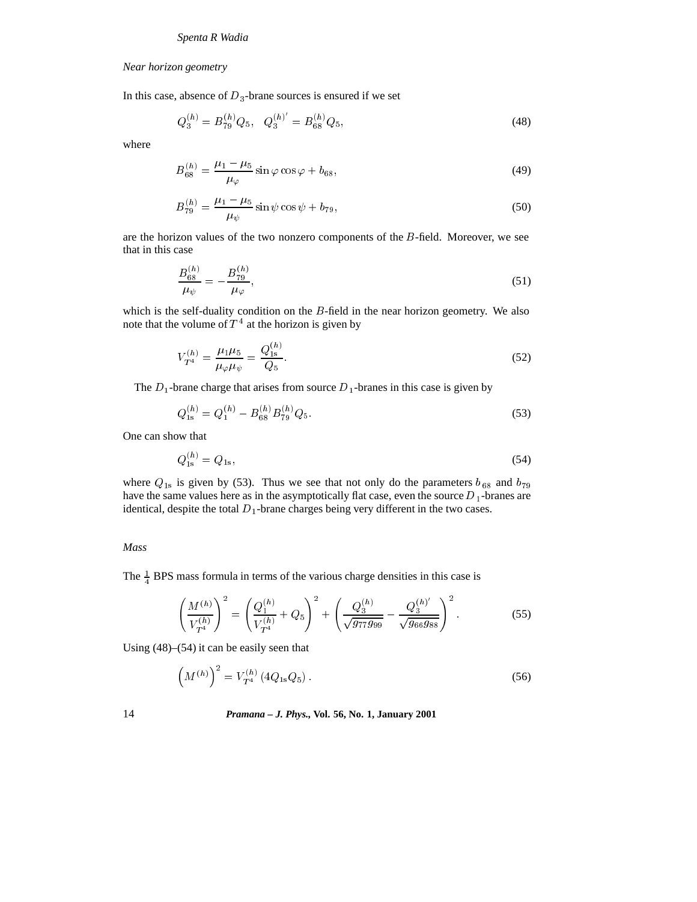# *Near horizon geometry*

In this case, absence of  $D_3$ -brane sources is ensured if we set

$$
Q_3^{(h)} = B_{79}^{(h)} Q_5, \quad Q_3^{(h)'} = B_{68}^{(h)} Q_5,\tag{48}
$$

where

$$
B_{68}^{(h)} = \frac{\mu_1 - \mu_5}{\mu_\varphi} \sin \varphi \cos \varphi + b_{68},\tag{49}
$$

$$
B_{79}^{(h)} = \frac{\mu_1 - \mu_5}{\mu_\psi} \sin \psi \cos \psi + b_{79},\tag{50}
$$

are the horizon values of the two nonzero components of the <sup>B</sup>-field. Moreover, we see that in this case

$$
\frac{B_{68}^{(h)}}{\mu_{\psi}} = -\frac{B_{79}^{(h)}}{\mu_{\varphi}},\tag{51}
$$

which is the self-duality condition on the B-field in the near horizon geometry. We also note that the volume of  $T<sup>4</sup>$  at the horizon is given by

$$
V_{T^4}^{(h)} = \frac{\mu_1 \mu_5}{\mu_\varphi \mu_\psi} = \frac{Q_{1\,\text{s}}^{(h)}}{Q_5}.\tag{52}
$$

The  $D_1$ -brane charge that arises from source  $D_1$ -branes in this case is given by

$$
Q_{1s}^{(h)} = Q_1^{(h)} - B_{68}^{(h)} B_{79}^{(h)} Q_5.
$$
 (53)

One can show that

$$
Q_{1s}^{(h)} = Q_{1s},\tag{54}
$$

where  $Q_{1s}$  is given by (53). Thus we see that not only do the parameters  $b_{68}$  and  $b_{79}$ have the same values here as in the asymptotically flat case, even the source  $D_1$ -branes are identical, despite the total  $D_1$ -brane charges being very different in the two cases.

## *Mass*

The  $\frac{1}{4}$  BPS mass formula in terms of the various charge densities in this case is

$$
\left(\frac{M^{(h)}}{V_{T^4}^{(h)}}\right)^2 = \left(\frac{Q_1^{(h)}}{V_{T^4}^{(h)}} + Q_5\right)^2 + \left(\frac{Q_3^{(h)}}{\sqrt{g_{77}g_{99}}} - \frac{Q_3^{(h)'} }{\sqrt{g_{66}g_{88}}}\right)^2.
$$
\n(55)

Using (48)–(54) it can be easily seen that

$$
\left(M^{(h)}\right)^2 = V_{T^4}^{(h)}\left(4Q_{1s}Q_5\right). \tag{56}
$$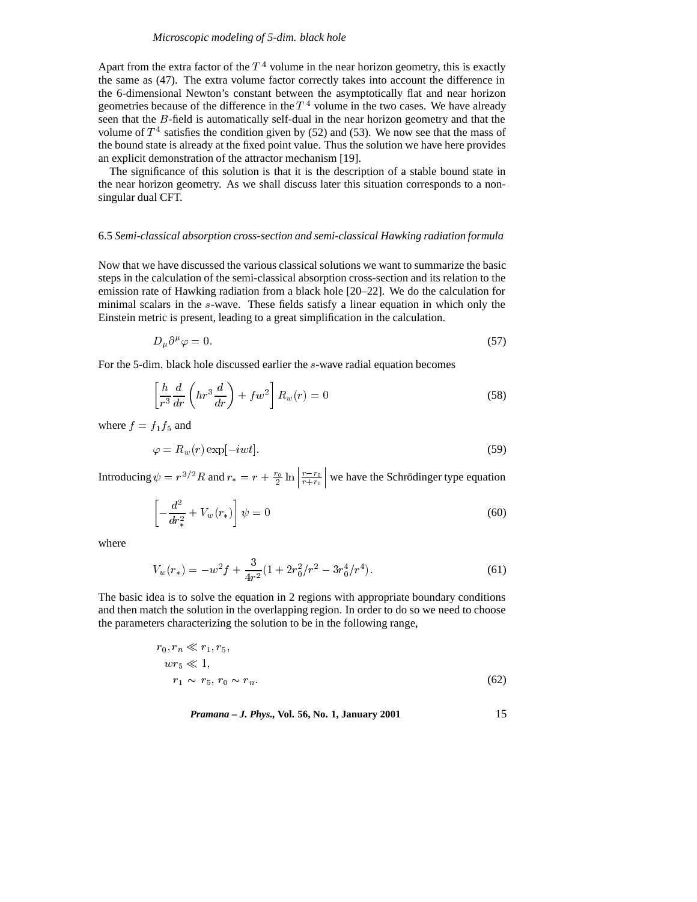Apart from the extra factor of the  $T^4$  volume in the near horizon geometry, this is exactly the same as (47). The extra volume factor correctly takes into account the difference in the 6-dimensional Newton's constant between the asymptotically flat and near horizon geometries because of the difference in the  $T<sup>4</sup>$  volume in the two cases. We have already seen that the B-field is automatically self-dual in the near horizon geometry and that the volume of  $T<sup>4</sup>$  satisfies the condition given by (52) and (53). We now see that the mass of the bound state is already at the fixed point value. Thus the solution we have here provides an explicit demonstration of the attractor mechanism [19].

The significance of this solution is that it is the description of a stable bound state in the near horizon geometry. As we shall discuss later this situation corresponds to a nonsingular dual CFT.

## 6.5 *Semi-classical absorption cross-section and semi-classical Hawking radiation formula*

Now that we have discussed the various classical solutions we want to summarize the basic steps in the calculation of the semi-classical absorption cross-section and its relation to the emission rate of Hawking radiation from a black hole [20–22]. We do the calculation for minimal scalars in the s-wave. These fields satisfy a linear equation in which only the Einstein metric is present, leading to a great simplification in the calculation.

$$
D_{\mu}\partial^{\mu}\varphi = 0. \tag{57}
$$

For the 5-dim. black hole discussed earlier the <sup>s</sup>-wave radial equation becomes

$$
\left[\frac{h}{r^3}\frac{d}{dr}\left(hr^3\frac{d}{dr}\right) + fw^2\right]R_w(r) = 0\tag{58}
$$

where  $f = f_1 f_5$  and

$$
\varphi = R_w(r) \exp[-iwt].\tag{59}
$$

Introducing  $\psi = r^{3/2}R$  and  $r_* = r + \frac{r_0}{2} \ln \left| \frac{r - r_0}{r + r_0} \right|$  we  $\left|\frac{r-r_0}{r+r_0}\right|$  we h we have the Schrödinger type equation

$$
\left[-\frac{d^2}{dr_*^2} + V_w(r_*)\right]\psi = 0\tag{60}
$$

where

$$
V_w(r_*) = -w^2 f + \frac{3}{4r^2} (1 + 2r_0^2/r^2 - 3r_0^4/r^4). \tag{61}
$$

The basic idea is to solve the equation in 2 regions with appropriate boundary conditions and then match the solution in the overlapping region. In order to do so we need to choose the parameters characterizing the solution to be in the following range,

$$
r_0, r_n \ll r_1, r_5,
$$
  
\n
$$
wr_5 \ll 1,
$$
  
\n
$$
r_1 \sim r_5, r_0 \sim r_n.
$$
\n(62)

*Pramana – J. Phys.,* **Vol. 56, No. 1, January 2001** 15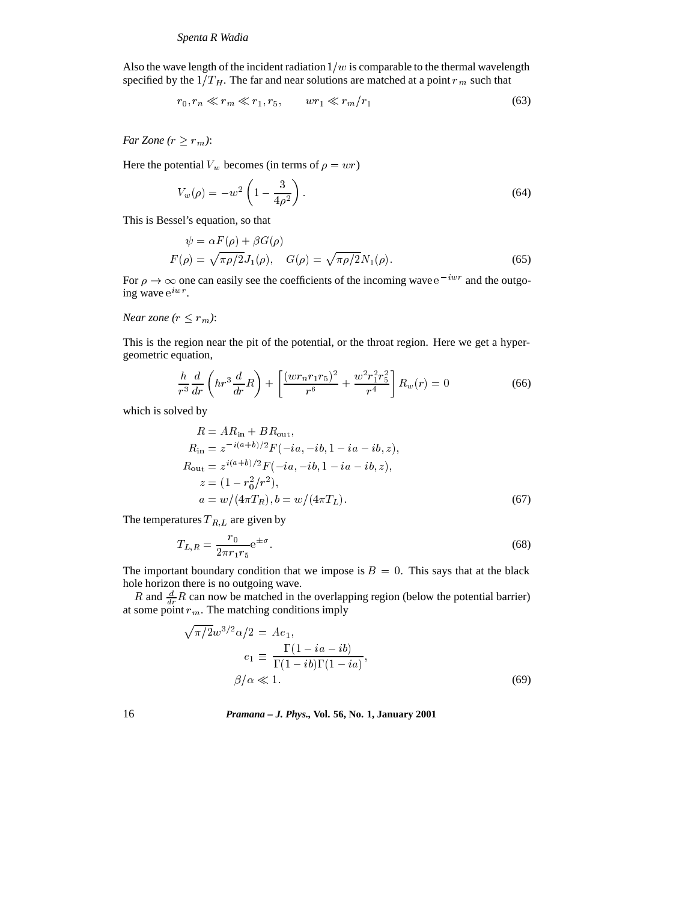Also the wave length of the incident radiation  $1/w$  is comparable to the thermal wavelength specified by the  $1/T_H$ . The far and near solutions are matched at a point  $r_m$  such that

$$
r_0, r_n \ll r_m \ll r_1, r_5, \qquad wr_1 \ll r_m/r_1 \tag{63}
$$

*Far Zone* ( $r \geq r_m$ ):

Here the potential  $V_w$  becomes (in terms of  $\rho = wr$ )

$$
V_w(\rho) = -w^2 \left(1 - \frac{3}{4\rho^2}\right). \tag{64}
$$

This is Bessel's equation, so that

$$
\psi = \alpha F(\rho) + \beta G(\rho)
$$
  

$$
F(\rho) = \sqrt{\pi \rho/2} J_1(\rho), \quad G(\rho) = \sqrt{\pi \rho/2} N_1(\rho).
$$
 (65)

For  $\rho \to \infty$  one can easily see the coefficients of the incoming wave  $e^{-iwr}$  and the outgoing wave  $e^{iwr}$ .

*Near zone* ( $r \leq r_m$ ):

This is the region near the pit of the potential, or the throat region. Here we get a hypergeometric equation,

$$
\frac{h}{r^3}\frac{d}{dr}\left(hr^3\frac{d}{dr}R\right) + \left[\frac{(wr_nr_1r_5)^2}{r^6} + \frac{w^2r_1^2r_5^2}{r^4}\right]R_w(r) = 0\tag{66}
$$

which is solved by

$$
R = AR_{in} + BR_{out},
$$
  
\n
$$
R_{in} = z^{-i(a+b)/2} F(-ia, -ib, 1 - ia - ib, z),
$$
  
\n
$$
R_{out} = z^{i(a+b)/2} F(-ia, -ib, 1 - ia - ib, z),
$$
  
\n
$$
z = (1 - r_0^2/r^2),
$$
  
\n
$$
a = w/(4\pi T_R), b = w/(4\pi T_L).
$$
\n(67)

The temperatures  $T_{R,L}$  are given by

$$
T_{L,R} = \frac{r_0}{2\pi r_1 r_5} e^{\pm \sigma}.
$$
\n(68)

The important boundary condition that we impose is  $B = 0$ . This says that at the black hole horizon there is no outgoing wave.

R and  $\frac{d}{dr}R$  can now be matched in the overlapping region (below the potential barrier) at some point  $r_m$ . The matching conditions imply

$$
\sqrt{\pi/2}w^{3/2}\alpha/2 = Ae_1,
$$
  
\n
$$
e_1 \equiv \frac{\Gamma(1 - ia - ib)}{\Gamma(1 - ib)\Gamma(1 - ia)},
$$
  
\n
$$
\beta/\alpha \ll 1.
$$
\n(69)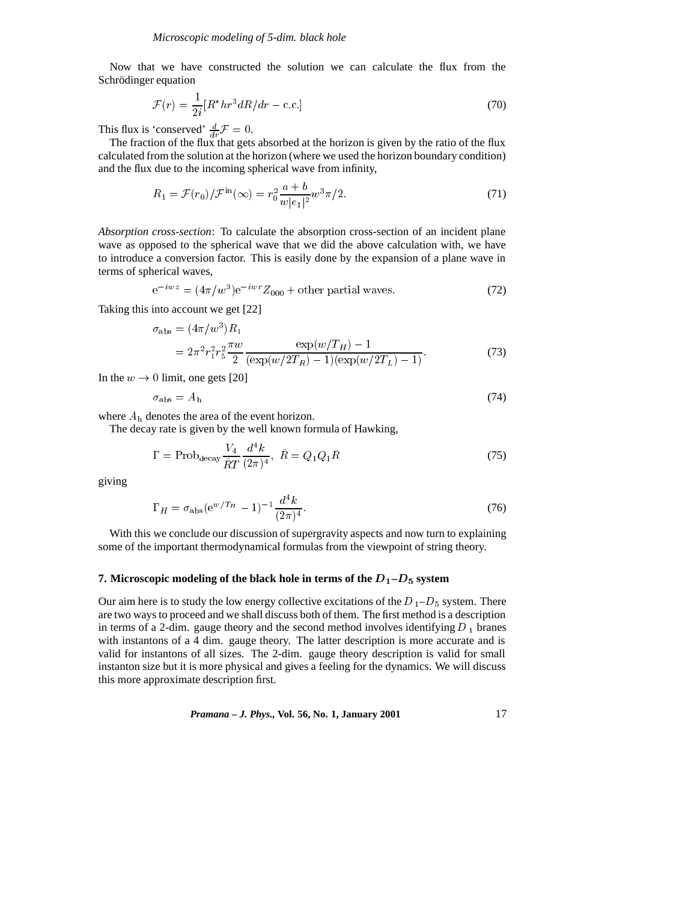Now that we have constructed the solution we can calculate the flux from the Schrödinger equation

$$
\mathcal{F}(r) = \frac{1}{2i} [R^*hr^3 dR/dr - \text{c.c.}] \tag{70}
$$

This flux is 'conserved'  $\frac{d}{dr}\mathcal{F}=0$ .

The fraction of the flux that gets absorbed at the horizon is given by the ratio of the flux calculated from the solution at the horizon (where we used the horizon boundary condition) and the flux due to the incoming spherical wave from infinity,

$$
R_1 = \mathcal{F}(r_0) / \mathcal{F}^{\text{in}}(\infty) = r_0^2 \frac{a+b}{w|e_1|^2} w^3 \pi / 2.
$$
 (71)

*Absorption cross-section*: To calculate the absorption cross-section of an incident plane wave as opposed to the spherical wave that we did the above calculation with, we have to introduce a conversion factor. This is easily done by the expansion of a plane wave in terms of spherical waves,

$$
e^{-iwz} = (4\pi/w^3)e^{-iwr}Z_{000} + \text{other partial waves.}
$$
 (72)

Taking this into account we get [22]

$$
\sigma_{\text{abs}} = (4\pi/w^{\circ})R_1
$$
  
=  $2\pi^2 r_1^2 r_5^2 \frac{\pi w}{2} \frac{\exp(w/T_H) - 1}{(\exp(w/2T_R) - 1)(\exp(w/2T_L) - 1)}.$  (73)

In the  $w \rightarrow 0$  limit, one gets [20]

$$
\sigma_{\rm abs} = A_{\rm h} \tag{74}
$$

where  $A_h$  denotes the area of the event horizon.

The decay rate is given by the well known formula of Hawking,

$$
\Gamma = \text{Prob}_{\text{decay}} \frac{V_4}{\tilde{R}T} \frac{d^4 k}{(2\pi)^4}, \ \tilde{R} = Q_1 Q_1 R \tag{75}
$$

giving

$$
\Gamma_H = \sigma_{\text{abs}} (e^{w/T_H} - 1)^{-1} \frac{d^4 k}{(2\pi)^4}.
$$
\n(76)

With this we conclude our discussion of supergravity aspects and now turn to explaining some of the important thermodynamical formulas from the viewpoint of string theory.

## **7. Microscopic modeling of the black hole in terms of the**  $D_1 - D_5$  **system**

Our aim here is to study the low energy collective excitations of the  $D_1-D_5$  system. There are two ways to proceed and we shall discuss both of them. The first method is a description in terms of a 2-dim. gauge theory and the second method involves identifying  $D_1$  branes with instantons of a 4 dim. gauge theory. The latter description is more accurate and is valid for instantons of all sizes. The 2-dim. gauge theory description is valid for small instanton size but it is more physical and gives a feeling for the dynamics. We will discuss this more approximate description first.

*Pramana – J. Phys.,* **Vol. 56, No. 1, January 2001** 17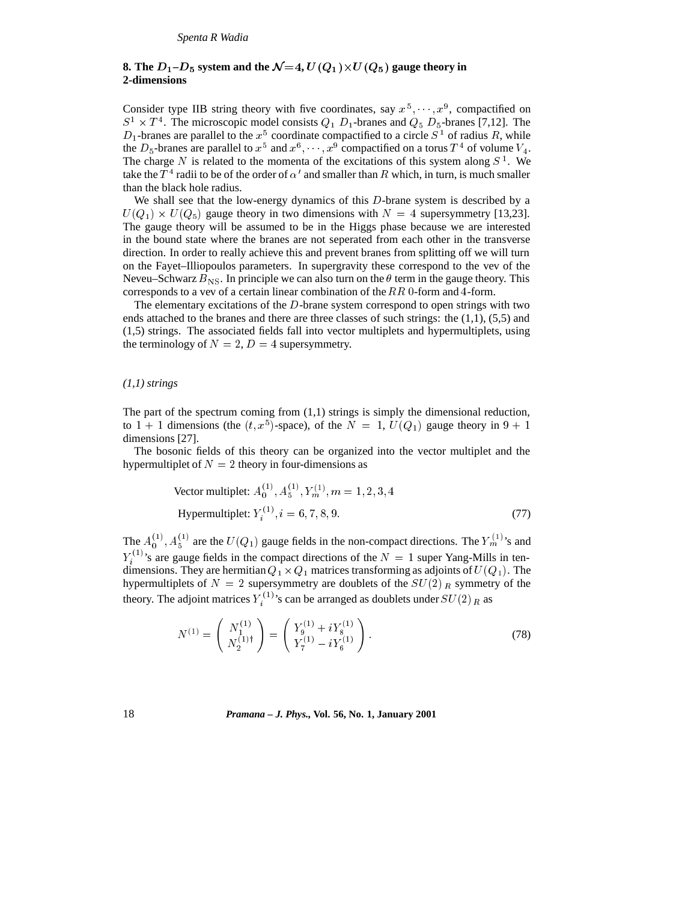# **8.** The  $D_1$ – $D_5$  system and the  $\mathcal{N}{=}4, U(Q_1){\times}U(Q_5)$  gauge theory in **2-dimensions**

Consider type IIB string theory with five coordinates, say  $x^5, \dots, x^9$ , compactified on  $S^1 \times T^4$ . The microscopic model consists  $Q_1 D_1$ -branes and  $Q_5 D_5$ -branes [7,12]. The  $D_1$ -branes are parallel to the  $x^5$  coordinate compactified to a circle  $S^1$  of radius R, while the D<sub>5</sub>-branes are parallel to  $x^5$  and  $x^6, \dots, x^9$  compactified on a torus  $T^4$  of volume  $V_4$ . The charge N is related to the momenta of the excitations of this system along  $S<sup>1</sup>$ . We take the  $T^4$  radii to be of the order of  $\alpha'$  and smaller than  $R$  which, in turn, is much smaller than the black hole radius.

We shall see that the low-energy dynamics of this  $D$ -brane system is described by a  $U(Q_1) \times U(Q_5)$  gauge theory in two dimensions with  $N = 4$  supersymmetry [13,23]. The gauge theory will be assumed to be in the Higgs phase because we are interested in the bound state where the branes are not seperated from each other in the transverse direction. In order to really achieve this and prevent branes from splitting off we will turn on the Fayet–Illiopoulos parameters. In supergravity these correspond to the vev of the Neveu–Schwarz  $B_{\text{NS}}$ . In principle we can also turn on the  $\theta$  term in the gauge theory. This corresponds to a vev of a certain linear combination of the RR <sup>0</sup>-form and <sup>4</sup>-form.

The elementary excitations of the  $D$ -brane system correspond to open strings with two ends attached to the branes and there are three classes of such strings: the  $(1,1)$ ,  $(5,5)$  and (1,5) strings. The associated fields fall into vector multiplets and hypermultiplets, using the terminology of  $N = 2$ ,  $D = 4$  supersymmetry.

#### *(1,1) strings*

The part of the spectrum coming from  $(1,1)$  strings is simply the dimensional reduction, to  $1 + 1$  dimensions (the  $(t, x^5)$ -space), of the  $N = 1$ ,  $U(Q_1)$  gauge theory in  $9 + 1$ dimensions [27].

The bosonic fields of this theory can be organized into the vector multiplet and the hypermultiplet of  $N = 2$  theory in four-dimensions as

Vector multiplet: 
$$
A_0^{(1)}, A_5^{(1)}, Y_m^{(1)}, m = 1, 2, 3, 4
$$
  
Hypermultiplet:  $Y_i^{(1)}, i = 6, 7, 8, 9.$  (77)

The  $A_0^{(1)}$ ,  $A_5^{(1)}$  are the  $U(Q_1)$  gauge fields in the non-compact directions. The  $Y_m^{(1)}$ 's and  $Y_i^{(1)}$ 's are gauge fields in the compact directions of the  $N = 1$  super Yang-Mills in tendimensions. They are hermitian  $Q_1 \times Q_1$  matrices transforming as adjoints of  $U(Q_1)$ . The hypermultiplets of  $N = 2$  supersymmetry are doublets of the  $SU(2)_R$  symmetry of the theory. The adjoint matrices  $Y_i^{(1)}$ 's can be arranged as doublets under  $SU(2)_R$  as

$$
N^{(1)} = \begin{pmatrix} N_1^{(1)} \\ N_2^{(1)\dagger} \end{pmatrix} = \begin{pmatrix} Y_9^{(1)} + iY_8^{(1)} \\ Y_7^{(1)} - iY_6^{(1)} \end{pmatrix}.
$$
 (78)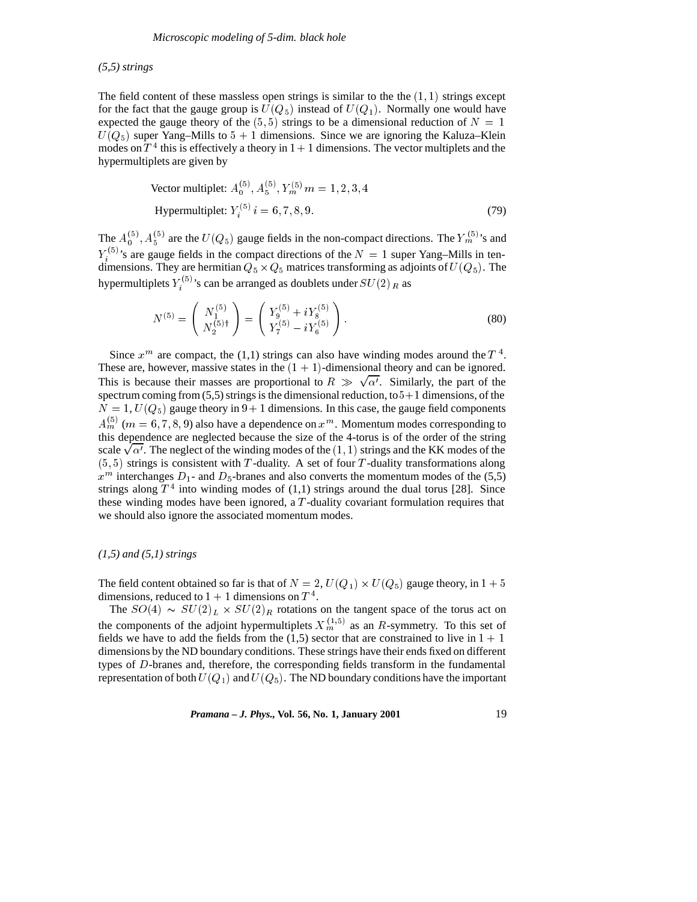# *(5,5) strings*

The field content of these massless open strings is similar to the the  $(1, 1)$  strings except for the fact that the gauge group is  $U(Q_5)$  instead of  $U(Q_1)$ . Normally one would have expected the gauge theory of the (5,5) strings to be a dimensional reduction of  $N = 1$  $U(Q_5)$  super Yang–Mills to  $5+1$  dimensions. Since we are ignoring the Kaluza–Klein modes on  $T<sup>4</sup>$  this is effectively a theory in  $1+1$  dimensions. The vector multiplets and the hypermultiplets are given by

Vector multiplet: 
$$
A_0^{(5)}
$$
,  $A_5^{(5)}$ ,  $Y_m^{(5)}$   $m = 1, 2, 3, 4$   
Hypermultiplet:  $Y_i^{(5)}$   $i = 6, 7, 8, 9.$  (79)

The  $A_0^{(0)}, A_5^{(5)}$  are the  $U(Q_5)$  gauge fields in the non-compact directions. The  $Y_m^{(0)}$ 's and  $Y_i^{(5)}$ 's are gauge fields in the compact directions of the  $N = 1$  super Yang–Mills in tendimensions. They are hermitian  $Q_5 \times Q_5$  matrices transforming as adjoints of  $U(Q_5)$ . The hypermultiplets  $Y_i^{(0)}$ 's can be arranged as doublets under  $SU(2)_R$  as

$$
N^{(5)} = \begin{pmatrix} N_1^{(5)} \\ N_2^{(5)\dagger} \end{pmatrix} = \begin{pmatrix} Y_9^{(5)} + iY_8^{(5)} \\ Y_7^{(5)} - iY_6^{(5)} \end{pmatrix}.
$$
 (80)

Since  $x^m$  are compact, the (1,1) strings can also have winding modes around the  $T^4$ . These are, however, massive states in the  $(1 + 1)$ -dimensional theory and can be ignored. This is because their masses are proportional to  $R \gg \sqrt{\alpha'}$ . Similarly, the part of the spectrum coming from  $(5,5)$  strings is the dimensional reduction, to  $5+1$  dimensions, of the  $N = 1, U(Q_5)$  gauge theory in  $9 + 1$  dimensions. In this case, the gauge field components  $A_m^{(5)}$  ( $m = 6, 7, 8, 9$ ) also have a dependence on  $x^m$ . Momentum modes corresponding to this dependence are neglected because the size of the 4-torus is of the order of the string scale  $\sqrt{\alpha'}$ . The neglect of the winding modes of the (1, 1) strings and the KK modes of the  $(5, 5)$  strings is consistent with T-duality. A set of four T-duality transformations along  $x^m$  interchanges  $D_1$ - and  $D_5$ -branes and also converts the momentum modes of the (5,5) strings along  $T<sup>4</sup>$  into winding modes of (1,1) strings around the dual torus [28]. Since these winding modes have been ignored, a T -duality covariant formulation requires that we should also ignore the associated momentum modes.

## *(1,5) and (5,1) strings*

The field content obtained so far is that of  $N = 2$ ,  $U(Q_1) \times U(Q_5)$  gauge theory, in  $1+5$ dimensions, reduced to  $1 + 1$  dimensions on  $T<sup>4</sup>$ .

The  $SO(4) \sim SU(2)_L \times SU(2)_R$  rotations on the tangent space of the torus act on the components of the adjoint hypermultiplets  $X_m^{(1,5)}$  as an R-symmetry. To this set of fields we have to add the fields from the  $(1,5)$  sector that are constrained to live in  $1+1$ dimensions by the ND boundary conditions. These strings have their ends fixed on different types of D-branes and, therefore, the corresponding fields transform in the fundamental representation of both  $U(Q_1)$  and  $U(Q_5)$ . The ND boundary conditions have the important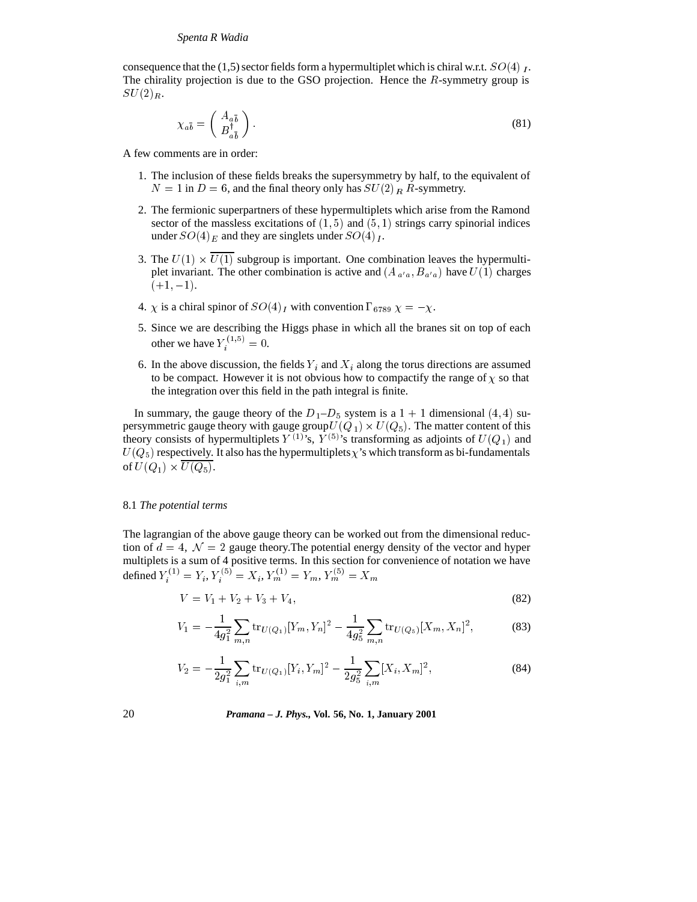consequence that the (1,5) sector fields form a hypermultiplet which is chiral w.r.t.  $SO(4)$  <sub>I</sub>. The chirality projection is due to the GSO projection. Hence the  $R$ -symmetry group is  $SU(2)_R$ .

$$
\chi_{a\bar{b}} = \begin{pmatrix} A_{a\bar{b}} \\ B_{a\bar{b}}^{\dagger} \end{pmatrix} . \tag{81}
$$

A few comments are in order:

- 1. The inclusion of these fields breaks the supersymmetry by half, to the equivalent of  $N = 1$  in  $D = 6$ , and the final theory only has  $SU(2)_R$  R-symmetry.
- 2. The fermionic superpartners of these hypermultiplets which arise from the Ramond sector of the massless excitations of  $(1, 5)$  and  $(5, 1)$  strings carry spinorial indices under  $SO(4)_E$  and they are singlets under  $SO(4)_I$ .
- 3. The  $U(1) \times U(1)$  subgroup is important. One combination leaves the hypermultiplet invariant. The other combination is active and  $(A_{a'a}, B_{a'a})$  have  $U(1)$  charges  $(+1, -1).$
- 4.  $\chi$  is a chiral spinor of  $SO(4)_I$  with convention  $\Gamma_{6789} \chi = -\chi$ .
- 5. Since we are describing the Higgs phase in which all the branes sit on top of each other we have  $Y_i^{(1,0)}=0$ .
- 6. In the above discussion, the fields  $Y_i$  and  $X_i$  along the torus directions are assumed to be compact. However it is not obvious how to compactify the range of  $\chi$  so that the integration over this field in the path integral is finite.

In summary, the gauge theory of the  $D_1-D_5$  system is a  $1+1$  dimensional  $(4,4)$  supersymmetric gauge theory with gauge group  $U(Q_1) \times U(Q_5)$ . The matter content of this theory consists of hypermultiplets  $Y^{(1)}$ 's,  $Y^{(5)}$ 's transforming as adjoints of  $U(Q_1)$  and  $U(Q_5)$  respectively. It also has the hypermultiplets  $\chi$ 's which transform as bi-fundamentals of  $U(Q_1) \times U(Q_5)$ .

## 8.1 *The potential terms*

The lagrangian of the above gauge theory can be worked out from the dimensional reduction of  $d = 4$ ,  $\mathcal{N} = 2$  gauge theory. The potential energy density of the vector and hyper multiplets is a sum of 4 positive terms. In this section for convenience of notation we have defined  $Y_i^{(1)} = Y_i$ ,  $Y_i^{(0)} = X_i$ ,  $Y_m^{(1)} = Y_m$ ,  $Y_m^{(0)} = X_m$ 

$$
V = V_1 + V_2 + V_3 + V_4, \tag{82}
$$

$$
V_1 = -\frac{1}{4g_1^2} \sum_{m,n} \text{tr}_{U(Q_1)} [Y_m, Y_n]^2 - \frac{1}{4g_5^2} \sum_{m,n} \text{tr}_{U(Q_5)} [X_m, X_n]^2,
$$
(83)

$$
V_2 = -\frac{1}{2g_1^2} \sum_{i,m} \text{tr}_{U(Q_1)} [Y_i, Y_m]^2 - \frac{1}{2g_5^2} \sum_{i,m} [X_i, X_m]^2,
$$
 (84)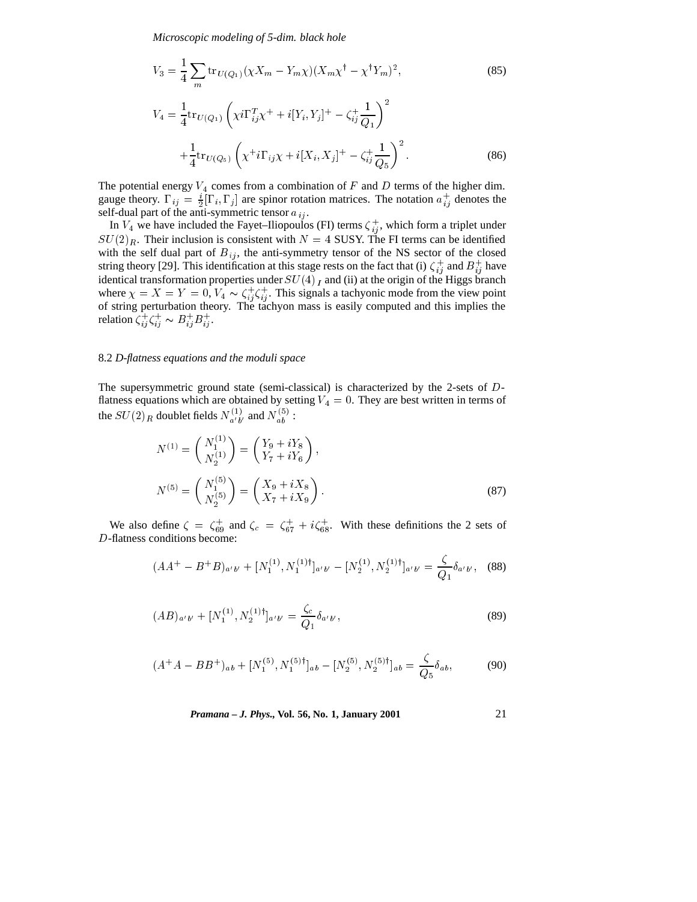*Microscopic modeling of 5-dim. black hole*

$$
V_3 = \frac{1}{4} \sum_{m} \text{tr}_{U(Q_1)} (\chi X_m - Y_m \chi) (X_m \chi^{\dagger} - \chi^{\dagger} Y_m)^2,
$$
(85)  

$$
V_4 = \frac{1}{4} \text{tr}_{U(Q_1)} \left( \chi i \Gamma_{ij}^T \chi^+ + i[Y_i, Y_j]^+ - \zeta_{ij}^{\dagger} \frac{1}{Q_1} \right)^2
$$

$$
+ \frac{1}{4} \text{tr}_{U(Q_5)} \left( \chi^+ i \Gamma_{ij} \chi + i[X_i, X_j]^+ - \zeta_{ij}^{\dagger} \frac{1}{Q_5} \right)^2.
$$
(86)

The potential energy  $V_4$  comes from a combination of  $F$  and  $D$  terms of the higher dim. gauge theory.  $\Gamma_{ij} = \frac{i}{2} [\Gamma_i, \Gamma_j]$  are spinor rotation matrices. The notation  $a_{ij}^+$  denotes the self-dual part of the anti-symmetric tensor  $a_{ij}$ .

In  $V_4$  we have included the Fayet–Iliopoulos (FI) terms  $\zeta_{ii}^+$ , which form a triplet under  $SU(2)_R$ . Their inclusion is consistent with  $N = 4$  SUSY. The FI terms can be identified with the self dual part of  $B_{ij}$ , the anti-symmetry tensor of the NS sector of the closed string theory [29]. This identification at this stage rests on the fact that (i)  $\zeta_{ij}^+$  and  $B_{ij}^+$  have identical transformation properties under  $SU(4)_I$  and (ii) at the origin of the Higgs branch where  $\chi = X = Y = 0$ ,  $V_4 \sim \zeta_{ii}^+ \zeta_{ii}^+$ . This signals a tachyonic mode from the view point of string perturbation theory. The tachyon mass is easily computed and this implies the relation  $\zeta_{ij}^+ \zeta_{ij}^+ \sim B_{ij}^+ B_{ij}^+$ .

## 8.2 *D-flatness equations and the moduli space*

The supersymmetric ground state (semi-classical) is characterized by the 2-sets of <sup>D</sup>flatness equations which are obtained by setting  $V_4 = 0$ . They are best written in terms of the  $SU(2)_R$  doublet fields  $N_{a'b'}^{(1)}$  and  $N_{ab}^{(9)}$  :

$$
N^{(1)} = \begin{pmatrix} N_1^{(1)} \\ N_2^{(1)} \end{pmatrix} = \begin{pmatrix} Y_9 + iY_8 \\ Y_7 + iY_6 \end{pmatrix},
$$
  
\n
$$
N^{(5)} = \begin{pmatrix} N_1^{(5)} \\ N_2^{(5)} \end{pmatrix} = \begin{pmatrix} X_9 + iX_8 \\ X_7 + iX_9 \end{pmatrix}.
$$
\n(87)

We also define  $\zeta = \zeta_{69}^+$  and  $\zeta_c = \zeta_{67}^+ + i\zeta_{68}^+$ . With these definitions the 2 sets of D-flatness conditions become:

$$
(AA^{+}-B^{+}B)_{a'b'} + [N_{1}^{(1)}, N_{1}^{(1)\dagger}]_{a'b'} - [N_{2}^{(1)}, N_{2}^{(1)\dagger}]_{a'b'} = \frac{\zeta}{Q_{1}} \delta_{a'b'}, \quad (88)
$$

$$
(AB)_{a'b'} + [N_1^{(1)}, N_2^{(1)\dagger}]_{a'b'} = \frac{\zeta_c}{Q_1} \delta_{a'b'},
$$
\n(89)

$$
(A^+A - BB^+)_{ab} + [N_1^{(5)}, N_1^{(5)\dagger}]_{ab} - [N_2^{(5)}, N_2^{(5)\dagger}]_{ab} = \frac{\zeta}{Q_5} \delta_{ab},\tag{90}
$$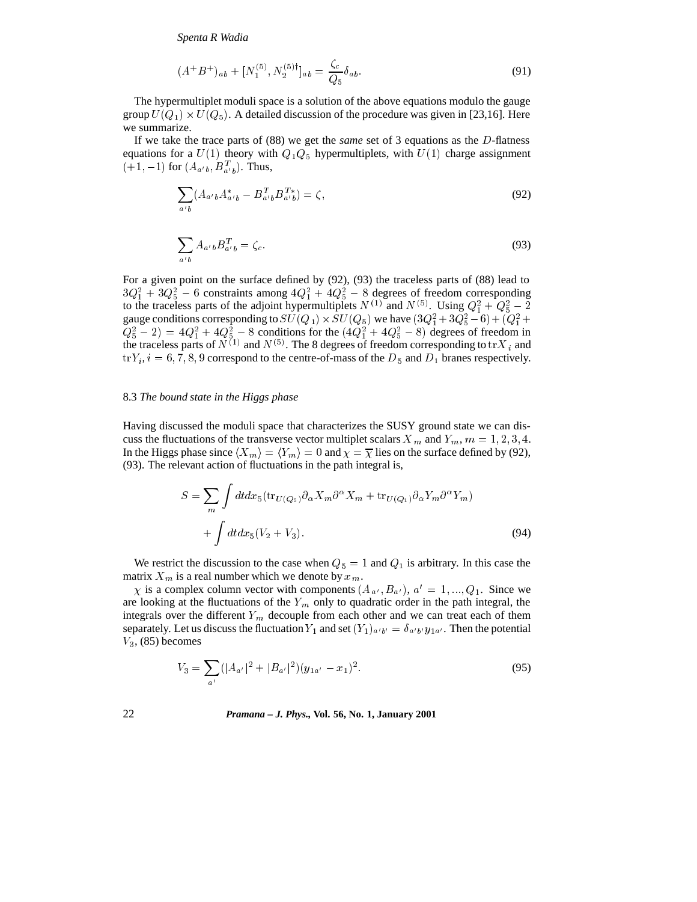$$
(A^+B^+)_{ab} + [N_1^{(5)}, N_2^{(5)\dagger}]_{ab} = \frac{\zeta_c}{Q_5} \delta_{ab}.
$$
\n(91)

The hypermultiplet moduli space is a solution of the above equations modulo the gauge group  $U(Q_1) \times U(Q_5)$ . A detailed discussion of the procedure was given in [23,16]. Here we summarize.

If we take the trace parts of (88) we get the *same* set of 3 equations as the D-flatness equations for a  $U(1)$  theory with  $Q_1Q_5$  hypermultiplets, with  $U(1)$  charge assignment  $(+1, -1)$  for  $(A_{a'b}, B_{a'b}^T)$ . Thus,

$$
\sum_{a'b} (A_{a'b} A_{a'b}^* - B_{a'b}^T B_{a'b}^{T*}) = \zeta,
$$
\n(92)

$$
\sum_{a'b} A_{a'b} B_{a'b}^T = \zeta_c. \tag{93}
$$

For a given point on the surface defined by (92), (93) the traceless parts of (88) lead to  $3Q_1^2 + 3Q_5^2 - 6$  constraints among  $4Q_1^2 + 4Q_5^2 - 8$  degrees of freedom corresponding to the traceless parts of the adjoint hypermultiplets  $N^{(1)}$  and  $N^{(5)}$ . Using  $Q_1^2 + Q_5^2 - 2$ gauge conditions corresponding to  $SU(Q_1) \times SU(Q_5)$  we have  $(3Q_1^2 + 3Q_5^2 - 6) + (Q_1^2 + Q_5^2 - 2) = 4Q_1^2 + 4Q_5^2 - 8$  conditions for the  $(4Q_1^2 + 4Q_5^2 - 8)$  degrees of freedom in the traceless parts of  $N^{(1)}$  and  $N^{(5)}$ . The 8 degrees of freedom corresponding to tr $X_i$  and  $\text{tr}Y_i$ ,  $i = 6, 7, 8, 9$  correspond to the centre-of-mass of the  $D_5$  and  $D_1$  branes respectively.

#### 8.3 *The bound state in the Higgs phase*

z za zapisani za nastani za nastani za nastani za nastani za nastani za nastani za nastani za nastani za nasta

Having discussed the moduli space that characterizes the SUSY ground state we can discuss the fluctuations of the transverse vector multiplet scalars  $X_m$  and  $Y_m$ ,  $m = 1, 2, 3, 4$ . In the Higgs phase since  $\langle X_m \rangle = \langle Y_m \rangle = 0$  and  $\chi = \overline{\chi}$  lies on the surface defined by (92), (93). The relevant action of fluctuations in the path integral is,

$$
S = \sum_{m} \int dt dx_5 (\text{tr}_{U(Q_5)} \partial_\alpha X_m \partial^\alpha X_m + \text{tr}_{U(Q_1)} \partial_\alpha Y_m \partial^\alpha Y_m)
$$
  
+ 
$$
\int dt dx_5 (V_2 + V_3).
$$
 (94)

We restrict the discussion to the case when  $Q_5 = 1$  and  $Q_1$  is arbitrary. In this case the matrix  $X_m$  is a real number which we denote by  $x_m$ .

 $\chi$  is a complex column vector with components  $(A_{a'}, B_{a'})$ ,  $a' = 1, ..., Q_1$ . Since we are looking at the fluctuations of the  $Y_m$  only to quadratic order in the path integral, the integrals over the different  $Y_m$  decouple from each other and we can treat each of them separately. Let us discuss the fluctuation  $Y_1$  and set  $(Y_1)_{a'b'} = \delta_{a'b'} y_{1a'}$ . Then the potential  $V_3$ , (85) becomes

$$
V_3 = \sum_{a'} (|A_{a'}|^2 + |B_{a'}|^2)(y_{1a'} - x_1)^2.
$$
 (95)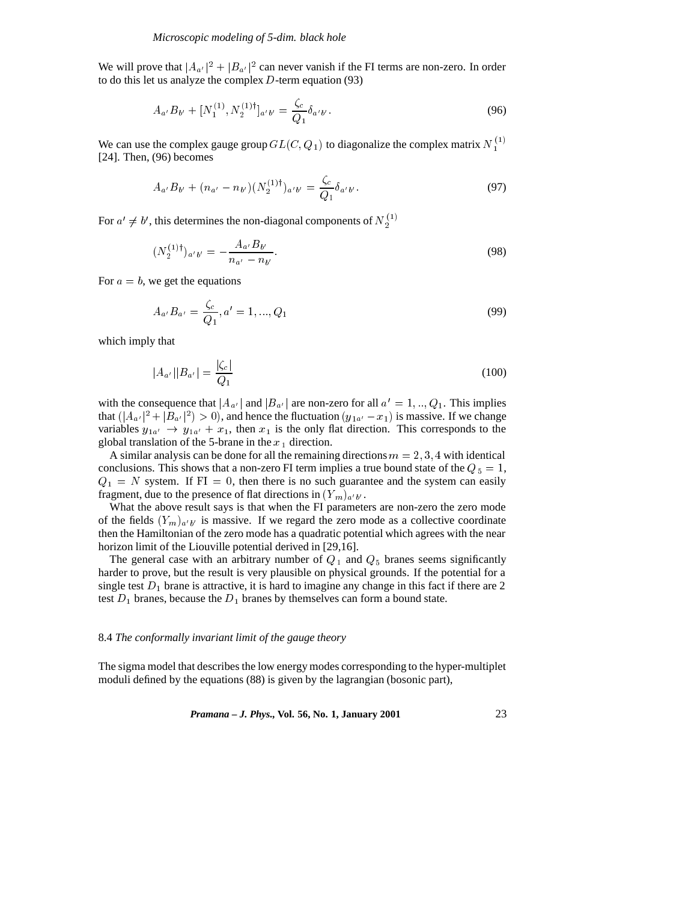We will prove that  $|A_{a'}|^2 + |B_{a'}|^2$  can never vanish if the FI terms are non-zero. In order to do this let us analyze the complex  $D$ -term equation (93)

$$
A_{a'}B_{b'} + [N_1^{(1)}, N_2^{(1)\dagger}]_{a'b'} = \frac{\zeta_c}{Q_1} \delta_{a'b'}.
$$
\n(96)

We can use the complex gauge group  $GL(C, Q_1)$  to diagonalize the complex matrix  $N_1^{(1)}$ [24]. Then, (96) becomes

$$
A_{a'}B_{b'} + (n_{a'} - n_{b'}) (N_2^{(1)\dagger})_{a'b'} = \frac{\zeta_c}{Q_1} \delta_{a'b'}.
$$
\n(97)

For  $a' \neq b'$ , this determines the non-diagonal components of  $N_2^{(1)}$ 

$$
(N_2^{(1)\dagger})_{a'b'} = -\frac{A_{a'}B_{b'}}{n_{a'} - n_{b'}}.\tag{98}
$$

For  $a = b$ , we get the equations

$$
A_{a'}B_{a'} = \frac{\zeta_c}{Q_1}, a' = 1, ..., Q_1
$$
\n(99)

which imply that

$$
|A_{a'}||B_{a'}| = \frac{|\zeta_c|}{Q_1} \tag{100}
$$

with the consequence that  $|A_{a'}|$  and  $|B_{a'}|$  are non-zero for all  $a' = 1, ..., Q_1$ . This implies that  $(|A_{a'}|^2 + |B_{a'}|^2) > 0$ , and hence the fluctuation  $(y_{1a'} - x_1)$  is massive. If we change variables  $y_{1a} \rightarrow y_{1a'} + x_1$ , then  $x_1$  is the only flat direction. This corresponds to the global translation of the 5-brane in the  $x_1$  direction.

A similar analysis can be done for all the remaining directions  $m = 2, 3, 4$  with identical conclusions. This shows that a non-zero FI term implies a true bound state of the  $Q_5 = 1$ ,  $Q_1 = N$  system. If FI = 0, then there is no such guarantee and the system can easily fragment, due to the presence of flat directions in  $(Y_m)_{a'b'}$ .

What the above result says is that when the FI parameters are non-zero the zero mode of the fields  $(Y_m)_{a'b'}$  is massive. If we regard the zero mode as a collective coordinate then the Hamiltonian of the zero mode has a quadratic potential which agrees with the near horizon limit of the Liouville potential derived in [29,16].

The general case with an arbitrary number of  $Q_1$  and  $Q_5$  branes seems significantly harder to prove, but the result is very plausible on physical grounds. If the potential for a single test  $D_1$  brane is attractive, it is hard to imagine any change in this fact if there are 2 test  $D_1$  branes, because the  $D_1$  branes by themselves can form a bound state.

## 8.4 *The conformally invariant limit of the gauge theory*

The sigma model that describes the low energy modes corresponding to the hyper-multiplet moduli defined by the equations (88) is given by the lagrangian (bosonic part),

*Pramana – J. Phys.,* **Vol. 56, No. 1, January 2001** 23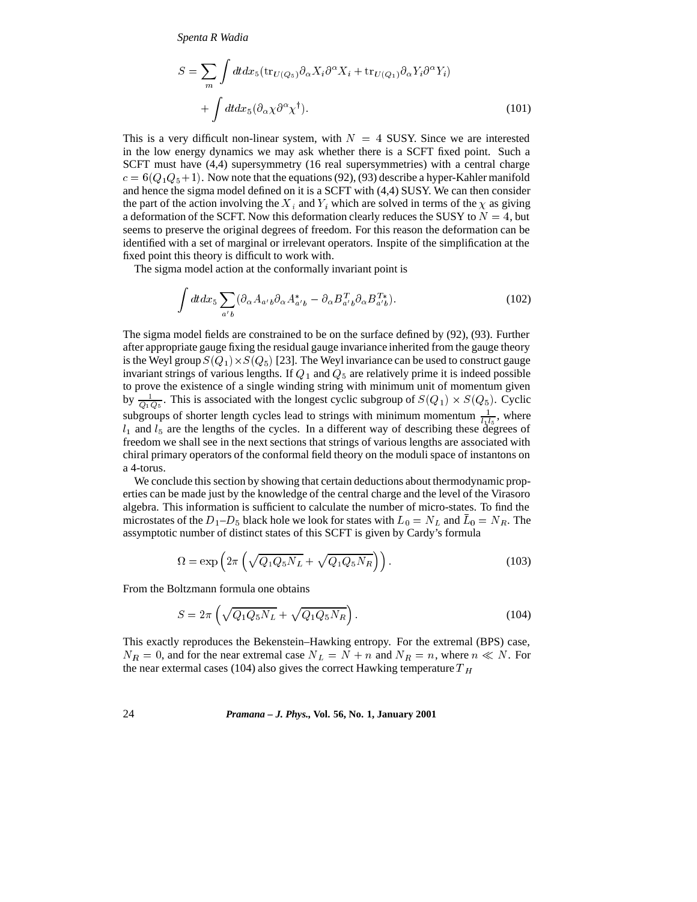$$
S = \sum_{m} \int dt dx_{5} (\text{tr}_{U(Q_{5})} \partial_{\alpha} X_{i} \partial^{\alpha} X_{i} + \text{tr}_{U(Q_{1})} \partial_{\alpha} Y_{i} \partial^{\alpha} Y_{i})
$$

$$
+ \int dt dx_{5} (\partial_{\alpha} \chi \partial^{\alpha} \chi^{\dagger}). \tag{101}
$$

This is a very difficult non-linear system, with  $N = 4$  SUSY. Since we are interested in the low energy dynamics we may ask whether there is a SCFT fixed point. Such a SCFT must have (4,4) supersymmetry (16 real supersymmetries) with a central charge  $c = 6(Q_1Q_5+1)$ . Now note that the equations (92), (93) describe a hyper-Kahler manifold and hence the sigma model defined on it is a SCFT with (4,4) SUSY. We can then consider the part of the action involving the  $X_i$  and  $Y_i$  which are solved in terms of the  $\chi$  as giving a deformation of the SCFT. Now this deformation clearly reduces the SUSY to  $N = 4$ , but seems to preserve the original degrees of freedom. For this reason the deformation can be identified with a set of marginal or irrelevant operators. Inspite of the simplification at the fixed point this theory is difficult to work with.

The sigma model action at the conformally invariant point is

$$
\int dt dx_5 \sum_{a'b} (\partial_\alpha A_{a'b} \partial_\alpha A_{a'b}^* - \partial_\alpha B_{a'b}^T \partial_\alpha B_{a'b}^{T*}).
$$
\n(102)

The sigma model fields are constrained to be on the surface defined by (92), (93). Further after appropriate gauge fixing the residual gauge invariance inherited from the gauge theory is the Weyl group  $S(Q_1) \times S(Q_5)$  [23]. The Weyl invariance can be used to construct gauge invariant strings of various lengths. If  $Q_1$  and  $Q_5$  are relatively prime it is indeed possible to prove the existence of a single winding string with minimum unit of momentum given by  $\frac{1}{Q_1Q_2}$ . This is associated with the longest cyclic subgroup of  $S(Q_1) \times S(Q_5)$ . Cyclic subgroups of shorter length cycles lead to strings with minimum momentum  $\frac{1}{l_1 l_2}$ , where  $l_1$  and  $l_5$  are the lengths of the cycles. In a different way of describing these degrees of freedom we shall see in the next sections that strings of various lengths are associated with chiral primary operators of the conformal field theory on the moduli space of instantons on a 4-torus.

We conclude this section by showing that certain deductions about thermodynamic properties can be made just by the knowledge of the central charge and the level of the Virasoro algebra. This information is sufficient to calculate the number of micro-states. To find the microstates of the  $D_1 - D_5$  black hole we look for states with  $L_0 = N_L$  and  $L_0 = N_R$ . The assymptotic number of distinct states of this SCFT is given by Cardy's formula

$$
\Omega = \exp\left(2\pi \left(\sqrt{Q_1 Q_5 N_L} + \sqrt{Q_1 Q_5 N_R}\right)\right). \tag{103}
$$

From the Boltzmann formula one obtains

$$
S = 2\pi \left( \sqrt{Q_1 Q_5 N_L} + \sqrt{Q_1 Q_5 N_R} \right).
$$
 (104)

This exactly reproduces the Bekenstein–Hawking entropy. For the extremal (BPS) case,  $N_R = 0$ , and for the near extremal case  $N_L = N + n$  and  $N_R = n$ , where  $n \ll N$ . For the near extermal cases (104) also gives the correct Hawking temperature  $T_H$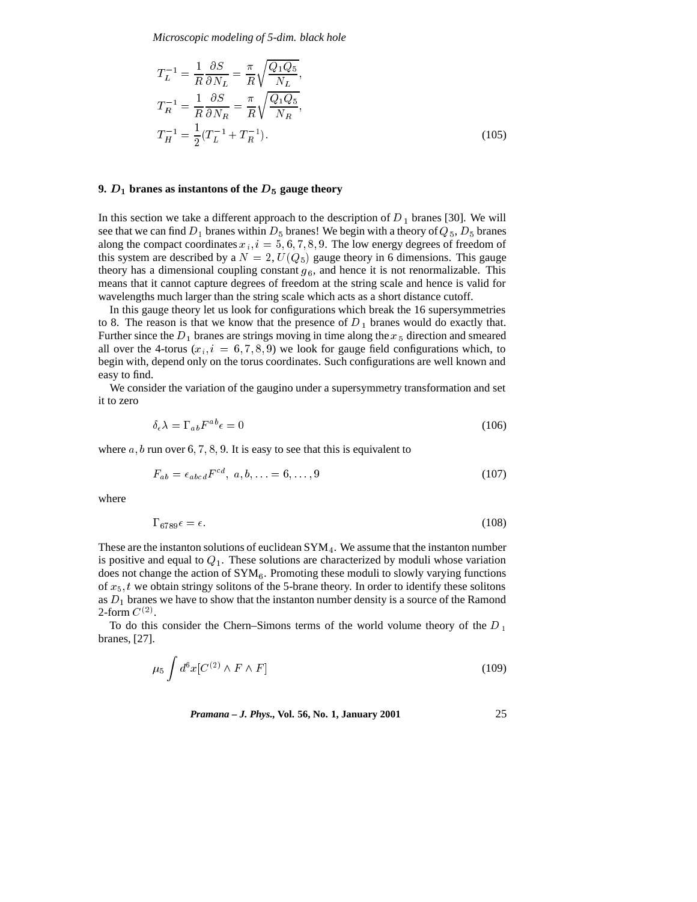*Microscopic modeling of 5-dim. black hole*

$$
T_L^{-1} = \frac{1}{R} \frac{\partial S}{\partial N_L} = \frac{\pi}{R} \sqrt{\frac{Q_1 Q_5}{N_L}},
$$
  
\n
$$
T_R^{-1} = \frac{1}{R} \frac{\partial S}{\partial N_R} = \frac{\pi}{R} \sqrt{\frac{Q_1 Q_5}{N_R}},
$$
  
\n
$$
T_H^{-1} = \frac{1}{2} (T_L^{-1} + T_R^{-1}).
$$
\n(105)

## **9.**  $D_1$  branes as instantons of the  $D_5$  gauge theory

In this section we take a different approach to the description of  $D_1$  branes [30]. We will see that we can find  $D_1$  branes within  $D_5$  branes! We begin with a theory of  $Q_5$ ,  $D_5$  branes along the compact coordinates  $x_i$ ,  $i = 5, 6, 7, 8, 9$ . The low energy degrees of freedom of this system are described by a  $N = 2$ ,  $U(Q_5)$  gauge theory in 6 dimensions. This gauge theory has a dimensional coupling constant  $g_6$ , and hence it is not renormalizable. This means that it cannot capture degrees of freedom at the string scale and hence is valid for wavelengths much larger than the string scale which acts as a short distance cutoff.

In this gauge theory let us look for configurations which break the 16 supersymmetries to 8. The reason is that we know that the presence of  $D_1$  branes would do exactly that. Further since the  $D_1$  branes are strings moving in time along the  $x_5$  direction and smeared all over the 4-torus  $(x_i, i = 6, 7, 8, 9)$  we look for gauge field configurations which, to begin with, depend only on the torus coordinates. Such configurations are well known and easy to find.

We consider the variation of the gaugino under a supersymmetry transformation and set it to zero

$$
\delta_{\epsilon}\lambda = \Gamma_{ab}F^{ab}\epsilon = 0\tag{106}
$$

where  $a, b$  run over  $6, 7, 8, 9$ . It is easy to see that this is equivalent to

$$
F_{ab} = \epsilon_{abcd} F^{cd}, \ a, b, \dots = 6, \dots, 9 \tag{107}
$$

where

$$
\Gamma_{6789}\epsilon = \epsilon. \tag{108}
$$

These are the instanton solutions of euclidean  $SYM<sub>4</sub>$ . We assume that the instanton number is positive and equal to  $Q_1$ . These solutions are characterized by moduli whose variation does not change the action of  $\text{SYM}_6$ . Promoting these moduli to slowly varying functions of  $x_5$ , t we obtain stringy solitons of the 5-brane theory. In order to identify these solitons as  $D_1$  branes we have to show that the instanton number density is a source of the Ramond 2-form  $C^{(2)}$ .

To do this consider the Chern–Simons terms of the world volume theory of the  $D_1$ branes, [27].

$$
\mu_5 \int d^6x [C^{(2)} \wedge F \wedge F] \tag{109}
$$

*Pramana – J. Phys.,* **Vol. 56, No. 1, January 2001** 25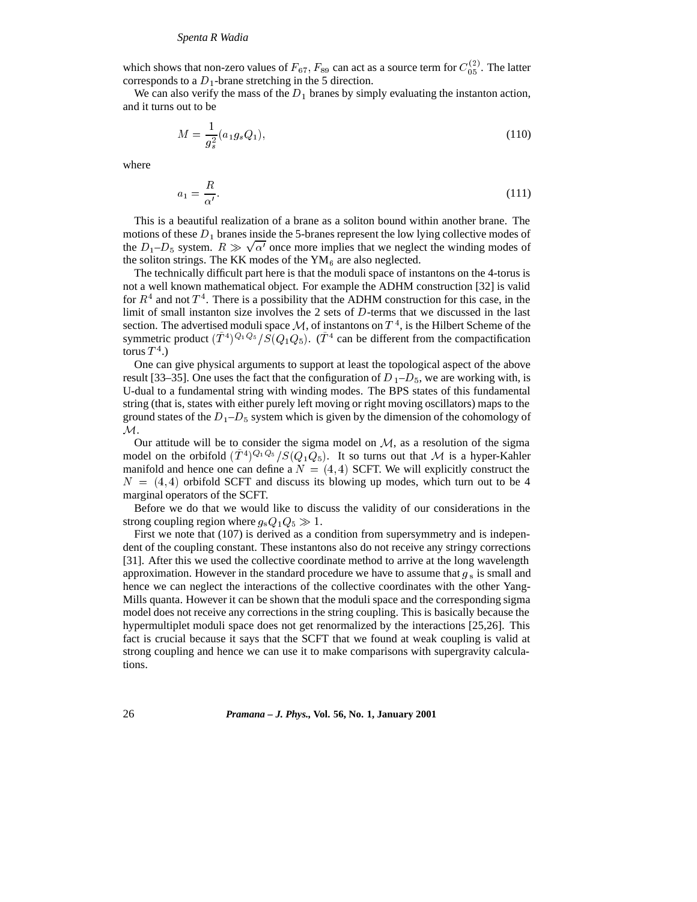which shows that non-zero values of  $F_{67}$ ,  $F_{89}$  can act as a source term for  $C_{05}^{(2)}$ . The latter corresponds to a  $D_1$ -brane stretching in the 5 direction.

We can also verify the mass of the  $D_1$  branes by simply evaluating the instanton action, and it turns out to be

$$
M = \frac{1}{g_s^2}(a_1 g_s Q_1),\tag{110}
$$

where

$$
a_1 = \frac{R}{\alpha'}.\tag{111}
$$

This is a beautiful realization of a brane as a soliton bound within another brane. The motions of these  $D_1$  branes inside the 5-branes represent the low lying collective modes of the  $D_1 - D_5$  system.  $R \gg \sqrt{\alpha'}$  once more implies that we neglect the winding modes of the soliton strings. The KK modes of the  $YM_6$  are also neglected.

The technically difficult part here is that the moduli space of instantons on the 4-torus is not a well known mathematical object. For example the ADHM construction [32] is valid for  $R<sup>4</sup>$  and not  $T<sup>4</sup>$ . There is a possibility that the ADHM construction for this case, in the limit of small instanton size involves the 2 sets of D-terms that we discussed in the last section. The advertised moduli space M, of instantons on  $T^4$ , is the Hilbert Scheme of the symmetric product  $(T^4)^{Q_1 Q_5}/S(Q_1 Q_5)$ . ( $T^4$  can be different from the compactification torus  $T^4$ .)

One can give physical arguments to support at least the topological aspect of the above result [33–35]. One uses the fact that the configuration of  $D_1-D_5$ , we are working with, is U-dual to a fundamental string with winding modes. The BPS states of this fundamental string (that is, states with either purely left moving or right moving oscillators) maps to the ground states of the  $D_1-D_5$  system which is given by the dimension of the cohomology of  $\mathcal{M}.$ 

Our attitude will be to consider the sigma model on  $M$ , as a resolution of the sigma model on the orbifold  $(T^4)^{Q_1 Q_5}/S(Q_1 Q_5)$ . It so turns out that M is a hyper-Kahler manifold and hence one can define a  $N = (4, 4)$  SCFT. We will explicitly construct the  $N = (4, 4)$  orbifold SCFT and discuss its blowing up modes, which turn out to be 4 marginal operators of the SCFT.

Before we do that we would like to discuss the validity of our considerations in the strong coupling region where  $g_s Q_1 Q_5 \gg 1$ .

First we note that (107) is derived as a condition from supersymmetry and is independent of the coupling constant. These instantons also do not receive any stringy corrections [31]. After this we used the collective coordinate method to arrive at the long wavelength approximation. However in the standard procedure we have to assume that  $g_s$  is small and hence we can neglect the interactions of the collective coordinates with the other Yang-Mills quanta. However it can be shown that the moduli space and the corresponding sigma model does not receive any corrections in the string coupling. This is basically because the hypermultiplet moduli space does not get renormalized by the interactions [25,26]. This fact is crucial because it says that the SCFT that we found at weak coupling is valid at strong coupling and hence we can use it to make comparisons with supergravity calculations.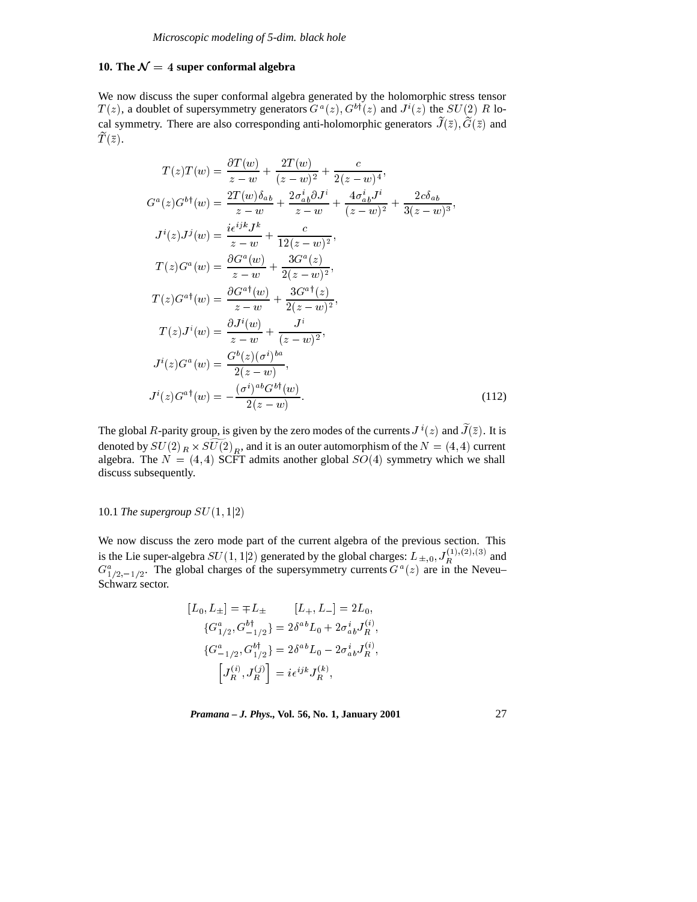# **10. The**  $\mathcal{N} = 4$  **super conformal algebra**

We now discuss the super conformal algebra generated by the holomorphic stress tensor  $T(z)$ , a doublet of supersymmetry generators  $G^a(z)$ ,  $G^{b\dagger}(z)$  and  $J^i(z)$  the  $SU(2)$  R local symmetry. There are also corresponding anti-holomorphic generators  $\tilde{J}(\bar{z})$ ,  $\tilde{G}(\bar{z})$  and  $\widetilde{T}(\overline{z}).$ 

$$
T(z)T(w) = \frac{\partial T(w)}{z - w} + \frac{2T(w)}{(z - w)^2} + \frac{c}{2(z - w)^4},
$$
  
\n
$$
G^a(z)G^{b\dagger}(w) = \frac{2T(w)\delta_{ab}}{z - w} + \frac{2\sigma_{ab}^i \partial J^i}{z - w} + \frac{4\sigma_{ab}^i J^i}{(z - w)^2} + \frac{2c\delta_{ab}}{3(z - w)^3},
$$
  
\n
$$
J^i(z)J^j(w) = \frac{i\epsilon^{ijk}J^k}{z - w} + \frac{c}{12(z - w)^2},
$$
  
\n
$$
T(z)G^a(w) = \frac{\partial G^a(w)}{z - w} + \frac{3G^a(z)}{2(z - w)^2},
$$
  
\n
$$
T(z)G^{a\dagger}(w) = \frac{\partial G^{a\dagger}(w)}{z - w} + \frac{3G^{a\dagger}(z)}{2(z - w)^2},
$$
  
\n
$$
T(z)J^i(w) = \frac{\partial J^i(w)}{z - w} + \frac{J^i}{(z - w)^2},
$$
  
\n
$$
J^i(z)G^a(w) = \frac{G^b(z)(\sigma^i)^{ba}}{2(z - w)},
$$
  
\n
$$
J^i(z)G^{a\dagger}(w) = -\frac{(\sigma^i)^{ab}G^{b\dagger}(w)}{2(z - w)}.
$$
  
\n(112)

The global R-parity group, is given by the zero modes of the currents  $J^{i}(z)$  and  $\widetilde{J}(\overline{z})$ . It is denoted by  $SU(2)_R \times SU(2)_R$ , and it is an outer automorphism of the  $N = (4, 4)$  current algebra. The  $N = (4, 4)$  SCFT admits another global  $SO(4)$  symmetry which we shall discuss subsequently.

# 10.1 *The supergroup*  $SU(1,1|2)$

We now discuss the zero mode part of the current algebra of the previous section. This is the Lie super-algebra  $SU(1,1|2)$  generated by the global charges:  $L_{\pm,0}, J_R^{(1),(2),(3)}$  and  $G^a_{1/2,-1/2}$ . The global charges of the supersymmetry currents  $G^a(z)$  are in the Neveu– Schwarz sector.

$$
[L_0, L_{\pm}] = \mp L_{\pm} \qquad [L_+, L_-] = 2L_0,
$$
  
\n
$$
\{G_{1/2}^a, G_{-1/2}^{b\dagger}\} = 2\delta^{ab} L_0 + 2\sigma_{ab}^i J_R^{(i)},
$$
  
\n
$$
\{G_{-1/2}^a, G_{1/2}^{b\dagger}\} = 2\delta^{ab} L_0 - 2\sigma_{ab}^i J_R^{(i)},
$$
  
\n
$$
\left[J_R^{(i)}, J_R^{(j)}\right] = i\epsilon^{ijk} J_R^{(k)},
$$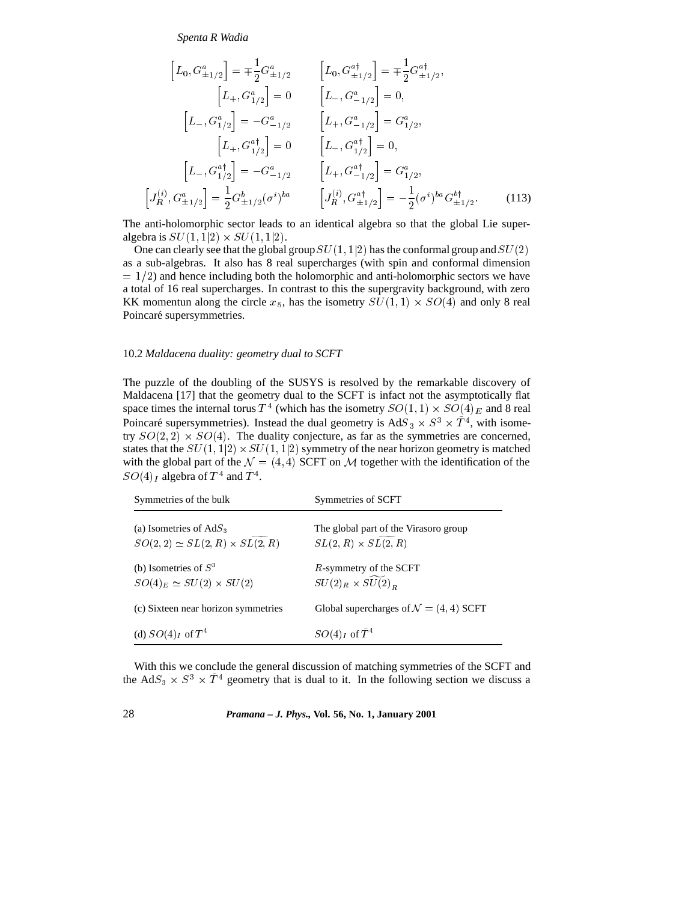$$
\begin{bmatrix} L_0, G_{\pm 1/2}^a \end{bmatrix} = \mp \frac{1}{2} G_{\pm 1/2}^a \qquad \begin{bmatrix} L_0, G_{\pm 1/2}^{a\dagger} \end{bmatrix} = \mp \frac{1}{2} G_{\pm 1/2}^{a\dagger},
$$
\n
$$
\begin{bmatrix} L_+, G_{1/2}^a \end{bmatrix} = 0 \qquad \begin{bmatrix} L_-, G_{-1/2}^a \end{bmatrix} = 0,
$$
\n
$$
\begin{bmatrix} L_-, G_{1/2}^a \end{bmatrix} = -G_{-1/2}^a \qquad \begin{bmatrix} L_+, G_{-1/2}^a \end{bmatrix} = G_{1/2}^a,
$$
\n
$$
\begin{bmatrix} L_+, G_{1/2}^{a\dagger} \end{bmatrix} = 0 \qquad \begin{bmatrix} L_-, G_{1/2}^{a\dagger} \end{bmatrix} = 0,
$$
\n
$$
\begin{bmatrix} L_-, G_{1/2}^{a\dagger} \end{bmatrix} = -G_{-1/2}^a \qquad \begin{bmatrix} L_+, G_{-1/2}^{a\dagger} \end{bmatrix} = G_{1/2}^a,
$$
\n
$$
\begin{bmatrix} J_n^{(i)}, G_{\pm 1/2}^a \end{bmatrix} = \frac{1}{2} G_{\pm 1/2}^b (\sigma^i)^{ba} \qquad \begin{bmatrix} J_n^{(i)}, G_{\pm 1/2}^{a\dagger} \end{bmatrix} = -\frac{1}{2} (\sigma^i)^{ba} G_{\pm 1/2}^{b\dagger}. \qquad (113)
$$

The anti-holomorphic sector leads to an identical algebra so that the global Lie superalgebra is  $SU(1,1|2) \times SU(1,1|2)$ .

One can clearly see that the global group  $SU(1, 1|2)$  has the conformal group and  $SU(2)$ as a sub-algebras. It also has 8 real supercharges (with spin and conformal dimension  $=1/2$ ) and hence including both the holomorphic and anti-holomorphic sectors we have a total of 16 real supercharges. In contrast to this the supergravity background, with zero KK momentun along the circle  $x_5$ , has the isometry  $SU(1,1) \times SO(4)$  and only 8 real Poincaré supersymmetries.

## 10.2 *Maldacena duality: geometry dual to SCFT*

The puzzle of the doubling of the SUSYS is resolved by the remarkable discovery of Maldacena [17] that the geometry dual to the SCFT is infact not the asymptotically flat space times the internal torus  $T^4$  (which has the isometry  $SO(1,1) \times SO(4)_E$  and 8 real Poincaré supersymmetries). Instead the dual geometry is  $AdS_3 \times S^3 \times T^4$ , with isometry  $SO(2,2) \times SO(4)$ . The duality conjecture, as far as the symmetries are concerned, states that the  $SU(1,1|2) \times SU(1,1|2)$  symmetry of the near horizon geometry is matched with the global part of the  $\mathcal{N} = (4, 4)$  SCFT on  $\mathcal{M}$  together with the identification of the  $SO(4)_I$  algebra of  $T^4$  and  $T^4$ .

| Symmetries of the bulk                                               | Symmetries of SCFT                                                |
|----------------------------------------------------------------------|-------------------------------------------------------------------|
| (a) Isometries of $AdS_3$<br>$SO(2,2) \simeq SL(2,R) \times SL(2,R)$ | The global part of the Virasoro group<br>$SL(2,R) \times SL(2,R)$ |
| (b) Isometries of $S^3$<br>$SO(4)_E \simeq SU(2) \times SU(2)$       | R-symmetry of the SCFT<br>$SU(2)_R \times \widetilde{SU(2)}_R$    |
| (c) Sixteen near horizon symmetries                                  | Global supercharges of $\mathcal{N} = (4, 4)$ SCFT                |
| (d) $SO(4)_I$ of $T^4$                                               | $SO(4)_I$ of $\tilde{T}^4$                                        |

With this we conclude the general discussion of matching symmetries of the SCFT and the Ad $S_3 \times S^3 \times T^4$  geometry that is dual to it. In the following section we discuss a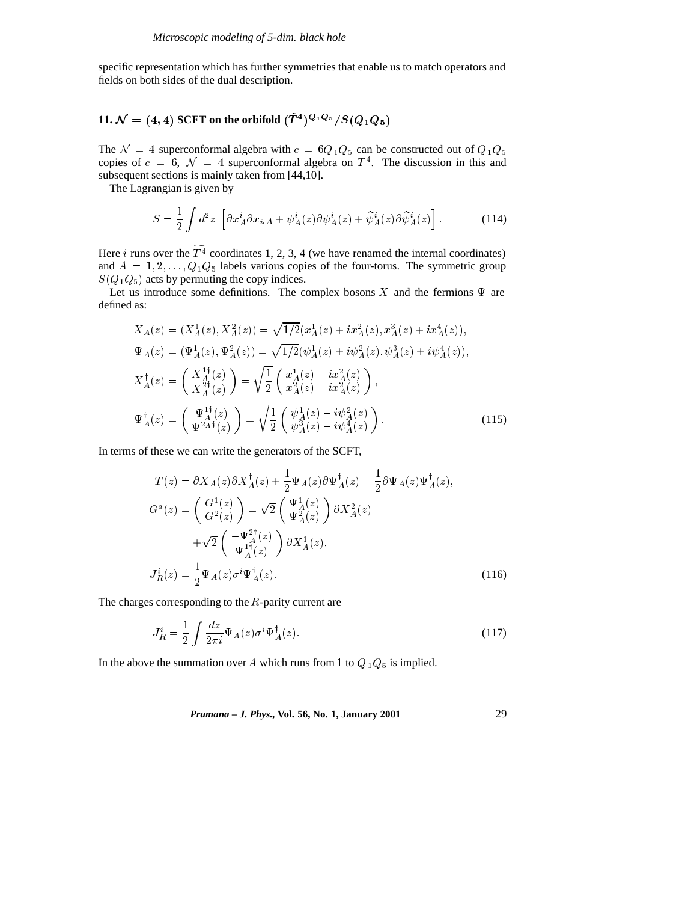specific representation which has further symmetries that enable us to match operators and fields on both sides of the dual description.

## ${\bf 11.}~ {\cal N} = (4,4)~{\rm SCFT}$  on the orbifold  $(T^4)^{Q_1 Q_5}/{S(Q_1 Q_5)}$

The  $\mathcal{N} = 4$  superconformal algebra with  $c = 6Q_1Q_5$  can be constructed out of  $Q_1Q_5$ copies of  $c = 6$ ,  $\mathcal{N} = 4$  superconformal algebra on  $T<sup>4</sup>$ . The discussion in this and subsequent sections is mainly taken from [44,10].

The Lagrangian is given by

$$
S = \frac{1}{2} \int d^2 z \left[ \partial x_A^i \bar{\partial} x_{i,A} + \psi_A^i(z) \bar{\partial} \psi_A^i(z) + \widetilde{\psi}_A^i(\bar{z}) \partial \widetilde{\psi}_A^i(\bar{z}) \right]. \tag{114}
$$

Here *i* runs over the  $T<sup>4</sup>$  coordinates 1, 2, 3, 4 (we have renamed the internal coordinates) and  $A = 1, 2, \ldots, Q_1 Q_5$  labels various copies of the four-torus. The symmetric group  $S(Q_1Q_5)$  acts by permuting the copy indices.

Let us introduce some definitions. The complex bosons  $X$  and the fermions  $\Psi$  are defined as:

$$
X_A(z) = (X_A^1(z), X_A^2(z)) = \sqrt{1/2}(x_A^1(z) + ix_A^2(z), x_A^3(z) + ix_A^4(z)),
$$
  
\n
$$
\Psi_A(z) = (\Psi_A^1(z), \Psi_A^2(z)) = \sqrt{1/2}(\psi_A^1(z) + i\psi_A^2(z), \psi_A^3(z) + i\psi_A^4(z)),
$$
  
\n
$$
X_A^{\dagger}(z) = \begin{pmatrix} X_A^{1\dagger}(z) \\ X_A^{2\dagger}(z) \end{pmatrix} = \sqrt{\frac{1}{2}} \begin{pmatrix} x_A^1(z) - ix_A^2(z) \\ x_A^2(z) - ix_A^2(z) \end{pmatrix},
$$
  
\n
$$
\Psi_A^{\dagger}(z) = \begin{pmatrix} \Psi_A^{1\dagger}(z) \\ \Psi_A^{2\dagger}(z) \end{pmatrix} = \sqrt{\frac{1}{2}} \begin{pmatrix} \psi_A^1(z) - i\psi_A^2(z) \\ \psi_A^3(z) - i\psi_A^4(z) \end{pmatrix}.
$$
 (115)

In terms of these we can write the generators of the SCFT,

$$
T(z) = \partial X_A(z) \partial X_A^{\dagger}(z) + \frac{1}{2} \Psi_A(z) \partial \Psi_A^{\dagger}(z) - \frac{1}{2} \partial \Psi_A(z) \Psi_A^{\dagger}(z),
$$
  
\n
$$
G^a(z) = \begin{pmatrix} G^1(z) \\ G^2(z) \end{pmatrix} = \sqrt{2} \begin{pmatrix} \Psi_A^1(z) \\ \Psi_A^2(z) \end{pmatrix} \partial X_A^2(z)
$$
  
\n
$$
+ \sqrt{2} \begin{pmatrix} -\Psi_A^{2\dagger}(z) \\ \Psi_A^{1\dagger}(z) \end{pmatrix} \partial X_A^1(z),
$$
  
\n
$$
J_R^i(z) = \frac{1}{2} \Psi_A(z) \sigma^i \Psi_A^{\dagger}(z).
$$
 (116)

The charges corresponding to the  $R$ -parity current are

$$
J_R^i = \frac{1}{2} \int \frac{dz}{2\pi i} \Psi_A(z) \sigma^i \Psi_A^\dagger(z). \tag{117}
$$

In the above the summation over A which runs from 1 to  $Q_1Q_5$  is implied.

*Pramana – J. Phys.,* **Vol. 56, No. 1, January 2001** 29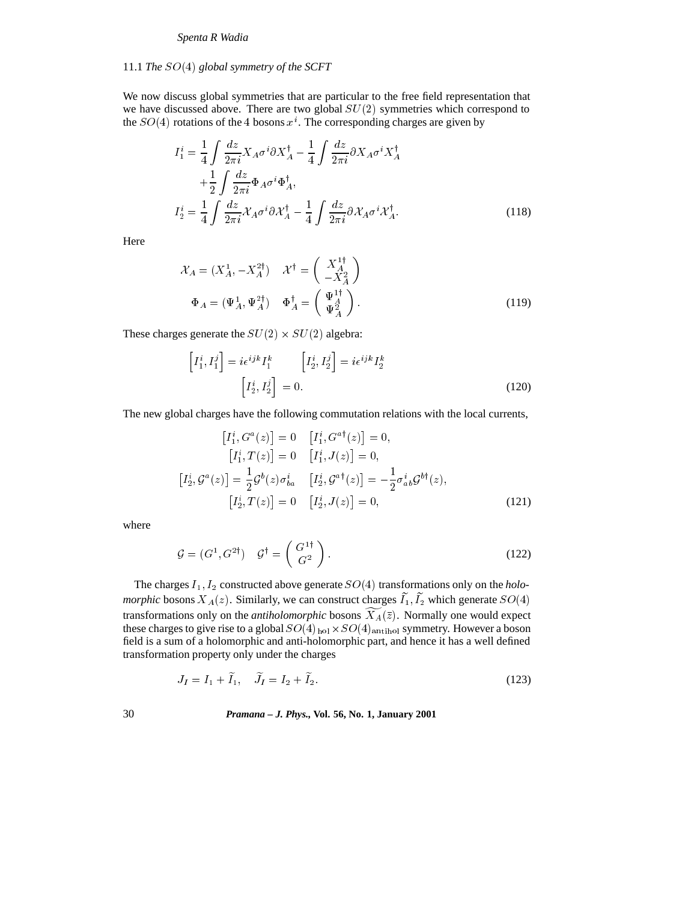## 11.1 *The* SO(4) *global symmetry of the SCFT*

We now discuss global symmetries that are particular to the free field representation that we have discussed above. There are two global  $SU(2)$  symmetries which correspond to the  $SO(4)$  rotations of the 4 bosons  $x<sup>i</sup>$ . The corresponding charges are given by

$$
I_1^i = \frac{1}{4} \int \frac{dz}{2\pi i} X_A \sigma^i \partial X_A^\dagger - \frac{1}{4} \int \frac{dz}{2\pi i} \partial X_A \sigma^i X_A^\dagger
$$
  
+ 
$$
\frac{1}{2} \int \frac{dz}{2\pi i} \Phi_A \sigma^i \Phi_A^\dagger,
$$
  

$$
I_2^i = \frac{1}{4} \int \frac{dz}{2\pi i} X_A \sigma^i \partial X_A^\dagger - \frac{1}{4} \int \frac{dz}{2\pi i} \partial X_A \sigma^i X_A^\dagger.
$$
 (118)

Here

$$
\mathcal{X}_A = (X_A^1, -X_A^{2\dagger}) \quad \mathcal{X}^\dagger = \begin{pmatrix} X_A^{1\dagger} \\ -X_A^2 \end{pmatrix}
$$
  

$$
\Phi_A = (\Psi_A^1, \Psi_A^{2\dagger}) \quad \Phi_A^\dagger = \begin{pmatrix} \Psi_A^{1\dagger} \\ \Psi_A^2 \end{pmatrix}.
$$
 (119)

These charges generate the  $SU(2) \times SU(2)$  algebra:

$$
\begin{bmatrix} I_1^i, I_1^j \end{bmatrix} = i\epsilon^{ijk} I_1^k \qquad \begin{bmatrix} I_2^i, I_2^j \end{bmatrix} = i\epsilon^{ijk} I_2^k
$$
\n
$$
\begin{bmatrix} I_2^i, I_2^j \end{bmatrix} = 0.
$$
\n(120)

The new global charges have the following commutation relations with the local currents,

$$
[I_1^i, G^a(z)] = 0 \t [I_1^i, G^{a\dagger}(z)] = 0,
$$
  
\n
$$
[I_1^i, T(z)] = 0 \t [I_1^i, J(z)] = 0,
$$
  
\n
$$
[I_2^i, G^a(z)] = \frac{1}{2}G^b(z)\sigma_{ba}^i \t [I_2^i, G^{a\dagger}(z)] = -\frac{1}{2}\sigma_{ab}^i G^{b\dagger}(z),
$$
  
\n
$$
[I_2^i, T(z)] = 0 \t [I_2^i, J(z)] = 0,
$$
\n(121)

where

$$
\mathcal{G} = (G^1, G^{2\dagger}) \quad \mathcal{G}^{\dagger} = \left(\begin{array}{c} G^{1\dagger} \\ G^2 \end{array}\right). \tag{122}
$$

The charges  $I_1$ ,  $I_2$  constructed above generate  $SO(4)$  transformations only on the *holomorphic* bosons  $X_A(z)$ . Similarly, we can construct charges  $I_1, I_2$  which generate  $SO(4)$ transformations only on the *antiholomorphic* bosons  $X_A(\bar{z})$ . Normally one would expect these charges to give rise to a global  $SO(4)_{hol} \times SO(4)_{antihol}$  symmetry. However a boson field is a sum of a holomorphic and anti-holomorphic part, and hence it has a well defined transformation property only under the charges

$$
J_I = I_1 + \widetilde{I}_1, \quad \widetilde{J}_I = I_2 + \widetilde{I}_2. \tag{123}
$$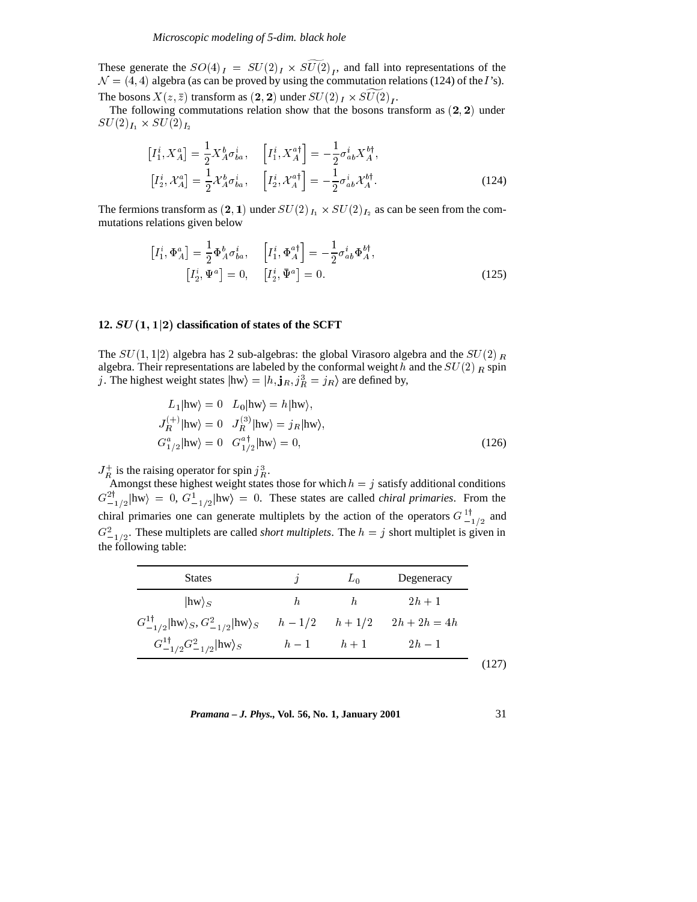These generate the  $SO(4)<sub>I</sub> = SU(2)<sub>I</sub> \times SU(2)<sub>I</sub>$ , and fall into representations of the  $\mathcal{N} = (4, 4)$  algebra (as can be proved by using the commutation relations (124) of the *I*'s). The bosons  $X(z, \bar{z})$  transform as  $(2, 2)$  under  $SU(2)_I \times SU(2)_I$ .

The following commutations relation show that the bosons transform as  $(2, 2)$  under SU(2)I1 - SU(2)I2

$$
\begin{aligned}\n\left[I_1^i, X_A^a\right] &= \frac{1}{2} X_A^b \sigma_{ba}^i, \quad \left[I_1^i, X_A^{a\dagger}\right] = -\frac{1}{2} \sigma_{ab}^i X_A^{b\dagger}, \\
\left[I_2^i, X_A^a\right] &= \frac{1}{2} X_A^b \sigma_{ba}^i, \quad \left[I_2^i, X_A^{a\dagger}\right] = -\frac{1}{2} \sigma_{ab}^i X_A^{b\dagger}.\n\end{aligned} \tag{124}
$$

The fermions transform as  $(2,1)$  under  $SU(2)_{I_1} \times SU(2)_{I_2}$  as can be seen from the commutations relations given below

$$
\begin{aligned}\n\left[I_1^i, \Phi_A^a\right] &= \frac{1}{2} \Phi_A^b \sigma_{ba}^i, & \left[I_1^i, \Phi_A^{a\dagger}\right] &= -\frac{1}{2} \sigma_{ab}^i \Phi_A^{b\dagger}, \\
\left[I_2^i, \Psi^a\right] &= 0, & \left[I_2^i, \bar{\Psi}^a\right] &= 0.\n\end{aligned} \tag{125}
$$

# **12.**  $SU(1,1|2)$  classification of states of the SCFT

The  $SU(1,1|2)$  algebra has 2 sub-algebras: the global Virasoro algebra and the  $SU(2)_R$ algebra. Their representations are labeled by the conformal weight h and the  $SU(2)$  R spin j. The highest weight states  $|hw\rangle = |h, j_R, j_R^3 = j_R\rangle$  are defined by,

$$
L_1|\text{hw}\rangle = 0 \quad L_0|\text{hw}\rangle = h|\text{hw}\rangle,
$$
  
\n
$$
J_R^{(+)}|\text{hw}\rangle = 0 \quad J_R^{(3)}|\text{hw}\rangle = j_R|\text{hw}\rangle,
$$
  
\n
$$
G_{1/2}^a|\text{hw}\rangle = 0 \quad G_{1/2}^{a\dagger}|\text{hw}\rangle = 0,
$$
\n(126)

 $J_R^+$  is the raising operator for spin  $j_R^3$ .

Amongst these highest weight states those for which  $h = j$  satisfy additional conditions  $G_{-1/2}^{2\dagger}$ |hw $\rangle = 0$ ,  $G_{-1/2}^{1}$ |hw $\rangle = 0$ . These states are called *chiral primaries*. From the chiral primaries one can generate multiplets by the action of the operators  $G_{-1/2}^{\perp_{\text{I}}}$  and  $G_{-1/2}^2$ . These multiplets are called *short multiplets*. The  $h = j$  short multiplet is given in the following table:

| <b>States</b>                                                                                        | $\mathcal{I}$ | $L_0$   | Degeneracy |
|------------------------------------------------------------------------------------------------------|---------------|---------|------------|
| $ hw\rangle_S$                                                                                       |               | $h$ $h$ | $2h+1$     |
| $G_{-1/2}^{1\dagger} \text{hw}\rangle_S, G_{-1/2}^2 \text{hw}\rangle_S$ $h-1/2$ $h+1/2$ $2h+2h = 4h$ |               |         |            |
| $G_{-1/2}^{1\dagger}G_{-1/2}^2$  hw $\rangle_S$                                                      | $h-1$ $h+1$   |         | $2h-1$     |
|                                                                                                      |               |         |            |

*Pramana – J. Phys.,* **Vol. 56, No. 1, January 2001** 31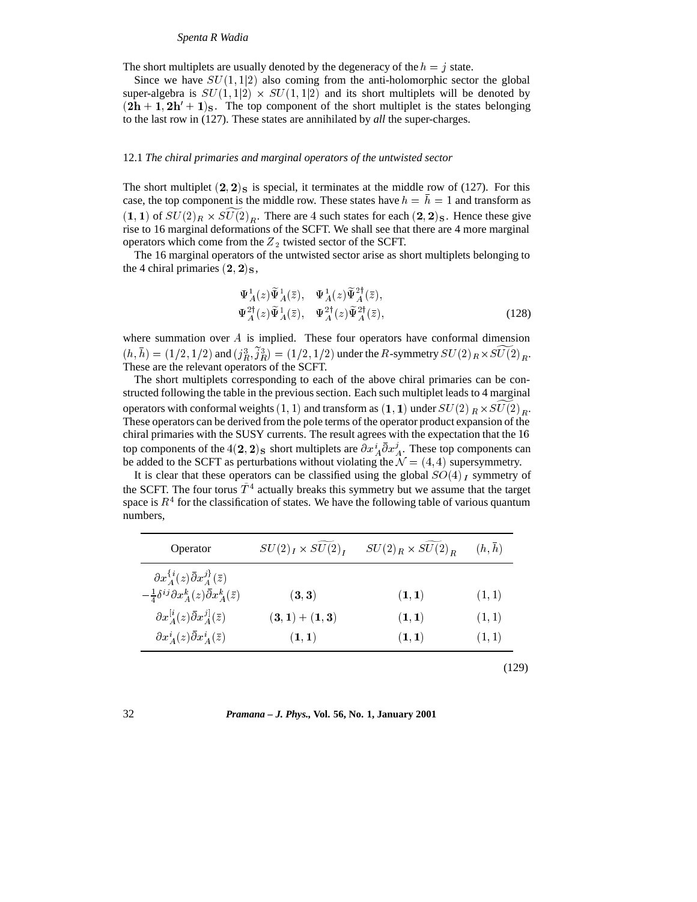The short multiplets are usually denoted by the degeneracy of the  $h = j$  state.

Since we have  $SU(1,1|2)$  also coming from the anti-holomorphic sector the global super-algebra is  $SU(1,1|2) \times SU(1,1|2)$  and its short multiplets will be denoted by  $(2h + 1, 2h' + 1)$ <sub>S</sub>. The top component of the short multiplet is the states belonging to the last row in (127). These states are annihilated by *all* the super-charges.

#### 12.1 *The chiral primaries and marginal operators of the untwisted sector*

The short multiplet  $(2, 2)$ <sub>S</sub> is special, it terminates at the middle row of (127). For this case, the top component is the middle row. These states have  $h = h = 1$  and transform as  $(1,1)$  of  $SU(2)_R \times SU(2)_R$ . There are 4 such states for each  $(2,2)_S$ . Hence these give rise to 16 marginal deformations of the SCFT. We shall see that there are 4 more marginal operators which come from the  $Z_2$  twisted sector of the SCFT.

The 16 marginal operators of the untwisted sector arise as short multiplets belonging to the 4 chiral primaries  $(2, 2)$ <sub>S</sub>,

$$
\Psi_A^1(z)\widetilde{\Psi}_A^1(\bar{z}), \quad \Psi_A^1(z)\widetilde{\Psi}_A^{2\dagger}(\bar{z}), \n\Psi_A^{2\dagger}(z)\widetilde{\Psi}_A^1(\bar{z}), \quad \Psi_A^{2\dagger}(z)\widetilde{\Psi}_A^{2\dagger}(\bar{z}),
$$
\n(128)

where summation over  $A$  is implied. These four operators have conformal dimension  $(h, h) = (1/2, 1/2)$  and  $(j_R^3, j_R^3) = (1/2, 1/2)$  under the R-symmetry  $SU(2)_R \times SU(2)_R$ . These are the relevant operators of the SCFT.

The short multiplets corresponding to each of the above chiral primaries can be constructed following the table in the previous section. Each such multiplet leads to 4 marginal operators with conformal weights  $(1,1)$  and transform as  $(1,1)$  under  $SU(2)_R \times SU(2)_R$ . These operators can be derived from the pole terms of the operator product expansion of the chiral primaries with the SUSY currents. The result agrees with the expectation that the <sup>16</sup> top components of the  $4(2,2)_{\rm S}$  short multiplets are  $\partial x_A^i \partial x_A^j$ . These top components can be added to the SCFT as perturbations without violating the  $\mathcal{N} = (4, 4)$  supersymmetry.

It is clear that these operators can be classified using the global  $SO(4)_I$  symmetry of the SCFT. The four torus  $T<sup>4</sup>$  actually breaks this symmetry but we assume that the target space is  $R<sup>4</sup>$  for the classification of states. We have the following table of various quantum numbers,

| Operator                                                               | $SU(2)_I \times SU(2)_I$  | $SU(2)_R \times SU(2)_R$ | (h,h) |
|------------------------------------------------------------------------|---------------------------|--------------------------|-------|
| $\partial x_4^{\{i}(z)\bar{\partial}x_4^{j\}}(\bar{z})$                |                           |                          |       |
| $-\frac{1}{4}\delta^{ij}\partial x_A^k(z)\bar{\partial}x_A^k(\bar{z})$ | $(\mathbf{3},\mathbf{3})$ | (1,1)                    | (1,1) |
| $\partial x_{A}^{[i}(z)\bar{\partial}x_{A}^{j]}(\bar{z})$              | $(3,1)+(1,3)$             | (1,1)                    | (1,1) |
| $\partial x^i_A(z) \bar{\partial} x^i_A(\bar{z})$                      | (1,1)                     | (1, 1)                   | (1,1) |
|                                                                        |                           |                          | (129  |

32 *Pramana – J. Phys.,* **Vol. 56, No. 1, January 2001**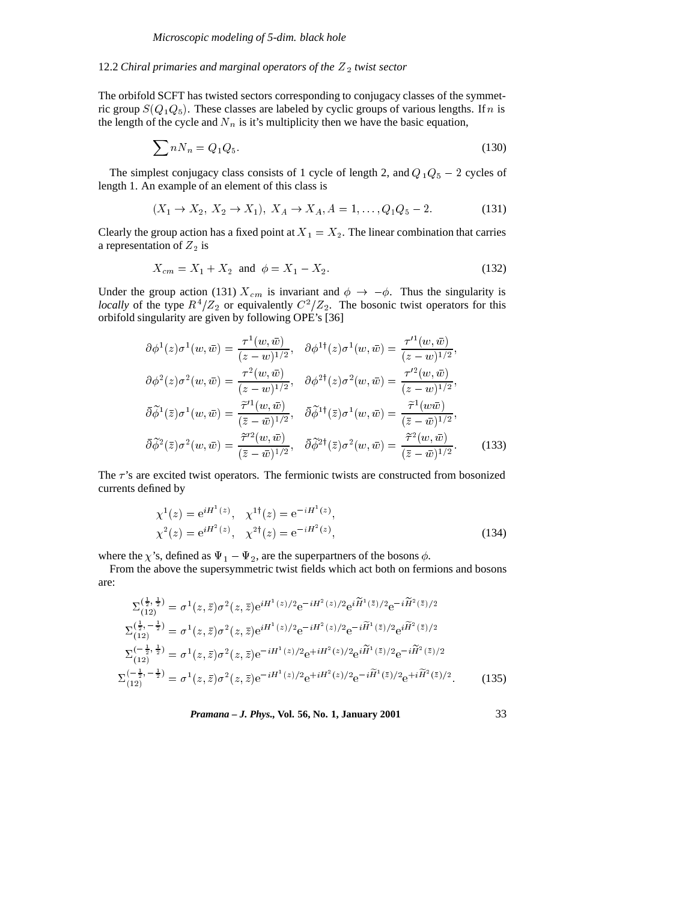## 12.2 *Chiral primaries and marginal operators of the*  $Z_2$  *twist sector*

The orbifold SCFT has twisted sectors corresponding to conjugacy classes of the symmetric group  $S(Q_1Q_5)$ . These classes are labeled by cyclic groups of various lengths. If n is the length of the cycle and  $N_n$  is it's multiplicity then we have the basic equation,

$$
\sum nN_n = Q_1 Q_5. \tag{130}
$$

The simplest conjugacy class consists of 1 cycle of length 2, and  $Q_1Q_5 - 2$  cycles of length 1. An example of an element of this class is

$$
(X_1 \to X_2, X_2 \to X_1), X_A \to X_A, A = 1, \dots, Q_1 Q_5 - 2. \tag{131}
$$

Clearly the group action has a fixed point at  $X_1 = X_2$ . The linear combination that carries a representation of  $Z_2$  is

$$
X_{cm} = X_1 + X_2 \text{ and } \phi = X_1 - X_2. \tag{132}
$$

Under the group action (131)  $X_{cm}$  is invariant and  $\phi \rightarrow -\phi$ . Thus the singularity is *locally* of the type  $R^4/Z_2$  or equivalently  $C^2/Z_2$ . The bosonic twist operators for this orbifold singularity are given by following OPE's [36]

$$
\partial \phi^1(z)\sigma^1(w,\bar{w}) = \frac{\tau^1(w,\bar{w})}{(z-w)^{1/2}}, \quad \partial \phi^{1\dagger}(z)\sigma^1(w,\bar{w}) = \frac{\tau'^1(w,\bar{w})}{(z-w)^{1/2}},
$$

$$
\partial \phi^2(z)\sigma^2(w,\bar{w}) = \frac{\tau^2(w,\bar{w})}{(z-w)^{1/2}}, \quad \partial \phi^{2\dagger}(z)\sigma^2(w,\bar{w}) = \frac{\tau'^2(w,\bar{w})}{(z-w)^{1/2}},
$$

$$
\bar{\partial}\tilde{\phi}^1(\bar{z})\sigma^1(w,\bar{w}) = \frac{\tilde{\tau}'^1(w,\bar{w})}{(\bar{z}-\bar{w})^{1/2}}, \quad \bar{\partial}\tilde{\phi}^{1\dagger}(\bar{z})\sigma^1(w,\bar{w}) = \frac{\tilde{\tau}^1(w\bar{w})}{(\bar{z}-\bar{w})^{1/2}},
$$

$$
\bar{\partial}\tilde{\phi}^2(\bar{z})\sigma^2(w,\bar{w}) = \frac{\tilde{\tau}'^2(w,\bar{w})}{(\bar{z}-\bar{w})^{1/2}}, \quad \bar{\partial}\tilde{\phi}^{2\dagger}(\bar{z})\sigma^2(w,\bar{w}) = \frac{\tilde{\tau}^2(w,\bar{w})}{(\bar{z}-\bar{w})^{1/2}}.
$$
(133)

The  $\tau$ 's are excited twist operators. The fermionic twists are constructed from bosonized currents defined by

$$
\chi^{1}(z) = e^{iH^{1}(z)}, \quad \chi^{1\dagger}(z) = e^{-iH^{1}(z)}, \chi^{2}(z) = e^{iH^{2}(z)}, \quad \chi^{2\dagger}(z) = e^{-iH^{2}(z)},
$$
\n(134)

where the  $\chi$ 's, defined as  $\Psi_1 - \Psi_2$ , are the superpartners of the bosons  $\phi$ .

From the above the supersymmetric twist fields which act both on fermions and bosons are:

$$
\Sigma_{(12)}^{(\frac{1}{2}, \frac{1}{2})} = \sigma^1(z, \bar{z})\sigma^2(z, \bar{z})e^{iH^1(z)/2}e^{-iH^2(z)/2}e^{i\widetilde{H}^1(\bar{z})/2}e^{-i\widetilde{H}^2(\bar{z})/2}
$$
\n
$$
\Sigma_{(12)}^{(\frac{1}{2}, -\frac{1}{2})} = \sigma^1(z, \bar{z})\sigma^2(z, \bar{z})e^{iH^1(z)/2}e^{-iH^2(z)/2}e^{-i\widetilde{H}^1(\bar{z})/2}e^{i\widetilde{H}^2(\bar{z})/2}
$$
\n
$$
\Sigma_{(12)}^{(-\frac{1}{2}, \frac{1}{2})} = \sigma^1(z, \bar{z})\sigma^2(z, \bar{z})e^{-iH^1(z)/2}e^{iH^2(z)/2}e^{i\widetilde{H}^1(\bar{z})/2}e^{-i\widetilde{H}^2(\bar{z})/2}
$$
\n
$$
\Sigma_{(12)}^{(-\frac{1}{2}, -\frac{1}{2})} = \sigma^1(z, \bar{z})\sigma^2(z, \bar{z})e^{-iH^1(z)/2}e^{iH^2(z)/2}e^{-i\widetilde{H}^1(\bar{z})/2}e^{i\widetilde{H}^2(\bar{z})/2}.
$$
\n(135)

*Pramana – J. Phys.,* **Vol. 56, No. 1, January 2001** 33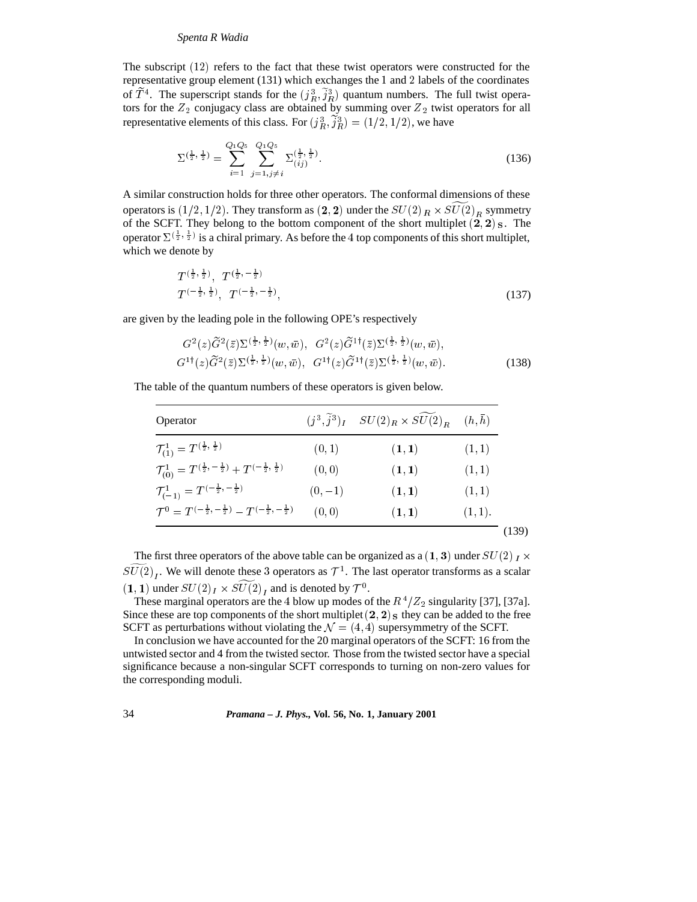The subscript (12) refers to the fact that these twist operators were constructed for the representative group element (131) which exchanges the <sup>1</sup> and <sup>2</sup> labels of the coordinates of  $T<sup>4</sup>$ . The superscript stands for the  $(j<sub>R</sub><sup>3</sup>, j<sub>R</sub><sup>3</sup>)$  quantum numbers. The full twist operators for the  $Z_2$  conjugacy class are obtained by summing over  $Z_2$  twist operators for all representative elements of this class. For  $(j_R^3, j_R^3) = (1/2, 1/2)$ , we have

$$
\Sigma^{(\frac{1}{2},\frac{1}{2})} = \sum_{i=1}^{Q_1 Q_5} \sum_{j=1, j \neq i}^{Q_1 Q_5} \Sigma^{(\frac{1}{2},\frac{1}{2})}_{(ij)}.
$$
\n(136)

A similar construction holds for three other operators. The conformal dimensions of these operators is  $(1/2, 1/2)$ . They transform as  $(2, 2)$  under the  $SU(2)_R \times SU(2)_R$  symmetry of the SCFT. They belong to the bottom component of the short multiplet  $(\overline{2}, 2)$  s. The operator  $\Sigma^{\left(\frac{1}{2},\frac{1}{2}\right)}$  is a chiral primary. As before the 4 top components of this short multiplet, which we denote by

$$
T^{\left(\frac{1}{2},\frac{1}{2}\right)}, \quad T^{\left(\frac{1}{2},-\frac{1}{2}\right)}
$$
\n
$$
T^{\left(-\frac{1}{2},\frac{1}{2}\right)}, \quad T^{\left(-\frac{1}{2},-\frac{1}{2}\right)}, \tag{137}
$$

are given by the leading pole in the following OPE's respectively

$$
G^{2}(z)\widetilde{G}^{2}(\bar{z})\Sigma^{(\frac{1}{2},\frac{1}{2})}(w,\bar{w}), G^{2}(z)\widetilde{G}^{1\dagger}(\bar{z})\Sigma^{(\frac{1}{2},\frac{1}{2})}(w,\bar{w}),
$$
  
\n
$$
G^{1\dagger}(z)\widetilde{G}^{2}(\bar{z})\Sigma^{(\frac{1}{2},\frac{1}{2})}(w,\bar{w}), G^{1\dagger}(z)\widetilde{G}^{1\dagger}(\bar{z})\Sigma^{(\frac{1}{2},\frac{1}{2})}(w,\bar{w}).
$$
\n(138)

The table of the quantum numbers of these operators is given below.

| Operator                                                                                                        |          | $(j^3, \tilde{j}^3)_I$ $SU(2)_R \times SU(2)_R$ | (h, h) |
|-----------------------------------------------------------------------------------------------------------------|----------|-------------------------------------------------|--------|
| $\mathcal{T}_{(1)}^1 = T^{\left(\frac{1}{2}, \frac{1}{2}\right)}$                                               | (0,1)    | (1,1)                                           | (1,1)  |
| $\mathcal{T}_{(0)}^1 = T^{\left(\frac{1}{2}, -\frac{1}{2}\right)} + T^{\left(-\frac{1}{2}, \frac{1}{2}\right)}$ | (0, 0)   | (1,1)                                           | (1,1)  |
| $\mathcal{T}^1_{(-1)} = T^{-\frac{1}{2}, -\frac{1}{2}}$                                                         | $(0,-1)$ | (1,1)                                           | (1,1)  |
| $\mathcal{T}^0 = T^{-\frac{1}{2}, -\frac{1}{2}} - T^{-\frac{1}{2}, -\frac{1}{2}}$                               | (0, 0)   | (1,1)                                           | (1,1). |
|                                                                                                                 |          |                                                 | (139)  |

The first three operators of the above table can be organized as a  $(1, 3)$  under  $SU(2)_I \times$  $SU(2)_I$ . We will denote these 3 operators as  $\mathcal{T}^1$ . The last operator transforms as a scalar  $(1,1)$  under  $SU(2)_I \times SU(2)_I$  and is denoted by  $\mathcal{T}^0$ .

These marginal operators are the 4 blow up modes of the  $R^4/Z_2$  singularity [37], [37a]. Since these are top components of the short multiplet  $(2, 2)$  s they can be added to the free SCFT as perturbations without violating the  $\mathcal{N} = (4, 4)$  supersymmetry of the SCFT.

In conclusion we have accounted for the 20 marginal operators of the SCFT: 16 from the untwisted sector and 4 from the twisted sector. Those from the twisted sector have a special significance because a non-singular SCFT corresponds to turning on non-zero values for the corresponding moduli.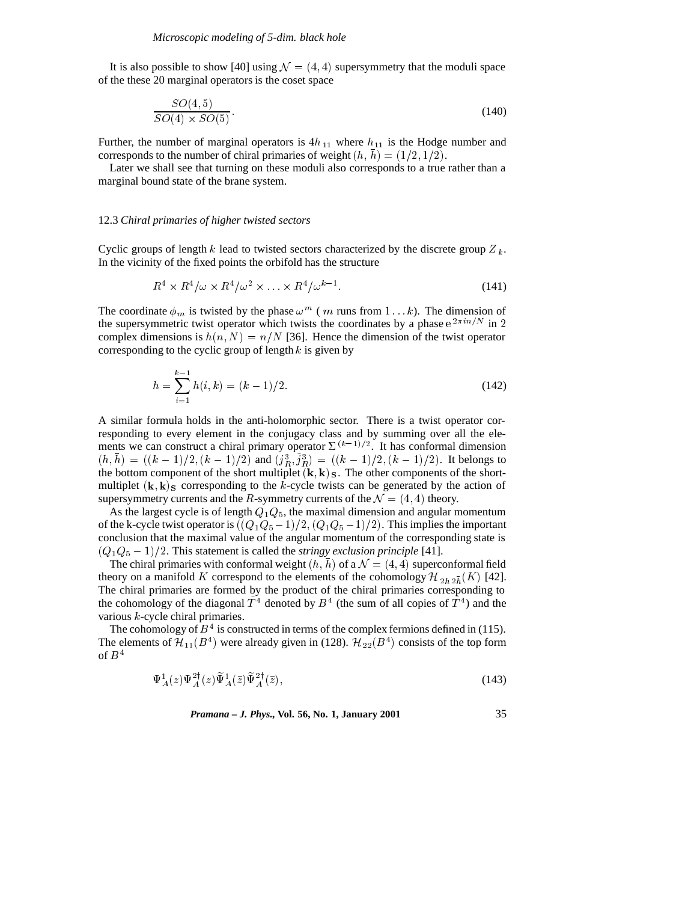It is also possible to show [40] using  $\mathcal{N} = (4, 4)$  supersymmetry that the moduli space of the these 20 marginal operators is the coset space

$$
\frac{SO(4,5)}{SO(4)\times SO(5)}.\tag{140}
$$

Further, the number of marginal operators is  $4h_{11}$  where  $h_{11}$  is the Hodge number and corresponds to the number of chiral primaries of weight  $(h, h) = (1/2, 1/2)$ .

Later we shall see that turning on these moduli also corresponds to a true rather than a marginal bound state of the brane system.

## 12.3 *Chiral primaries of higher twisted sectors*

Cyclic groups of length k lead to twisted sectors characterized by the discrete group  $Z_k$ . In the vicinity of the fixed points the orbifold has the structure

$$
R^4 \times R^4/\omega \times R^4/\omega^2 \times \ldots \times R^4/\omega^{k-1}.\tag{141}
$$

The coordinate  $\phi_m$  is twisted by the phase  $\omega^m$  ( m runs from  $1 \dots k$ ). The dimension of the supersymmetric twist operator which twists the coordinates by a phase  $e^{2\pi i n/N}$  in 2 complex dimensions is  $h(n, N) = n/N$  [36]. Hence the dimension of the twist operator corresponding to the cyclic group of length  $k$  is given by

$$
h = \sum_{i=1}^{k-1} h(i,k) = (k-1)/2.
$$
 (142)

A similar formula holds in the anti-holomorphic sector. There is a twist operator corresponding to every element in the conjugacy class and by summing over all the elements we can construct a chiral primary operator  $\Sigma^{(k-1)/2}$ . It has conformal dimension  $(h, h) = ((k-1)/2, (k-1)/2)$  and  $(j<sub>R</sub><sup>3</sup>, j<sub>R</sub><sup>3</sup>) = ((k-1)/2, (k-1)/2)$ . It belongs to the bottom component of the short multiplet  $(k, k)$  s. The other components of the shortmultiplet  $(k, k)$ <sub>S</sub> corresponding to the k-cycle twists can be generated by the action of supersymmetry currents and the R-symmetry currents of the  $\mathcal{N} = (4, 4)$  theory.

As the largest cycle is of length  $Q_1Q_5$ , the maximal dimension and angular momentum of the k-cycle twist operator is  $((Q_1Q_5 - 1)/2, (Q_1Q_5 - 1)/2)$ . This implies the important conclusion that the maximal value of the angular momentum of the corresponding state is  $(Q_1Q_5 - 1)/2$ . This statement is called the *stringy exclusion principle* [41].

The chiral primaries with conformal weight  $(h, h)$  of a  $\mathcal{N} = (4, 4)$  superconformal field theory on a manifold K correspond to the elements of the cohomology  $\mathcal{H}_{2h}$   $_{2h}$   $_{\bar{h}}$  (K) [42]. The chiral primaries are formed by the product of the chiral primaries corresponding to the cohomology of the diagonal  $T^4$  denoted by  $B^4$  (the sum of all copies of  $T^4$ ) and the various k-cycle chiral primaries.

The cohomology of  $B<sup>4</sup>$  is constructed in terms of the complex fermions defined in (115). The elements of  $\mathcal{H}_{11}(B^4)$  were already given in (128).  $\mathcal{H}_{22}(B^4)$  consists of the top form of  $B^4$ 

$$
\Psi_A^1(z)\Psi_A^{2\dagger}(z)\widetilde{\Psi}_A^1(\bar{z})\widetilde{\Psi}_A^{2\dagger}(\bar{z}),\tag{143}
$$

*Pramana – J. Phys.,* **Vol. 56, No. 1, January 2001** 35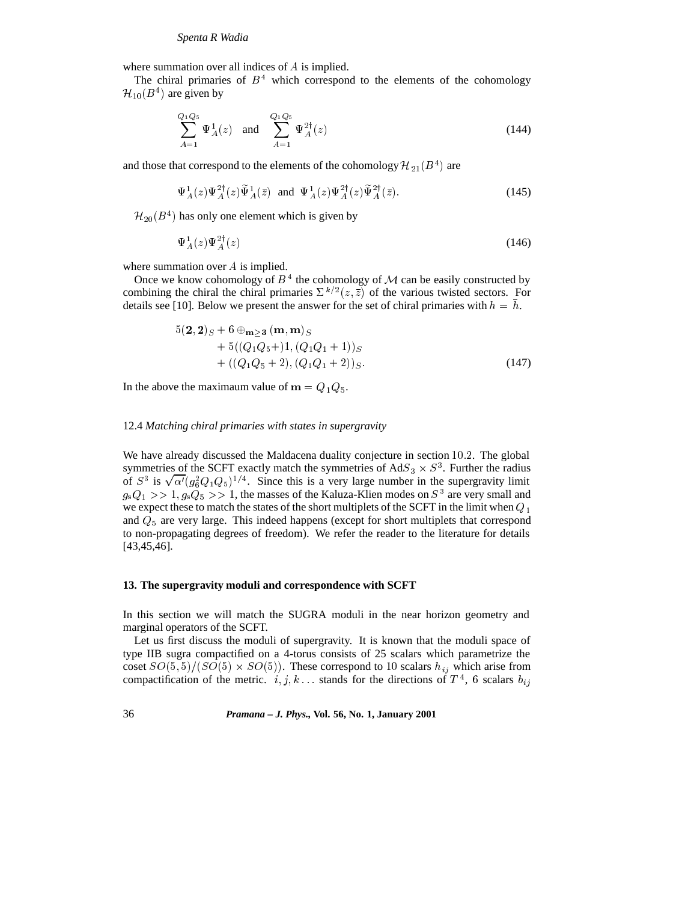where summation over all indices of A is implied.

The chiral primaries of  $B<sup>4</sup>$  which correspond to the elements of the cohomology  $\mathcal{H}_{10}(B^4)$  are given by

$$
\sum_{A=1}^{Q_1 Q_5} \Psi_A^1(z) \quad \text{and} \quad \sum_{A=1}^{Q_1 Q_5} \Psi_A^{2\dagger}(z) \tag{144}
$$

and those that correspond to the elements of the cohomology  $\mathcal{H}_{21}(B^4)$  are

$$
\Psi_A^1(z)\Psi_A^{2\dagger}(z)\widetilde{\Psi}_A^1(\bar{z}) \quad \text{and} \quad \Psi_A^1(z)\Psi_A^{2\dagger}(z)\widetilde{\Psi}_A^{2\dagger}(\bar{z}).\tag{145}
$$

 $\mathcal{H}_{20}(B^4)$  has only one element which is given by

$$
\Psi_A^1(z)\Psi_A^{2\dagger}(z) \tag{146}
$$

where summation over A is implied.

Once we know cohomology of  $B^4$  the cohomology of M can be easily constructed by combining the chiral the chiral primaries  $\sum_{k}^{k/2}(z, \bar{z})$  of the various twisted sectors. For details see [10]. Below we present the answer for the set of chiral primaries with  $h = h$ .

$$
5(2,2)_S + 6 \bigoplus_{m \geq 3} (m, m)_S + 5((Q_1Q_5+1, (Q_1Q_1+1))_S + ((Q_1Q_5+2), (Q_1Q_1+2))_S.
$$
 (147)

In the above the maximaum value of  $m = Q_1 Q_5$ .

#### 12.4 *Matching chiral primaries with states in supergravity*

We have already discussed the Maldacena duality conjecture in section 10:2. The global symmetries of the SCFT exactly match the symmetries of Ad $S_3 \times S^3$ . Further the radius of  $S^3$  is  $\sqrt{\alpha'}(g_6^2Q_1Q_5)^{1/4}$ . Since this is a very large number in the supergravity limit  $g_{\rm s}Q_1 >> 1, g_{\rm s}Q_5 >> 1$ , the masses of the Kaluza-Klien modes on  $S^3$  are very small and we expect these to match the states of the short multiplets of the SCFT in the limit when  $Q_1$ and  $Q_5$  are very large. This indeed happens (except for short multiplets that correspond to non-propagating degrees of freedom). We refer the reader to the literature for details [43,45,46].

#### **13. The supergravity moduli and correspondence with SCFT**

In this section we will match the SUGRA moduli in the near horizon geometry and marginal operators of the SCFT.

Let us first discuss the moduli of supergravity. It is known that the moduli space of type IIB sugra compactified on a 4-torus consists of 25 scalars which parametrize the coset  $SO(5,5)/(SO(5) \times SO(5))$ . These correspond to 10 scalars  $h_{ij}$  which arise from compactification of the metric. *i*, *j*, *k* . . stands for the directions of  $T<sup>4</sup>$ , 6 scalars  $b_{ij}$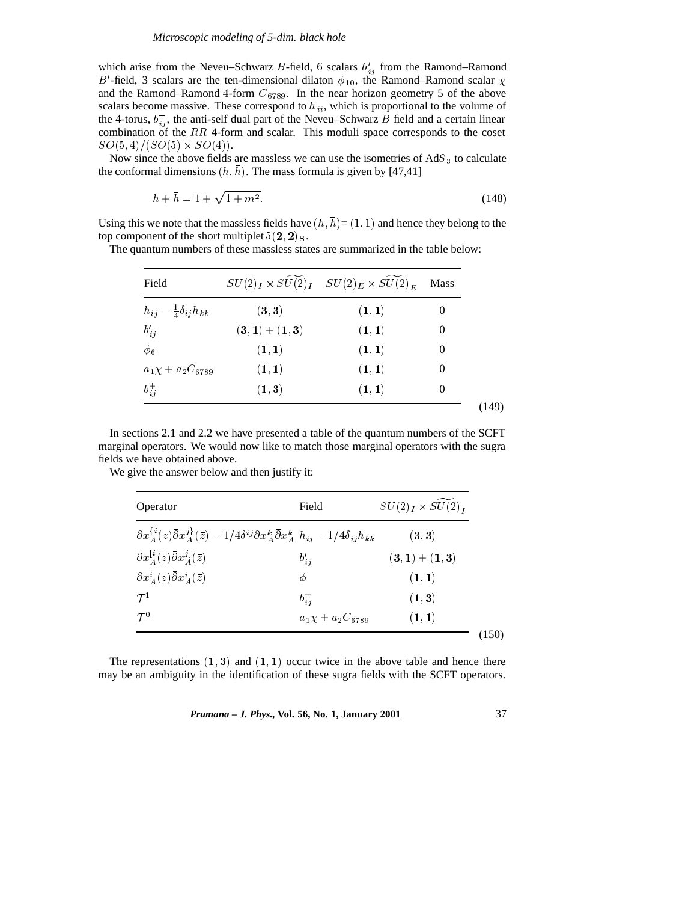which arise from the Neveu–Schwarz B-field, 6 scalars  $b'_{ij}$  from the Ramond–Ramond B'-field, 3 scalars are the ten-dimensional dilaton  $\phi_{10}$ , the Ramond–Ramond scalar  $\chi$ and the Ramond–Ramond 4-form  $C_{6789}$ . In the near horizon geometry 5 of the above scalars become massive. These correspond to  $h_{ii}$ , which is proportional to the volume of the 4-torus,  $b_{ij}^-$ , the anti-self dual part of the Neveu–Schwarz B field and a certain linear combination of the  $RR$  4-form and scalar. This moduli space corresponds to the coset  $SO(5,4)/(SO(5) \times SO(4)).$ 

Now since the above fields are massless we can use the isometries of  $AdS<sub>3</sub>$  to calculate the conformal dimensions  $(h, h)$ . The mass formula is given by [47,41]

$$
h + \bar{h} = 1 + \sqrt{1 + m^2}.
$$
\n(148)

Using this we note that the massless fields have  $(h, h) = (1, 1)$  and hence they belong to the top component of the short multiplet  $5(2, 2)$  s.

The quantum numbers of these massless states are summarized in the table below:

| Field                                     |                 | $SU(2)_I \times SU(2)_I$ $SU(2)_E \times SU(2)_E$ | <b>Mass</b> |
|-------------------------------------------|-----------------|---------------------------------------------------|-------------|
| $h_{ij} = \frac{1}{4} \delta_{ij} h_{kk}$ | (3, 3)          | (1, 1)                                            | $\theta$    |
| $b'_{ij}$                                 | $(3,1) + (1,3)$ | (1, 1)                                            | 0           |
| $\phi_6$                                  | (1,1)           | (1, 1)                                            | 0           |
| $a_1\chi + a_2C_{6789}$                   | (1,1)           | (1, 1)                                            | 0           |
| $b_{ij}^+$                                | (1, 3)          | (1,1)                                             | $\theta$    |
|                                           |                 |                                                   |             |

In sections 2.1 and 2.2 we have presented a table of the quantum numbers of the SCFT marginal operators. We would now like to match those marginal operators with the sugra fields we have obtained above.

| We give the answer below and then justify it: |  |
|-----------------------------------------------|--|
|-----------------------------------------------|--|

| Operator                                                                                                                                                                                                                                                                     | Field                   | $SU(2)_I \times SU(2)_I$ |
|------------------------------------------------------------------------------------------------------------------------------------------------------------------------------------------------------------------------------------------------------------------------------|-------------------------|--------------------------|
| $\frac{\partial x_{\scriptscriptstyle{A}}^{\{i}(z)\bar{\partial}x_{\scriptscriptstyle{A}}^{\{j\}}(\bar{z})-1}{\partial x_{\scriptscriptstyle{A}}^{\{j\}}\partial x_{\scriptscriptstyle{A}}^{\{k\}}\bar{\partial}x_{\scriptscriptstyle{A}}^{k}}\;h_{ij}-1/4\delta_{ij}h_{kk}$ |                         | (3, 3)                   |
| $\partial x_{A}^{[i}(z)\bar{\partial}x_{A}^{j]}(\bar{z})$                                                                                                                                                                                                                    | $b'_{ij}$               | $(3,1) + (1,3)$          |
| $\partial x_A^i(z) \bar{\partial} x_A^i(\bar{z})$                                                                                                                                                                                                                            | φ                       | (1,1)                    |
| $\mathcal{T}^1$                                                                                                                                                                                                                                                              | $b_{ii}^+$              | (1, 3)                   |
| $\tau^{\scriptscriptstyle 0}$                                                                                                                                                                                                                                                | $a_1\chi + a_2C_{6789}$ | (1, 1)                   |
|                                                                                                                                                                                                                                                                              |                         | (150)                    |

The representations  $(1,3)$  and  $(1,1)$  occur twice in the above table and hence there may be an ambiguity in the identification of these sugra fields with the SCFT operators.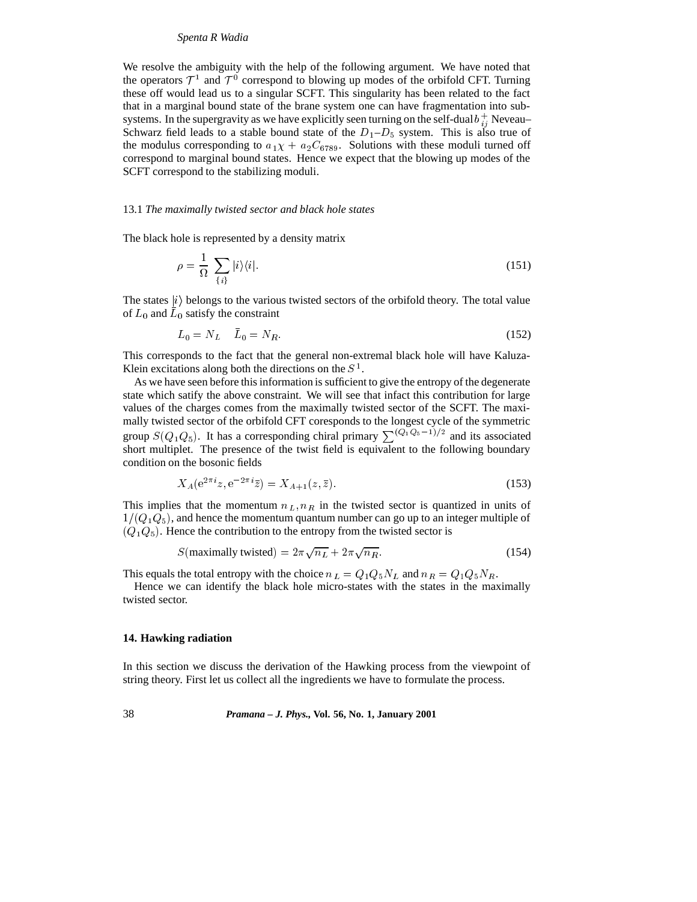We resolve the ambiguity with the help of the following argument. We have noted that the operators  $\mathcal{T}^1$  and  $\mathcal{T}^0$  correspond to blowing up modes of the orbifold CFT. Turning these off would lead us to a singular SCFT. This singularity has been related to the fact that in a marginal bound state of the brane system one can have fragmentation into subsystems. In the supergravity as we have explicitly seen turning on the self-dual  $b_{i}^{+}$  Neveau– Schwarz field leads to a stable bound state of the  $D_1-D_5$  system. This is also true of the modulus corresponding to  $a_1 \chi + a_2 C_{6789}$ . Solutions with these moduli turned off correspond to marginal bound states. Hence we expect that the blowing up modes of the SCFT correspond to the stabilizing moduli.

#### 13.1 *The maximally twisted sector and black hole states*

The black hole is represented by a density matrix

$$
\rho = \frac{1}{\Omega} \sum_{\{i\}} |i\rangle\langle i|.
$$
\n(151)

The states  $|i\rangle$  belongs to the various twisted sectors of the orbifold theory. The total value of  $L_0$  and  $L_0$  satisfy the constraint

$$
L_0 = N_L \quad \bar{L}_0 = N_R. \tag{152}
$$

This corresponds to the fact that the general non-extremal black hole will have Kaluza-Klein excitations along both the directions on the  $S<sup>1</sup>$ .

As we have seen before this information is sufficient to give the entropy of the degenerate state which satify the above constraint. We will see that infact this contribution for large values of the charges comes from the maximally twisted sector of the SCFT. The maximally twisted sector of the orbifold CFT coresponds to the longest cycle of the symmetric group  $S(Q_1Q_5)$ . It has a corresponding chiral primary  $\sum_{Q_1\cup Q_5}$  and its associated short multiplet. The presence of the twist field is equivalent to the following boundary condition on the bosonic fields

$$
X_A(e^{2\pi i}z, e^{-2\pi i}\bar{z}) = X_{A+1}(z, \bar{z}).\tag{153}
$$

This implies that the momentum  $n<sub>L</sub>$ ,  $n<sub>R</sub>$  in the twisted sector is quantized in units of  $1/(Q_1Q_5)$ , and hence the momentum quantum number can go up to an integer multiple of  $(Q_1Q_5)$ . Hence the contribution to the entropy from the twisted sector is

$$
S(\text{maximally twisted}) = 2\pi \sqrt{n_L} + 2\pi \sqrt{n_R}.
$$
 (154)

This equals the total entropy with the choice  $n_L = Q_1 Q_5 N_L$  and  $n_R = Q_1 Q_5 N_R$ .

Hence we can identify the black hole micro-states with the states in the maximally twisted sector.

## **14. Hawking radiation**

In this section we discuss the derivation of the Hawking process from the viewpoint of string theory. First let us collect all the ingredients we have to formulate the process.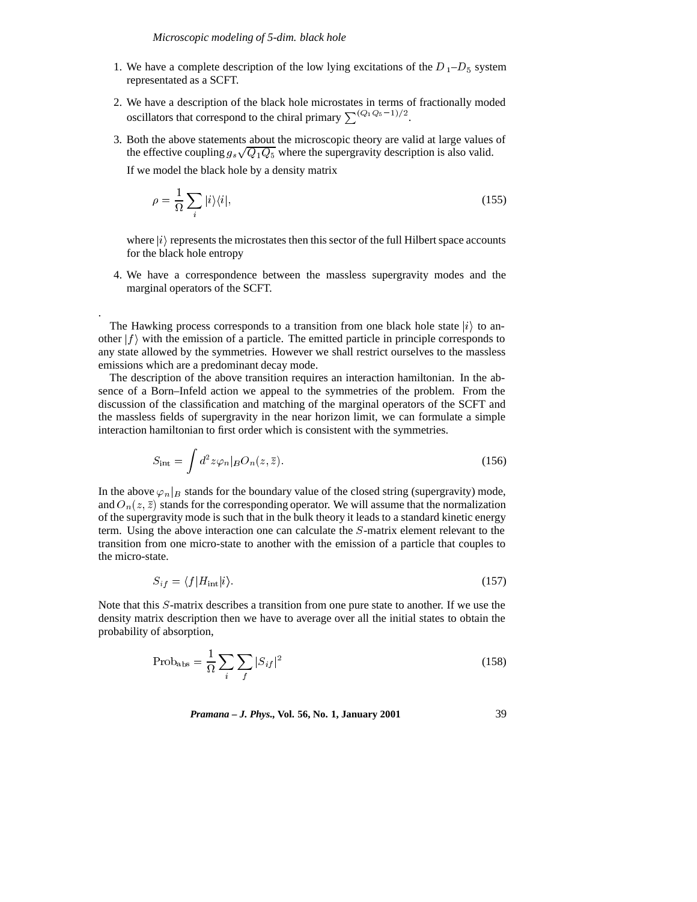- 1. We have a complete description of the low lying excitations of the  $D_1-D_5$  system representated as a SCFT.
- 2. We have a description of the black hole microstates in terms of fractionally moded oscillators that correspond to the chiral primary  $\sum_{n=1}^{\lfloor (Q_1 - Q_5)^2 \rfloor}$ .
- 3. Both the above statements about the microscopic theory are valid at large values of the effective coupling  $g_s\sqrt{Q_1Q_5}$  where the supergravity description is also valid.

If we model the black hole by a density matrix

.

$$
\rho = \frac{1}{\Omega} \sum_{i} |i\rangle\langle i|,\tag{155}
$$

where  $|i\rangle$  represents the microstates then this sector of the full Hilbert space accounts for the black hole entropy

4. We have a correspondence between the massless supergravity modes and the marginal operators of the SCFT.

The Hawking process corresponds to a transition from one black hole state  $|i\rangle$  to another  $|f\rangle$  with the emission of a particle. The emitted particle in principle corresponds to any state allowed by the symmetries. However we shall restrict ourselves to the massless emissions which are a predominant decay mode.

The description of the above transition requires an interaction hamiltonian. In the absence of a Born–Infeld action we appeal to the symmetries of the problem. From the discussion of the classification and matching of the marginal operators of the SCFT and the massless fields of supergravity in the near horizon limit, we can formulate a simple interaction hamiltonian to first order which is consistent with the symmetries.

$$
S_{\rm int} = \int d^2 z \varphi_n |_{B} O_n(z, \bar{z}). \tag{156}
$$

In the above  $\varphi_n|_B$  stands for the boundary value of the closed string (supergravity) mode, and  $O_n(z, \bar{z})$  stands for the corresponding operator. We will assume that the normalization of the supergravity mode is such that in the bulk theory it leads to a standard kinetic energy term. Using the above interaction one can calculate the S-matrix element relevant to the transition from one micro-state to another with the emission of a particle that couples to the micro-state.

$$
S_{if} = \langle f | H_{\text{int}} | i \rangle. \tag{157}
$$

Note that this <sup>S</sup>-matrix describes a transition from one pure state to another. If we use the density matrix description then we have to average over all the initial states to obtain the probability of absorption,

$$
Probabs = \frac{1}{\Omega} \sum_{i} \sum_{f} |S_{if}|^2
$$
 (158)

*Pramana – J. Phys.,* **Vol. 56, No. 1, January 2001** 39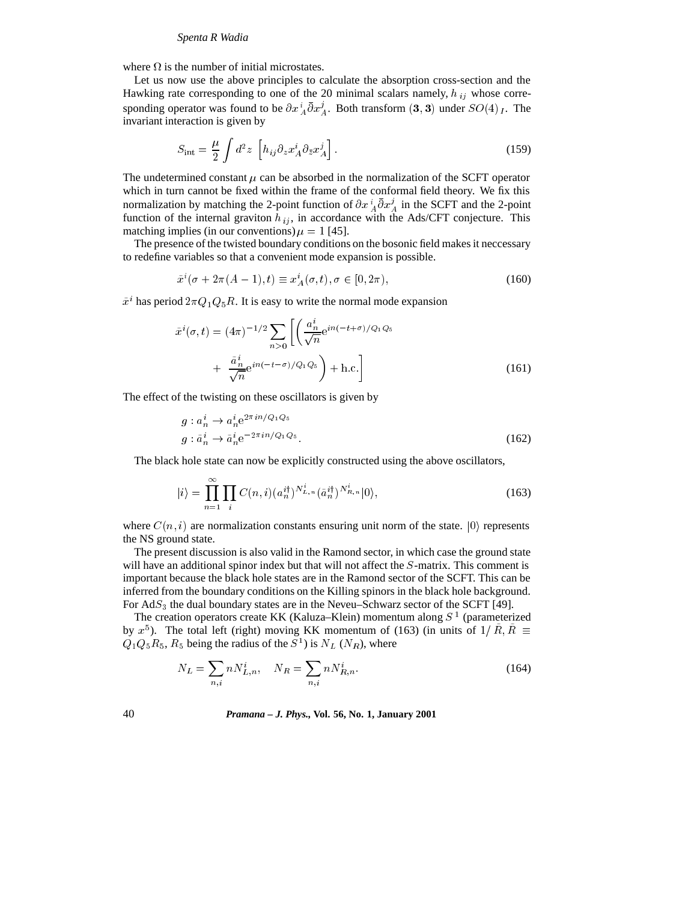where  $\Omega$  is the number of initial microstates.

Let us now use the above principles to calculate the absorption cross-section and the Hawking rate corresponding to one of the 20 minimal scalars namely,  $h_{ij}$  whose corresponding operator was found to be  $\partial x_A^i \partial x_A^j$ . Both transform  $(3,3)$  under  $SO(4)_I$ . The invariant interaction is given by

$$
S_{\rm int} = \frac{\mu}{2} \int d^2 z \, \left[ h_{ij} \partial_z x_A^i \partial_{\bar{z}} x_A^j \right]. \tag{159}
$$

The undetermined constant  $\mu$  can be absorbed in the normalization of the SCFT operator which in turn cannot be fixed within the frame of the conformal field theory. We fix this normalization by matching the 2-point function of  $\partial x_A^i \partial x_A^j$  in the SCFT and the 2-point function of the internal graviton  $h_{ij}$ , in accordance with the Ads/CFT conjecture. This matching implies (in our conventions)  $\mu = 1$  [45].

The presence of the twisted boundary conditions on the bosonic field makes it neccessary to redefine variables so that a convenient mode expansion is possible.

$$
\tilde{x}^{i}(\sigma + 2\pi(A - 1), t) \equiv x_{A}^{i}(\sigma, t), \sigma \in [0, 2\pi), \tag{160}
$$

 $\tilde{x}^i$  has period  $2\pi Q_1 Q_5 R$ . It is easy to write the normal mode expansion

$$
\tilde{x}^i(\sigma, t) = (4\pi)^{-1/2} \sum_{n>0} \left[ \left( \frac{a_n^i}{\sqrt{n}} e^{in(-t+\sigma)/Q_1 Q_5} + \frac{\tilde{a}_n^i}{\sqrt{n}} e^{in(-t-\sigma)/Q_1 Q_5} \right) + \text{h.c.} \right]
$$
\n(161)

The effect of the twisting on these oscillators is given by

$$
g: a_n^i \to a_n^i e^{2\pi i n /Q_1 Q_5}
$$
  
\n
$$
g: \tilde{a}_n^i \to \tilde{a}_n^i e^{-2\pi i n /Q_1 Q_5}.
$$
\n(162)

The black hole state can now be explicitly constructed using the above oscillators,

$$
|i\rangle = \prod_{n=1}^{\infty} \prod_{i} C(n,i) (a_n^{i\dagger})^{N_{L,n}^i} (\tilde{a}_n^{i\dagger})^{N_{R,n}^i} |0\rangle, \qquad (163)
$$

where  $C(n, i)$  are normalization constants ensuring unit norm of the state.  $|0\rangle$  represents the NS ground state.

The present discussion is also valid in the Ramond sector, in which case the ground state will have an additional spinor index but that will not affect the S-matrix. This comment is important because the black hole states are in the Ramond sector of the SCFT. This can be inferred from the boundary conditions on the Killing spinors in the black hole background. For  $AdS_3$  the dual boundary states are in the Neveu–Schwarz sector of the SCFT [49].

The creation operators create KK (Kaluza–Klein) momentum along  $S<sup>1</sup>$  (parameterized by  $x^5$ ). The total left (right) moving KK momentum of (163) (in units of  $1/R$ ,  $R \equiv$  $Q_1Q_5R_5$ ,  $R_5$  being the radius of the  $S^1$ ) is  $N_L$  ( $N_R$ ), where

$$
N_L = \sum_{n,i} n N_{L,n}^i, \quad N_R = \sum_{n,i} n N_{R,n}^i.
$$
 (164)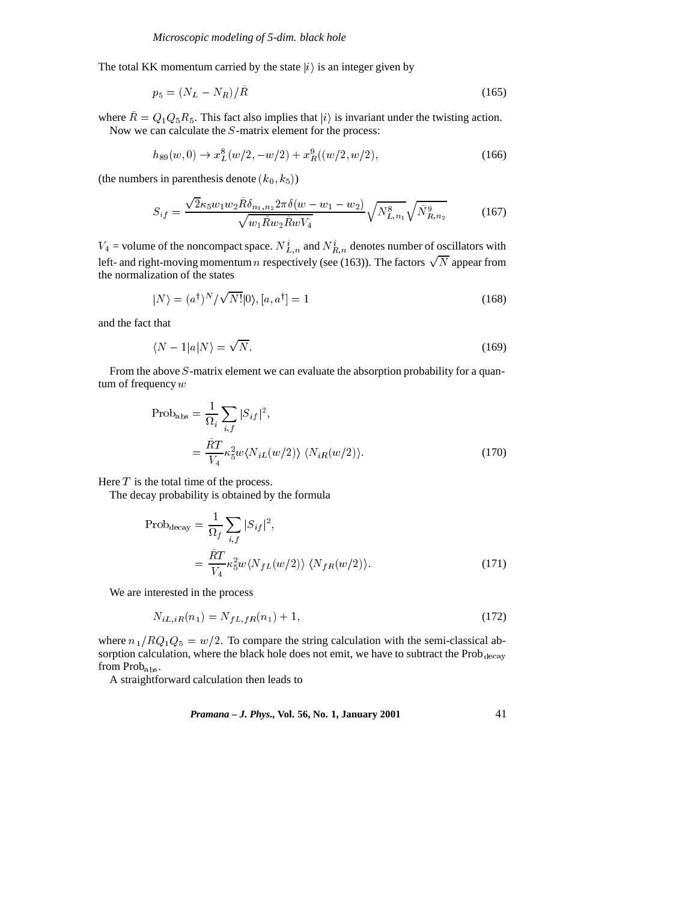The total KK momentum carried by the state  $|i\rangle$  is an integer given by

$$
p_5 = (N_L - N_R)/\tilde{R}
$$
\n<sup>(165)</sup>

where  $\tilde{R} = Q_1 Q_5 R_5$ . This fact also implies that  $|i\rangle$  is invariant under the twisting action. Now we can calculate the S-matrix element for the process:

$$
h_{89}(w,0) \to x_L^8(w/2, -w/2) + x_R^9((w/2, w/2), \tag{166}
$$

(the numbers in parenthesis denote  $(k_0, k_5)$ )

$$
S_{if} = \frac{\sqrt{2}\kappa_5 w_1 w_2 \tilde{R}\delta_{n_1, n_2} 2\pi \delta(w - w_1 - w_2)}{\sqrt{w_1 \tilde{R} w_2 \tilde{R} w V_4}} \sqrt{N_{L, n_1}^8} \sqrt{\tilde{N}_{R, n_2}^9}
$$
(167)

 $V_4$  = volume of the noncompact space.  $N_{L,n}^i$  and  $N_{R,n}^i$  denotes number of oscillators with left- and right-moving momentum n respectively (see (163)). The factors  $\sqrt{N}$  appear from the normalization of the states

$$
|N\rangle = (a^{\dagger})^N / \sqrt{N!} |0\rangle, [a, a^{\dagger}] = 1
$$
\n(168)

and the fact that

$$
\langle N-1|a|N\rangle = \sqrt{N}.\tag{169}
$$

From the above  $S$ -matrix element we can evaluate the absorption probability for a quantum of frequency  $w$ 

$$
\text{Prob}_{\text{abs}} = \frac{1}{\Omega_i} \sum_{i,f} |S_{if}|^2,
$$
  
= 
$$
\frac{\tilde{R}T}{V_4} \kappa_5^2 w \langle N_{iL}(w/2) \rangle \langle N_{iR}(w/2) \rangle.
$$
 (170)

Here  $T$  is the total time of the process.

The decay probability is obtained by the formula

$$
\begin{split} \text{Prob}_{\text{decay}} &= \frac{1}{\Omega_f} \sum_{i,f} |S_{if}|^2, \\ &= \frac{\tilde{R}T}{V_4} \kappa_5^2 w \langle N_{fL}(w/2) \rangle \langle N_{fR}(w/2) \rangle. \end{split} \tag{171}
$$

We are interested in the process

$$
N_{iL,iR}(n_1) = N_{fL,fR}(n_1) + 1,\t\t(172)
$$

where  $n_1/RQ_1Q_5 = w/2$ . To compare the string calculation with the semi-classical absorption calculation, where the black hole does not emit, we have to subtract the  $Prob_{decay}$ from Prob<sub>abs</sub>.

A straightforward calculation then leads to

*Pramana – J. Phys.,* **Vol. 56, No. 1, January 2001** 41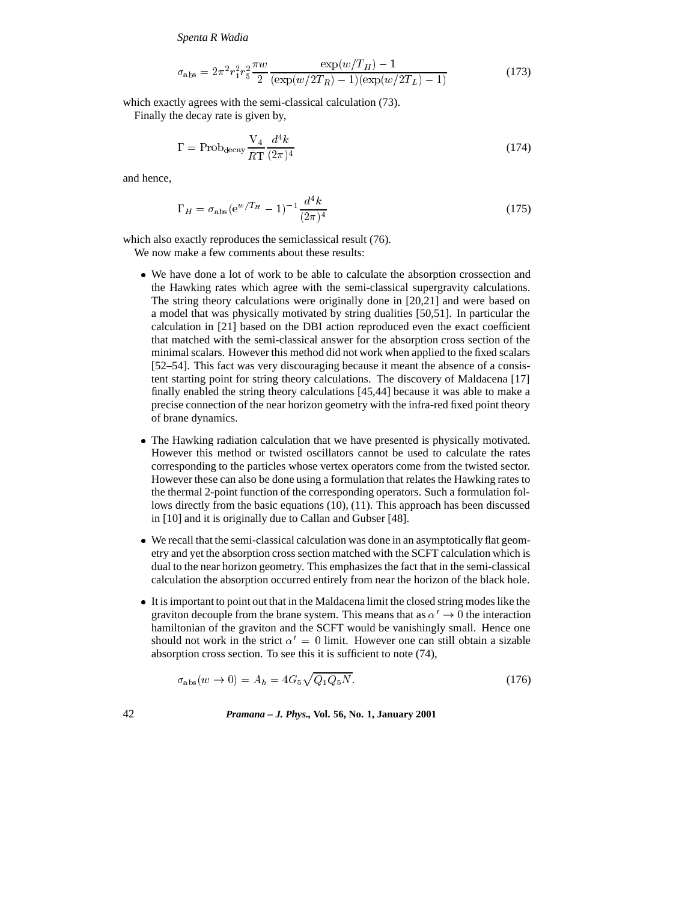$$
\sigma_{\rm abs} = 2\pi^2 r_1^2 r_5^2 \frac{\pi w}{2} \frac{\exp(w/T_H) - 1}{(\exp(w/2T_R) - 1)(\exp(w/2T_L) - 1)}
$$
(173)

which exactly agrees with the semi-classical calculation (73).

Finally the decay rate is given by,

$$
\Gamma = \text{Prob}_{\text{decay}} \frac{V_4}{\tilde{R}T} \frac{d^4k}{(2\pi)^4} \tag{174}
$$

and hence,

$$
\Gamma_H = \sigma_{\text{abs}} (\text{e}^{w/T_H} - 1)^{-1} \frac{d^4 k}{(2\pi)^4} \tag{175}
$$

which also exactly reproduces the semiclassical result (76).

We now make a few comments about these results:

- We have done a lot of work to be able to calculate the absorption crossection and the Hawking rates which agree with the semi-classical supergravity calculations. The string theory calculations were originally done in [20,21] and were based on a model that was physically motivated by string dualities [50,51]. In particular the calculation in [21] based on the DBI action reproduced even the exact coefficient that matched with the semi-classical answer for the absorption cross section of the minimal scalars. However this method did not work when applied to the fixed scalars [52–54]. This fact was very discouraging because it meant the absence of a consistent starting point for string theory calculations. The discovery of Maldacena [17] finally enabled the string theory calculations [45,44] because it was able to make a precise connection of the near horizon geometry with the infra-red fixed point theory of brane dynamics.
- The Hawking radiation calculation that we have presented is physically motivated. However this method or twisted oscillators cannot be used to calculate the rates corresponding to the particles whose vertex operators come from the twisted sector. However these can also be done using a formulation that relates the Hawking rates to the thermal 2-point function of the corresponding operators. Such a formulation follows directly from the basic equations (10), (11). This approach has been discussed in [10] and it is originally due to Callan and Gubser [48].
- We recall that the semi-classical calculation was done in an asymptotically flat geometry and yet the absorption cross section matched with the SCFT calculation which is dual to the near horizon geometry. This emphasizes the fact that in the semi-classical calculation the absorption occurred entirely from near the horizon of the black hole.
- It is important to point out that in the Maldacena limit the closed string modes like the graviton decouple from the brane system. This means that as  $\alpha' \to 0$  the interaction hamiltonian of the graviton and the SCFT would be vanishingly small. Hence one should not work in the strict  $\alpha' = 0$  limit. However one can still obtain a sizable absorption cross section. To see this it is sufficient to note (74),

$$
\sigma_{\rm abs}(w \to 0) = A_h = 4G_5 \sqrt{Q_1 Q_5 N}.
$$
\n(176)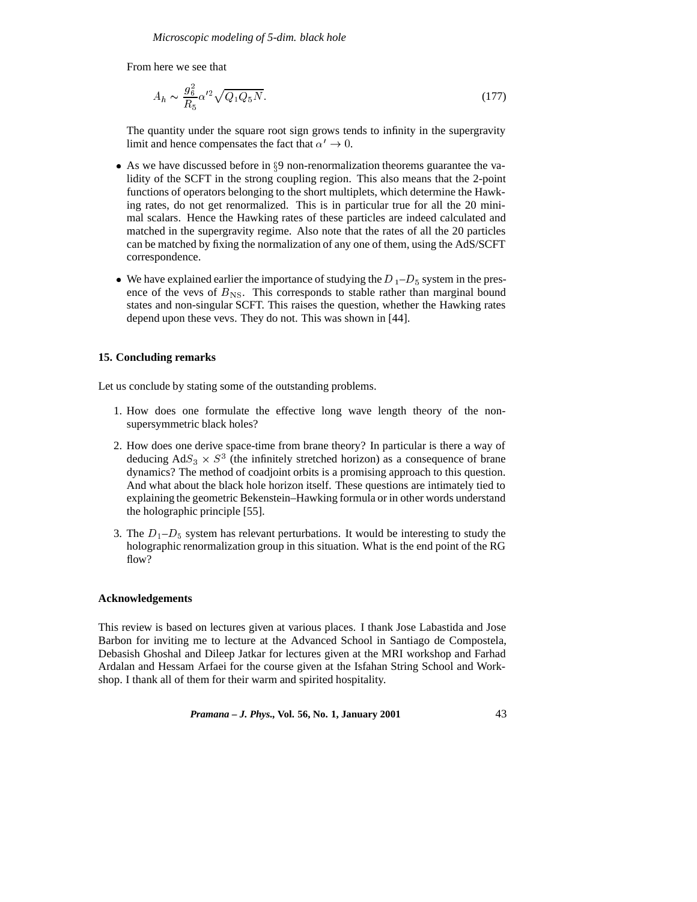From here we see that

$$
A_h \sim \frac{g_6^2}{R_5} \alpha'^2 \sqrt{Q_1 Q_5 N}.\tag{177}
$$

The quantity under the square root sign grows tends to infinity in the supergravity limit and hence compensates the fact that  $\alpha' \to 0$ .

- As we have discussed before in  $\S$ 9 non-renormalization theorems guarantee the validity of the SCFT in the strong coupling region. This also means that the 2-point functions of operators belonging to the short multiplets, which determine the Hawking rates, do not get renormalized. This is in particular true for all the 20 minimal scalars. Hence the Hawking rates of these particles are indeed calculated and matched in the supergravity regime. Also note that the rates of all the 20 particles can be matched by fixing the normalization of any one of them, using the AdS/SCFT correspondence.
- We have explained earlier the importance of studying the  $D_1-D_5$  system in the presence of the vevs of  $B_{\text{NS}}$ . This corresponds to stable rather than marginal bound states and non-singular SCFT. This raises the question, whether the Hawking rates depend upon these vevs. They do not. This was shown in [44].

## **15. Concluding remarks**

Let us conclude by stating some of the outstanding problems.

- 1. How does one formulate the effective long wave length theory of the nonsupersymmetric black holes?
- 2. How does one derive space-time from brane theory? In particular is there a way of deducing  $AdS_3 \times S^3$  (the infinitely stretched horizon) as a consequence of brane dynamics? The method of coadjoint orbits is a promising approach to this question. And what about the black hole horizon itself. These questions are intimately tied to explaining the geometric Bekenstein–Hawking formula or in other words understand the holographic principle [55].
- 3. The  $D_1$ – $D_5$  system has relevant perturbations. It would be interesting to study the holographic renormalization group in this situation. What is the end point of the RG flow?

#### **Acknowledgements**

This review is based on lectures given at various places. I thank Jose Labastida and Jose Barbon for inviting me to lecture at the Advanced School in Santiago de Compostela, Debasish Ghoshal and Dileep Jatkar for lectures given at the MRI workshop and Farhad Ardalan and Hessam Arfaei for the course given at the Isfahan String School and Workshop. I thank all of them for their warm and spirited hospitality.

*Pramana – J. Phys.,* **Vol. 56, No. 1, January 2001** 43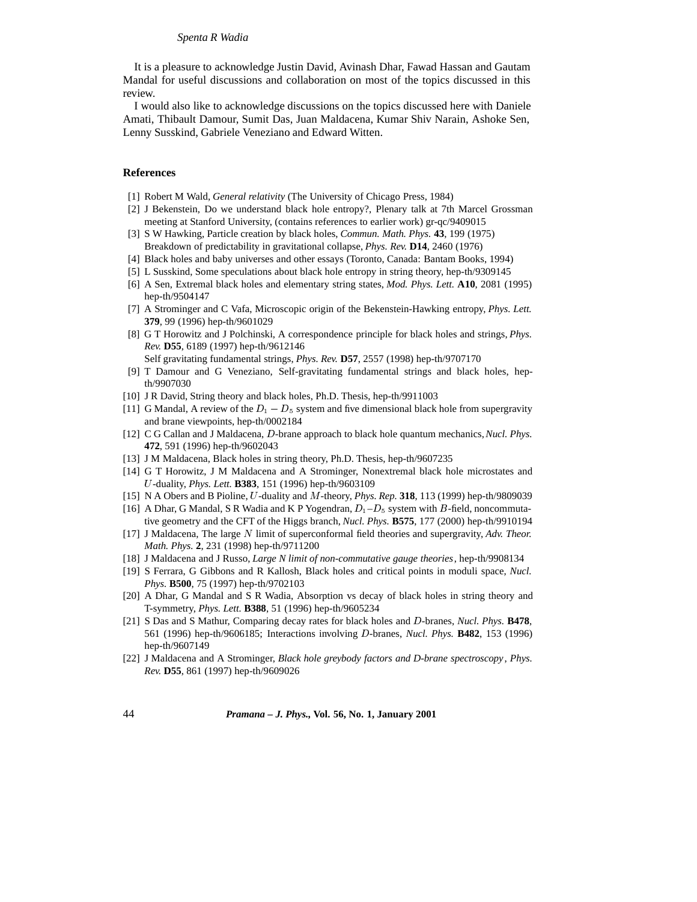It is a pleasure to acknowledge Justin David, Avinash Dhar, Fawad Hassan and Gautam Mandal for useful discussions and collaboration on most of the topics discussed in this review.

I would also like to acknowledge discussions on the topics discussed here with Daniele Amati, Thibault Damour, Sumit Das, Juan Maldacena, Kumar Shiv Narain, Ashoke Sen, Lenny Susskind, Gabriele Veneziano and Edward Witten.

## **References**

- [1] Robert M Wald, *General relativity* (The University of Chicago Press, 1984)
- [2] J Bekenstein, Do we understand black hole entropy?, Plenary talk at 7th Marcel Grossman meeting at Stanford University, (contains references to earlier work) gr-qc/9409015
- [3] S W Hawking, Particle creation by black holes, *Commun. Math. Phys.* **43**, 199 (1975) Breakdown of predictability in gravitational collapse, *Phys. Rev.* **D14**, 2460 (1976)
- [4] Black holes and baby universes and other essays (Toronto, Canada: Bantam Books, 1994)
- [5] L Susskind, Some speculations about black hole entropy in string theory, hep-th/9309145
- [6] A Sen, Extremal black holes and elementary string states, *Mod. Phys. Lett.* **A10**, 2081 (1995) hep-th/9504147
- [7] A Strominger and C Vafa, Microscopic origin of the Bekenstein-Hawking entropy, *Phys. Lett.* **379**, 99 (1996) hep-th/9601029
- [8] G T Horowitz and J Polchinski, A correspondence principle for black holes and strings, *Phys. Rev.* **D55**, 6189 (1997) hep-th/9612146

Self gravitating fundamental strings, *Phys. Rev.* **D57**, 2557 (1998) hep-th/9707170

- [9] T Damour and G Veneziano, Self-gravitating fundamental strings and black holes, hepth/9907030
- [10] J R David, String theory and black holes, Ph.D. Thesis, hep-th/9911003
- [11] G Mandal, A review of the  $D_1 D_5$  system and five dimensional black hole from supergravity and brane viewpoints, hep-th/0002184
- [12] C G Callan and J Maldacena, <sup>D</sup>-brane approach to black hole quantum mechanics,*Nucl. Phys.* **472**, 591 (1996) hep-th/9602043
- [13] J M Maldacena, Black holes in string theory, Ph.D. Thesis, hep-th/9607235
- [14] G T Horowitz, J M Maldacena and A Strominger, Nonextremal black hole microstates and <sup>U</sup>-duality, *Phys. Lett.* **B383**, 151 (1996) hep-th/9603109
- [15] N A Obers and B Pioline, <sup>U</sup>-duality and <sup>M</sup>-theory, *Phys. Rep.* **318**, 113 (1999) hep-th/9809039
- [16] A Dhar, G Mandal, S R Wadia and K P Yogendran,  $D_1 D_5$  system with B-field, noncommutative geometry and the CFT of the Higgs branch, *Nucl. Phys.* **B575**, 177 (2000) hep-th/9910194
- [17] J Maldacena, The large <sup>N</sup> limit of superconformal field theories and supergravity, *Adv. Theor. Math. Phys.* **2**, 231 (1998) hep-th/9711200
- [18] J Maldacena and J Russo, *Large N limit of non-commutative gauge theories*, hep-th/9908134
- [19] S Ferrara, G Gibbons and R Kallosh, Black holes and critical points in moduli space, *Nucl. Phys.* **B500**, 75 (1997) hep-th/9702103
- [20] A Dhar, G Mandal and S R Wadia, Absorption vs decay of black holes in string theory and T-symmetry, *Phys. Lett.* **B388**, 51 (1996) hep-th/9605234
- [21] S Das and S Mathur, Comparing decay rates for black holes and <sup>D</sup>-branes, *Nucl. Phys.* **B478**, 561 (1996) hep-th/9606185; Interactions involving <sup>D</sup>-branes, *Nucl. Phys.* **B482**, 153 (1996) hep-th/9607149
- [22] J Maldacena and A Strominger, *Black hole greybody factors and D-brane spectroscopy*, *Phys. Rev.* **D55**, 861 (1997) hep-th/9609026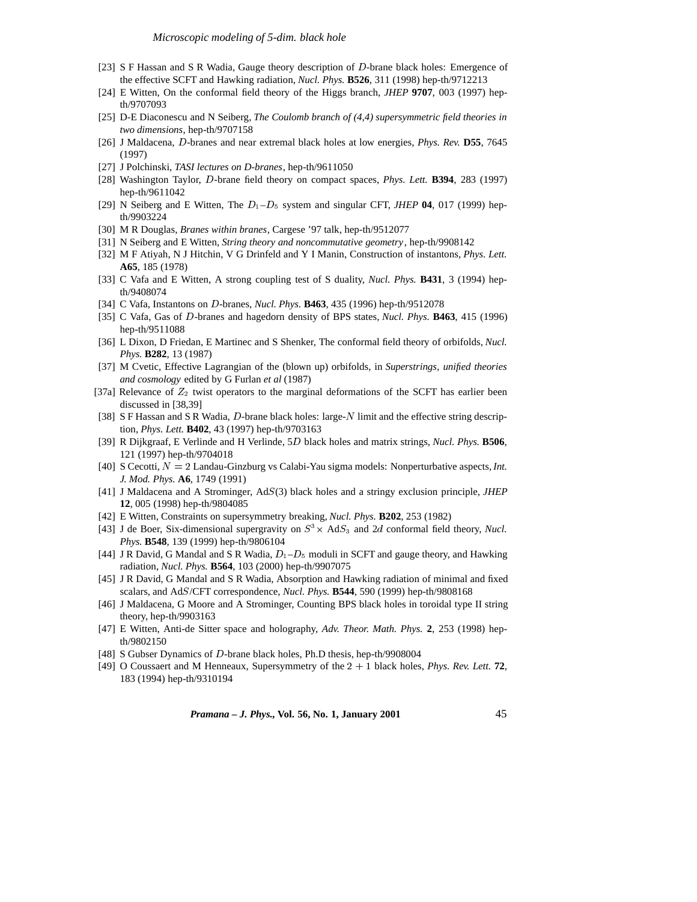- [23] S F Hassan and S R Wadia, Gauge theory description of <sup>D</sup>-brane black holes: Emergence of the effective SCFT and Hawking radiation, *Nucl. Phys.* **B526**, 311 (1998) hep-th/9712213
- [24] E Witten, On the conformal field theory of the Higgs branch, *JHEP* **9707**, 003 (1997) hepth/9707093
- [25] D-E Diaconescu and N Seiberg, *The Coulomb branch of (4,4) supersymmetric field theories in two dimensions*, hep-th/9707158
- [26] J Maldacena, <sup>D</sup>-branes and near extremal black holes at low energies, *Phys. Rev.* **D55**, 7645 (1997)
- [27] J Polchinski, *TASI lectures on D-branes*, hep-th/9611050
- [28] Washington Taylor, <sup>D</sup>-brane field theory on compact spaces, *Phys. Lett.* **B394**, 283 (1997) hep-th/9611042
- [29] N Seiberg and E Witten, The  $D_1 D_5$  system and singular CFT, *JHEP* **04**, 017 (1999) hepth/9903224
- [30] M R Douglas, *Branes within branes*, Cargese '97 talk, hep-th/9512077
- [31] N Seiberg and E Witten, *String theory and noncommutative geometry*, hep-th/9908142
- [32] M F Atiyah, N J Hitchin, V G Drinfeld and Y I Manin, Construction of instantons, *Phys. Lett.* **A65**, 185 (1978)
- [33] C Vafa and E Witten, A strong coupling test of S duality, *Nucl. Phys.* **B431**, 3 (1994) hepth/9408074
- [34] C Vafa, Instantons on <sup>D</sup>-branes, *Nucl. Phys.* **B463**, 435 (1996) hep-th/9512078
- [35] C Vafa, Gas of <sup>D</sup>-branes and hagedorn density of BPS states, *Nucl. Phys.* **B463**, 415 (1996) hep-th/9511088
- [36] L Dixon, D Friedan, E Martinec and S Shenker, The conformal field theory of orbifolds, *Nucl. Phys.* **B282**, 13 (1987)
- [37] M Cvetic, Effective Lagrangian of the (blown up) orbifolds, in *Superstrings, unified theories and cosmology* edited by G Furlan *et al* (1987)
- [37a] Relevance of  $Z_2$  twist operators to the marginal deformations of the SCFT has earlier been discussed in [38,39]
- [38] S F Hassan and S R Wadia, <sup>D</sup>-brane black holes: large-<sup>N</sup> limit and the effective string description, *Phys. Lett.* **B402**, 43 (1997) hep-th/9703163
- [39] R Dijkgraaf, E Verlinde and H Verlinde, 5<sup>D</sup> black holes and matrix strings, *Nucl. Phys.* **B506**, 121 (1997) hep-th/9704018
- [40] S Cecotti, <sup>N</sup> = 2 Landau-Ginzburg vs Calabi-Yau sigma models: Nonperturbative aspects, *Int. J. Mod. Phys.* **A6**, 1749 (1991)
- [41] J Maldacena and A Strominger, AdS(3) black holes and a stringy exclusion principle, *JHEP* **12**, 005 (1998) hep-th/9804085
- [42] E Witten, Constraints on supersymmetry breaking, *Nucl. Phys.* **B202**, 253 (1982)
- [43] J de Boer, Six-dimensional supergravity on  $S^3 \times AdS_3$  and 2d conformal field theory, *Nucl. Phys.* **B548**, 139 (1999) hep-th/9806104
- [44] J R David, G Mandal and S R Wadia,  $D_1 D_5$  moduli in SCFT and gauge theory, and Hawking radiation, *Nucl. Phys.* **B564**, 103 (2000) hep-th/9907075
- [45] J R David, G Mandal and S R Wadia, Absorption and Hawking radiation of minimal and fixed scalars, and AdS/CFT correspondence, *Nucl. Phys.* **B544**, 590 (1999) hep-th/9808168
- [46] J Maldacena, G Moore and A Strominger, Counting BPS black holes in toroidal type II string theory, hep-th/9903163
- [47] E Witten, Anti-de Sitter space and holography, *Adv. Theor. Math. Phys.* **2**, 253 (1998) hepth/9802150
- [48] S Gubser Dynamics of <sup>D</sup>-brane black holes, Ph.D thesis, hep-th/9908004
- [49] O Coussaert and M Henneaux, Supersymmetry of the 2+1 black holes, *Phys. Rev. Lett.* **72**, 183 (1994) hep-th/9310194